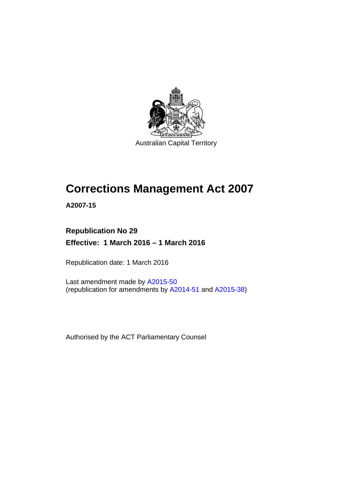

Australian Capital Territory

# **Corrections Management Act 2007**

**A2007-15** 

# **Republication No 29 Effective: 1 March 2016 – 1 March 2016**

Republication date: 1 March 2016

Last amendment made by [A2015-50](http://www.legislation.act.gov.au/a/2015-50) (republication for amendments by [A2014-51](http://www.legislation.act.gov.au/a/2014-51/default.asp) and [A2015-38](http://www.legislation.act.gov.au/a/2015-38))

Authorised by the ACT Parliamentary Counsel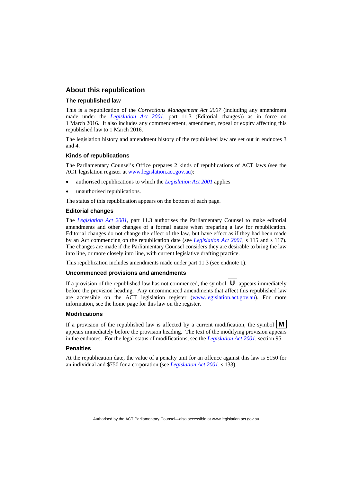### **About this republication**

#### **The republished law**

This is a republication of the *Corrections Management Act 2007* (including any amendment made under the *[Legislation Act 2001](http://www.legislation.act.gov.au/a/2001-14)*, part 11.3 (Editorial changes)) as in force on 1 March 2016*.* It also includes any commencement, amendment, repeal or expiry affecting this republished law to 1 March 2016.

The legislation history and amendment history of the republished law are set out in endnotes 3 and 4.

#### **Kinds of republications**

The Parliamentary Counsel's Office prepares 2 kinds of republications of ACT laws (see the ACT legislation register at [www.legislation.act.gov.au](http://www.legislation.act.gov.au/)):

- authorised republications to which the *[Legislation Act 2001](http://www.legislation.act.gov.au/a/2001-14)* applies
- unauthorised republications.

The status of this republication appears on the bottom of each page.

#### **Editorial changes**

The *[Legislation Act 2001](http://www.legislation.act.gov.au/a/2001-14)*, part 11.3 authorises the Parliamentary Counsel to make editorial amendments and other changes of a formal nature when preparing a law for republication. Editorial changes do not change the effect of the law, but have effect as if they had been made by an Act commencing on the republication date (see *[Legislation Act 2001](http://www.legislation.act.gov.au/a/2001-14)*, s 115 and s 117). The changes are made if the Parliamentary Counsel considers they are desirable to bring the law into line, or more closely into line, with current legislative drafting practice.

This republication includes amendments made under part 11.3 (see endnote 1).

#### **Uncommenced provisions and amendments**

If a provision of the republished law has not commenced, the symbol  $\mathbf{U}$  appears immediately before the provision heading. Any uncommenced amendments that affect this republished law are accessible on the ACT legislation register [\(www.legislation.act.gov.au\)](http://www.legislation.act.gov.au/). For more information, see the home page for this law on the register.

#### **Modifications**

If a provision of the republished law is affected by a current modification, the symbol  $\mathbf{M}$ appears immediately before the provision heading. The text of the modifying provision appears in the endnotes. For the legal status of modifications, see the *[Legislation Act 2001](http://www.legislation.act.gov.au/a/2001-14)*, section 95.

#### **Penalties**

At the republication date, the value of a penalty unit for an offence against this law is \$150 for an individual and \$750 for a corporation (see *[Legislation Act 2001](http://www.legislation.act.gov.au/a/2001-14)*, s 133).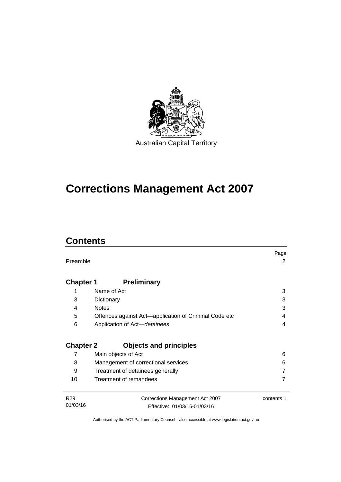

# **Corrections Management Act 2007**

# **Contents**

|                  |                                                       | Page       |
|------------------|-------------------------------------------------------|------------|
| Preamble         |                                                       | 2          |
|                  |                                                       |            |
| <b>Chapter 1</b> | <b>Preliminary</b>                                    |            |
| 1                | Name of Act                                           | 3          |
| 3                | Dictionary                                            | 3          |
| 4                | <b>Notes</b>                                          | 3          |
| 5                | Offences against Act-application of Criminal Code etc | 4          |
| 6                | Application of Act-detainees                          | 4          |
|                  |                                                       |            |
| <b>Chapter 2</b> | <b>Objects and principles</b>                         |            |
| 7                | Main objects of Act                                   | 6          |
| 8                | Management of correctional services                   | 6          |
| 9                | Treatment of detainees generally                      |            |
| 10               | Treatment of remandees                                |            |
|                  |                                                       |            |
| R <sub>29</sub>  | Corrections Management Act 2007                       | contents 1 |
| 01/03/16         | Effective: 01/03/16-01/03/16                          |            |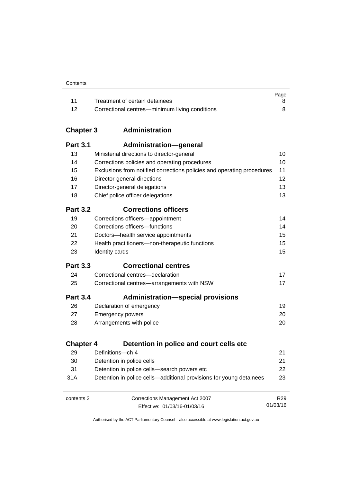|      |                                                | Page |
|------|------------------------------------------------|------|
|      | Treatment of certain detainees                 |      |
| - 12 | Correctional centres—minimum living conditions |      |

# **Chapter 3 [Administration](#page-23-0)**

| <b>Part 3.1</b>  | <b>Administration-general</b>                                          |                 |
|------------------|------------------------------------------------------------------------|-----------------|
| 13               | Ministerial directions to director-general                             | 10              |
| 14               | Corrections policies and operating procedures                          | 10              |
| 15               | Exclusions from notified corrections policies and operating procedures | 11              |
| 16               | Director-general directions                                            | 12              |
| 17               | Director-general delegations                                           | 13              |
| 18               | Chief police officer delegations                                       | 13              |
| <b>Part 3.2</b>  | <b>Corrections officers</b>                                            |                 |
| 19               | Corrections officers-appointment                                       | 14              |
| 20               | Corrections officers-functions                                         | 14              |
| 21               | Doctors-health service appointments                                    | 15              |
| 22               | Health practitioners-non-therapeutic functions                         | 15              |
| 23               | Identity cards                                                         | 15              |
| <b>Part 3.3</b>  | <b>Correctional centres</b>                                            |                 |
| 24               | Correctional centres-declaration                                       | 17              |
| 25               | Correctional centres-arrangements with NSW                             | 17              |
| <b>Part 3.4</b>  | <b>Administration-special provisions</b>                               |                 |
| 26               | Declaration of emergency                                               | 19              |
| 27               | <b>Emergency powers</b>                                                | 20              |
| 28               | Arrangements with police                                               | 20              |
| <b>Chapter 4</b> | Detention in police and court cells etc                                |                 |
| 29               | Definitions-ch 4                                                       | 21              |
| 30               | Detention in police cells                                              | 21              |
| 31               | Detention in police cells-search powers etc                            | 22              |
| 31A              | Detention in police cells—additional provisions for young detainees    | 23              |
| contents 2       | Corrections Management Act 2007                                        | R <sub>29</sub> |
|                  | Effective: 01/03/16-01/03/16                                           | 01/03/16        |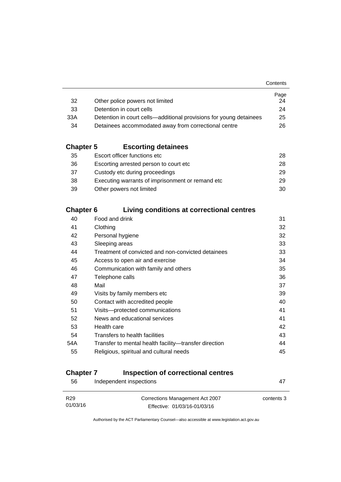|                                                                    | Page |
|--------------------------------------------------------------------|------|
| Other police powers not limited                                    | 24   |
| Detention in court cells                                           | 24   |
| Detention in court cells—additional provisions for young detainees | 25   |
| Detainees accommodated away from correctional centre               | 26.  |
|                                                                    |      |

# **Chapter 5 [Escorting detainees](#page-41-0)**

| 35 | Escort officer functions etc                      | 28  |
|----|---------------------------------------------------|-----|
| 36 | Escorting arrested person to court etc.           | 28. |
| 37 | Custody etc during proceedings                    | 29  |
| 38 | Executing warrants of imprisonment or remand etc. | 29  |
| 39 | Other powers not limited                          | 30. |

# **Chapter 6 [Living conditions at correctional centres](#page-44-0)**

| 40  | Food and drink                                        | 31 |
|-----|-------------------------------------------------------|----|
| 41  | Clothing                                              | 32 |
| 42  | Personal hygiene                                      | 32 |
| 43  | Sleeping areas                                        | 33 |
| 44  | Treatment of convicted and non-convicted detainees    | 33 |
| 45  | Access to open air and exercise                       | 34 |
| 46  | Communication with family and others                  | 35 |
| 47  | Telephone calls                                       | 36 |
| 48  | Mail                                                  | 37 |
| 49  | Visits by family members etc                          | 39 |
| 50  | Contact with accredited people                        | 40 |
| 51  | Visits-protected communications                       | 41 |
| 52  | News and educational services                         | 41 |
| 53  | Health care                                           | 42 |
| 54  | Transfers to health facilities                        | 43 |
| 54A | Transfer to mental health facility-transfer direction | 44 |
| 55  | Religious, spiritual and cultural needs               | 45 |
|     |                                                       |    |

# **Chapter 7 [Inspection of correctional centres](#page-60-0)**

| 56              | Independent inspections         | 47         |
|-----------------|---------------------------------|------------|
| R <sub>29</sub> | Corrections Management Act 2007 | contents 3 |
| 01/03/16        | Effective: 01/03/16-01/03/16    |            |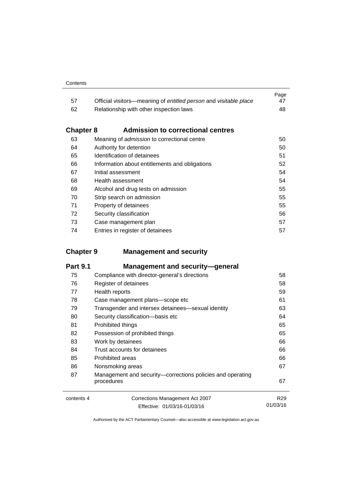|     |                                                                  | Page |
|-----|------------------------------------------------------------------|------|
| -57 | Official visitors—meaning of entitled person and visitable place | 47   |
| 62  | Relationship with other inspection laws                          | 48.  |

# **Chapter 8 [Admission to correctional centres](#page-63-0)**

| 63 | Meaning of admission to correctional centre    | 50 |
|----|------------------------------------------------|----|
| 64 | Authority for detention                        | 50 |
| 65 | Identification of detainees                    | 51 |
| 66 | Information about entitlements and obligations | 52 |
| 67 | Initial assessment                             | 54 |
| 68 | Health assessment                              | 54 |
| 69 | Alcohol and drug tests on admission            | 55 |
| 70 | Strip search on admission                      | 55 |
| 71 | Property of detainees                          | 55 |
| 72 | Security classification                        | 56 |
| 73 | Case management plan                           | 57 |
| 74 | Entries in register of detainees               | 57 |
|    |                                                |    |

# **Chapter 9 [Management and security](#page-71-0)**

| <b>Part 9.1</b> | <b>Management and security-general</b>                                   |                 |
|-----------------|--------------------------------------------------------------------------|-----------------|
| 75              | Compliance with director-general's directions                            | 58              |
| 76              | Register of detainees                                                    | 58              |
| 77              | Health reports                                                           | 59              |
| 78              | Case management plans-scope etc                                          | 61              |
| 79              | Transgender and intersex detainees—sexual identity                       | 63              |
| 80              | Security classification-basis etc                                        | 64              |
| 81              | Prohibited things                                                        | 65              |
| 82              | Possession of prohibited things                                          | 65              |
| 83              | Work by detainees                                                        | 66              |
| 84              | Trust accounts for detainees                                             | 66              |
| 85              | Prohibited areas                                                         | 66              |
| 86              | Nonsmoking areas                                                         | 67              |
| 87              | Management and security—corrections policies and operating<br>procedures | 67              |
| contents 4      | Corrections Management Act 2007                                          | R <sub>29</sub> |
|                 | Fffective: 01/03/16-01/03/16                                             | 01/03/16        |

Effective: 01/03/16-01/03/16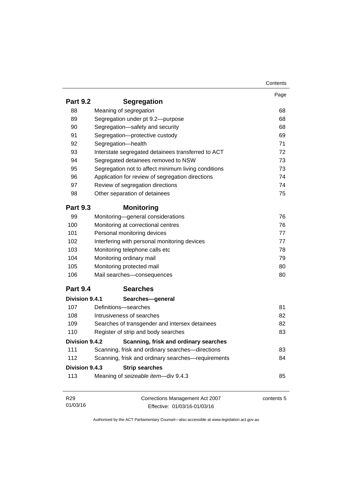|                 |                                                     | Contents   |
|-----------------|-----------------------------------------------------|------------|
|                 |                                                     | Page       |
| <b>Part 9.2</b> | <b>Segregation</b>                                  |            |
| 88              | Meaning of segregation                              | 68         |
| 89              | Segregation under pt 9.2-purpose                    | 68         |
| 90              | Segregation-safety and security                     | 68         |
| 91              | Segregation-protective custody                      | 69         |
| 92              | Segregation-health                                  | 71         |
| 93              | Interstate segregated detainees transferred to ACT  | 72         |
| 94              | Segregated detainees removed to NSW                 | 73         |
| 95              | Segregation not to affect minimum living conditions | 73         |
| 96              | Application for review of segregation directions    | 74         |
| 97              | Review of segregation directions                    | 74         |
| 98              | Other separation of detainees                       | 75         |
| <b>Part 9.3</b> | <b>Monitoring</b>                                   |            |
| 99              | Monitoring-general considerations                   | 76         |
| 100             | Monitoring at correctional centres                  | 76         |
| 101             | Personal monitoring devices                         | 77         |
| 102             | Interfering with personal monitoring devices        | 77         |
| 103             | Monitoring telephone calls etc                      | 78         |
| 104             | Monitoring ordinary mail                            | 79         |
| 105             | Monitoring protected mail                           | 80         |
| 106             | Mail searches-consequences                          | 80         |
| <b>Part 9.4</b> | <b>Searches</b>                                     |            |
| Division 9.4.1  | Searches-general                                    |            |
| 107             | Definitions-searches                                | 81         |
| 108             | Intrusiveness of searches                           | 82         |
| 109             | Searches of transgender and intersex detainees      | 82         |
| 110             | Register of strip and body searches                 | 83         |
| Division 9.4.2  | Scanning, frisk and ordinary searches               |            |
| 111             | Scanning, frisk and ordinary searches-directions    | 83         |
| 112             | Scanning, frisk and ordinary searches-requirements  | 84         |
| Division 9.4.3  | <b>Strip searches</b>                               |            |
| 113             | Meaning of seizeable item-div 9.4.3                 | 85         |
|                 |                                                     |            |
| R <sub>29</sub> | Corrections Management Act 2007                     | contents 5 |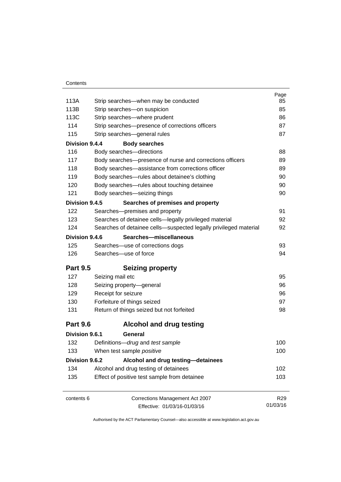|                 |                                                                  | Page            |
|-----------------|------------------------------------------------------------------|-----------------|
| 113A            | Strip searches—when may be conducted                             | 85              |
| 113B            | Strip searches-on suspicion                                      | 85              |
| 113C            | Strip searches-where prudent                                     | 86              |
| 114             | Strip searches-presence of corrections officers                  | 87              |
| 115             | Strip searches-general rules                                     | 87              |
| Division 9.4.4  | <b>Body searches</b>                                             |                 |
| 116             | Body searches-directions                                         | 88              |
| 117             | Body searches-presence of nurse and corrections officers         | 89              |
| 118             | Body searches-assistance from corrections officer                | 89              |
| 119             | Body searches-rules about detainee's clothing                    | 90              |
| 120             | Body searches-rules about touching detainee                      | 90              |
| 121             | Body searches-seizing things                                     | 90              |
| Division 9.4.5  | Searches of premises and property                                |                 |
| 122             | Searches-premises and property                                   | 91              |
| 123             | Searches of detainee cells-legally privileged material           | 92              |
| 124             | Searches of detainee cells-suspected legally privileged material | 92              |
| Division 9.4.6  | Searches-miscellaneous                                           |                 |
| 125             | Searches-use of corrections dogs                                 | 93              |
| 126             | Searches-use of force                                            | 94              |
| <b>Part 9.5</b> | <b>Seizing property</b>                                          |                 |
| 127             | Seizing mail etc                                                 | 95              |
| 128             | Seizing property-general                                         | 96              |
| 129             | Receipt for seizure                                              | 96              |
| 130             | Forfeiture of things seized                                      | 97              |
| 131             | Return of things seized but not forfeited                        | 98              |
| <b>Part 9.6</b> | <b>Alcohol and drug testing</b>                                  |                 |
| Division 9.6.1  | General                                                          |                 |
| 132             | Definitions-drug and test sample                                 | 100             |
| 133             | When test sample positive                                        | 100             |
| Division 9.6.2  | Alcohol and drug testing-detainees                               |                 |
| 134             | Alcohol and drug testing of detainees                            | 102             |
| 135             | Effect of positive test sample from detainee                     | 103             |
|                 |                                                                  |                 |
| contents 6      | Corrections Management Act 2007                                  | R <sub>29</sub> |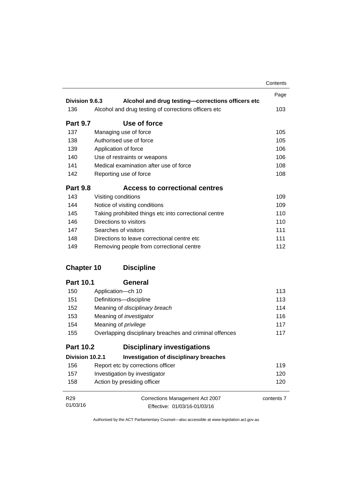|                   |                                                         | Contents   |
|-------------------|---------------------------------------------------------|------------|
|                   |                                                         | Page       |
| Division 9.6.3    | Alcohol and drug testing-corrections officers etc       |            |
| 136               | Alcohol and drug testing of corrections officers etc    | 103        |
| <b>Part 9.7</b>   | Use of force                                            |            |
| 137               | Managing use of force                                   | 105        |
| 138               | Authorised use of force                                 | 105        |
| 139               | Application of force                                    | 106        |
| 140               | Use of restraints or weapons                            | 106        |
| 141               | Medical examination after use of force                  | 108        |
| 142               | Reporting use of force                                  | 108        |
| <b>Part 9.8</b>   | <b>Access to correctional centres</b>                   |            |
| 143               | Visiting conditions                                     | 109        |
| 144               | Notice of visiting conditions                           | 109        |
| 145               | Taking prohibited things etc into correctional centre   | 110        |
| 146               | Directions to visitors                                  | 110        |
| 147               | Searches of visitors                                    | 111        |
| 148               | Directions to leave correctional centre etc.            | 111        |
| 149               | Removing people from correctional centre                | 112        |
| <b>Chapter 10</b> | <b>Discipline</b>                                       |            |
| <b>Part 10.1</b>  | General                                                 |            |
| 150               | Application-ch 10                                       | 113        |
| 151               | Definitions-discipline                                  | 113        |
| 152               | Meaning of disciplinary breach                          | 114        |
| 153               | Meaning of <i>investigator</i>                          | 116        |
| 154               | Meaning of privilege                                    | 117        |
| 155               | Overlapping disciplinary breaches and criminal offences | 117        |
| <b>Part 10.2</b>  | <b>Disciplinary investigations</b>                      |            |
| Division 10.2.1   | <b>Investigation of disciplinary breaches</b>           |            |
| 156               | Report etc by corrections officer                       | 119        |
| 157               | Investigation by investigator                           | 120        |
| 158               | Action by presiding officer                             | 120        |
| R <sub>29</sub>   | Corrections Management Act 2007                         | contents 7 |
| 01/03/16          | Effective: 01/03/16-01/03/16                            |            |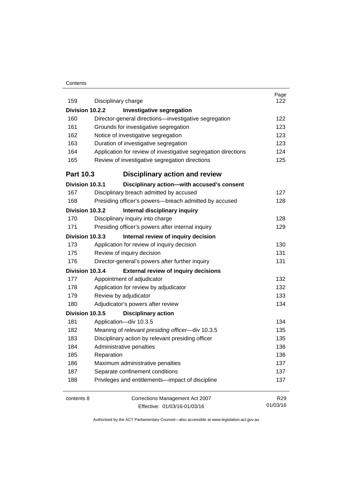#### **Contents**

| 159              | Disciplinary charge                                            | Page<br>122     |
|------------------|----------------------------------------------------------------|-----------------|
| Division 10.2.2  | <b>Investigative segregation</b>                               |                 |
| 160              | Director-general directions-investigative segregation          | 122             |
| 161              | Grounds for investigative segregation                          | 123             |
| 162              | Notice of investigative segregation                            | 123             |
| 163              | Duration of investigative segregation                          | 123             |
| 164              | Application for review of investigative segregation directions | 124             |
| 165              | Review of investigative segregation directions                 | 125             |
| <b>Part 10.3</b> | <b>Disciplinary action and review</b>                          |                 |
| Division 10.3.1  | Disciplinary action-with accused's consent                     |                 |
| 167              | Disciplinary breach admitted by accused                        | 127             |
| 168              | Presiding officer's powers--breach admitted by accused         | 128             |
| Division 10.3.2  | Internal disciplinary inquiry                                  |                 |
| 170              | Disciplinary inquiry into charge                               | 128             |
| 171              | Presiding officer's powers after internal inquiry              | 129             |
| Division 10.3.3  | Internal review of inquiry decision                            |                 |
| 173              | Application for review of inquiry decision                     | 130             |
| 175              | Review of inquiry decision                                     | 131             |
| 176              | Director-general's powers after further inquiry                | 131             |
| Division 10.3.4  | <b>External review of inquiry decisions</b>                    |                 |
| 177              | Appointment of adjudicator                                     | 132             |
| 178              | Application for review by adjudicator                          | 132             |
| 179              | Review by adjudicator                                          | 133             |
| 180              | Adjudicator's powers after review                              | 134             |
| Division 10.3.5  | <b>Disciplinary action</b>                                     |                 |
| 181              | Application-div 10.3.5                                         | 134             |
| 182              | Meaning of relevant presiding officer-div 10.3.5               | 135             |
| 183              | Disciplinary action by relevant presiding officer              | 135             |
| 184              | Administrative penalties                                       | 136             |
| 185              | Reparation                                                     | 136             |
| 186              | Maximum administrative penalties                               | 137             |
| 187              | Separate confinement conditions                                | 137             |
| 188              | Privileges and entitlements-impact of discipline               | 137             |
| contents 8       | Corrections Management Act 2007                                | R <sub>29</sub> |
|                  | Effective: 01/03/16-01/03/16                                   | 01/03/16        |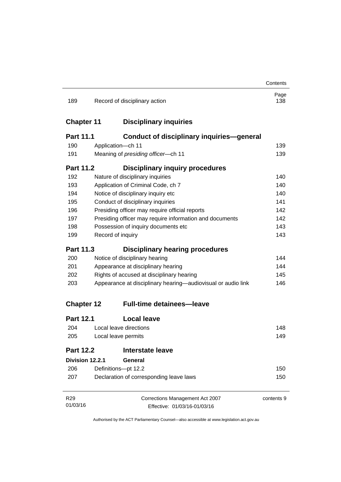|                   |                                                              |                                                         | Contents    |
|-------------------|--------------------------------------------------------------|---------------------------------------------------------|-------------|
| 189               |                                                              | Record of disciplinary action                           | Page<br>138 |
| <b>Chapter 11</b> |                                                              | <b>Disciplinary inquiries</b>                           |             |
| <b>Part 11.1</b>  |                                                              | <b>Conduct of disciplinary inquiries-general</b>        |             |
| 190               |                                                              | Application-ch 11                                       | 139         |
| 191               |                                                              | Meaning of presiding officer-ch 11                      | 139         |
| <b>Part 11.2</b>  |                                                              | <b>Disciplinary inquiry procedures</b>                  |             |
| 192               |                                                              | Nature of disciplinary inquiries                        | 140         |
| 193               |                                                              | Application of Criminal Code, ch 7                      | 140         |
| 194               |                                                              | Notice of disciplinary inquiry etc                      | 140         |
| 195               |                                                              | Conduct of disciplinary inquiries                       | 141         |
| 196               |                                                              | Presiding officer may require official reports          | 142         |
| 197               |                                                              | Presiding officer may require information and documents | 142         |
| 198               |                                                              | Possession of inquiry documents etc                     | 143         |
| 199               |                                                              | Record of inquiry                                       | 143         |
| <b>Part 11.3</b>  |                                                              | <b>Disciplinary hearing procedures</b>                  |             |
| 200               |                                                              | Notice of disciplinary hearing                          | 144         |
| 201               |                                                              | Appearance at disciplinary hearing                      | 144         |
| 202               |                                                              | Rights of accused at disciplinary hearing               | 145         |
| 203               | Appearance at disciplinary hearing—audiovisual or audio link |                                                         | 146         |
| <b>Chapter 12</b> |                                                              | <b>Full-time detainees-leave</b>                        |             |
| <b>Part 12.1</b>  |                                                              | <b>Local leave</b>                                      |             |
| 204               |                                                              | Local leave directions                                  | 148         |
| 205               | Local leave permits                                          |                                                         | 149         |
| <b>Part 12.2</b>  |                                                              | <b>Interstate leave</b>                                 |             |
| Division 12.2.1   |                                                              | General                                                 |             |
| 206               |                                                              | Definitions-pt 12.2                                     | 150         |
| 207               | Declaration of corresponding leave laws                      |                                                         | 150         |
| R <sub>29</sub>   |                                                              | Corrections Management Act 2007                         | contents 9  |
| 01/03/16          |                                                              | Effective: 01/03/16-01/03/16                            |             |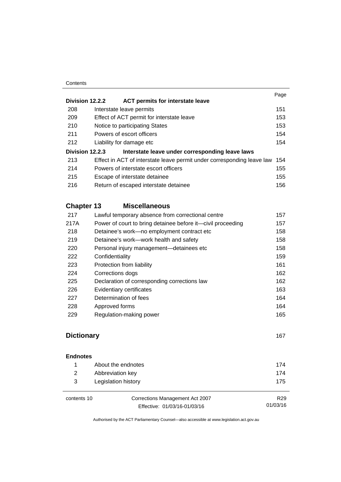#### **Contents**

|                        |                                                                        | Page |
|------------------------|------------------------------------------------------------------------|------|
| Division 12.2.2        | <b>ACT permits for interstate leave</b>                                |      |
| 208                    | Interstate leave permits                                               | 151  |
| 209                    | Effect of ACT permit for interstate leave                              | 153  |
| 210                    | Notice to participating States                                         | 153  |
| 211                    | Powers of escort officers                                              | 154  |
| 212                    | Liability for damage etc.                                              | 154  |
| <b>Division 12.2.3</b> | Interstate leave under corresponding leave laws                        |      |
| 213                    | Effect in ACT of interstate leave permit under corresponding leave law | 154  |
| 214                    | Powers of interstate escort officers                                   | 155  |
| 215                    | Escape of interstate detainee                                          | 155  |
| 216                    | Return of escaped interstate detainee                                  | 156  |
|                        |                                                                        |      |

# **Chapter 13 [Miscellaneous](#page-170-0)**

| 217  | Lawful temporary absence from correctional centre           | 157 |
|------|-------------------------------------------------------------|-----|
| 217A | Power of court to bring detainee before it-civil proceeding | 157 |
| 218  | Detainee's work-no employment contract etc                  | 158 |
| 219  | Detainee's work-work health and safety                      | 158 |
| 220  | Personal injury management—detainees etc                    | 158 |
| 222  | Confidentiality                                             | 159 |
| 223  | Protection from liability                                   | 161 |
| 224  | Corrections dogs                                            | 162 |
| 225  | Declaration of corresponding corrections law                | 162 |
| 226  | Evidentiary certificates                                    | 163 |
| 227  | Determination of fees                                       | 164 |
| 228  | Approved forms                                              | 164 |
| 229  | Regulation-making power                                     | 165 |
|      |                                                             |     |

# **Dictionary** [167](#page-180-0)

| <b>Endnotes</b> |                     |     |
|-----------------|---------------------|-----|
|                 | About the endnotes  | 174 |
| 2               | Abbreviation key    | 174 |
| 3               | Legislation history | 175 |
|                 |                     |     |

contents 10 Corrections Management Act 2007 Effective: 01/03/16-01/03/16

R29 01/03/16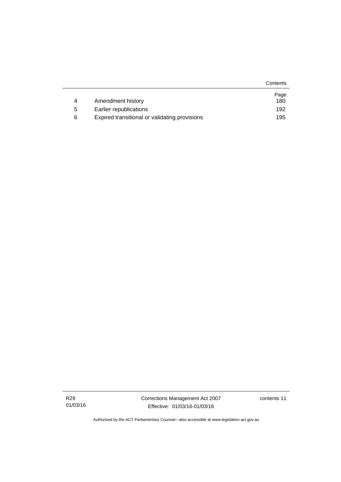|   |                                               | Contents |
|---|-----------------------------------------------|----------|
|   |                                               | Page     |
| 4 | Amendment history                             | 180      |
| 5 | Earlier republications                        | 192      |
| 6 | Expired transitional or validating provisions | 195      |

R29 01/03/16 Corrections Management Act 2007 Effective: 01/03/16-01/03/16

contents 11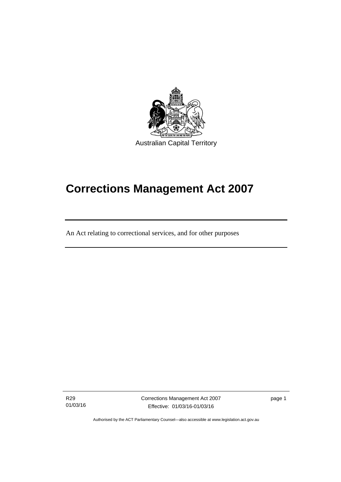

# **Corrections Management Act 2007**

An Act relating to correctional services, and for other purposes

R29 01/03/16

ׅ֚֡֡֡֡֬֝

Corrections Management Act 2007 Effective: 01/03/16-01/03/16

page 1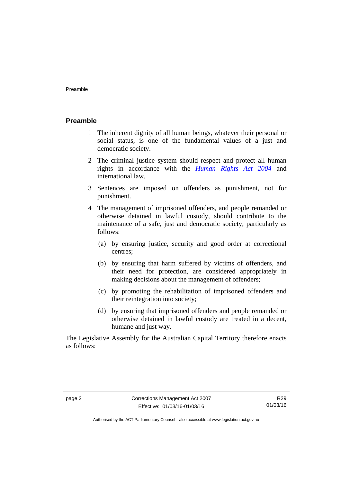#### <span id="page-15-0"></span>**Preamble**

- 1 The inherent dignity of all human beings, whatever their personal or social status, is one of the fundamental values of a just and democratic society.
- 2 The criminal justice system should respect and protect all human rights in accordance with the *[Human Rights Act 2004](http://www.legislation.act.gov.au/a/2004-5)* and international law.
- 3 Sentences are imposed on offenders as punishment, not for punishment.
- 4 The management of imprisoned offenders, and people remanded or otherwise detained in lawful custody, should contribute to the maintenance of a safe, just and democratic society, particularly as follows:
	- (a) by ensuring justice, security and good order at correctional centres;
	- (b) by ensuring that harm suffered by victims of offenders, and their need for protection, are considered appropriately in making decisions about the management of offenders;
	- (c) by promoting the rehabilitation of imprisoned offenders and their reintegration into society;
	- (d) by ensuring that imprisoned offenders and people remanded or otherwise detained in lawful custody are treated in a decent, humane and just way.

The Legislative Assembly for the Australian Capital Territory therefore enacts as follows:

R29 01/03/16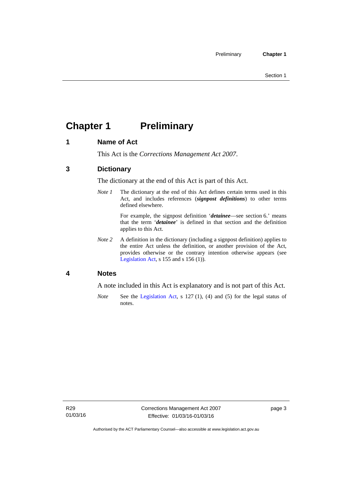# <span id="page-16-0"></span>**Chapter 1 Preliminary**

# <span id="page-16-1"></span>**1 Name of Act**

This Act is the *Corrections Management Act 2007*.

# <span id="page-16-2"></span>**3 Dictionary**

The dictionary at the end of this Act is part of this Act.

*Note 1* The dictionary at the end of this Act defines certain terms used in this Act, and includes references (*signpost definitions*) to other terms defined elsewhere.

> For example, the signpost definition '*detainee*—see section 6.' means that the term '*detainee*' is defined in that section and the definition applies to this Act.

*Note 2* A definition in the dictionary (including a signpost definition) applies to the entire Act unless the definition, or another provision of the Act, provides otherwise or the contrary intention otherwise appears (see [Legislation Act,](http://www.legislation.act.gov.au/a/2001-14) s 155 and s 156 (1)).

# <span id="page-16-3"></span>**4 Notes**

A note included in this Act is explanatory and is not part of this Act.

*Note* See the [Legislation Act,](http://www.legislation.act.gov.au/a/2001-14) s 127 (1), (4) and (5) for the legal status of notes.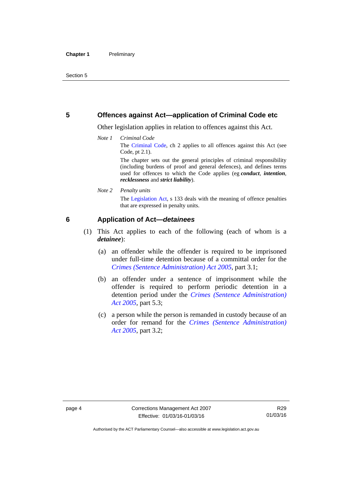### <span id="page-17-0"></span>**5 Offences against Act—application of Criminal Code etc**

Other legislation applies in relation to offences against this Act.

*Note 1 Criminal Code* The [Criminal Code](http://www.legislation.act.gov.au/a/2002-51), ch 2 applies to all offences against this Act (see Code, pt 2.1).

> The chapter sets out the general principles of criminal responsibility (including burdens of proof and general defences), and defines terms used for offences to which the Code applies (eg *conduct*, *intention*, *recklessness* and *strict liability*).

*Note 2 Penalty units* 

The [Legislation Act,](http://www.legislation.act.gov.au/a/2001-14) s 133 deals with the meaning of offence penalties that are expressed in penalty units.

# <span id="page-17-1"></span>**6 Application of Act—***detainees*

- (1) This Act applies to each of the following (each of whom is a *detainee*):
	- (a) an offender while the offender is required to be imprisoned under full-time detention because of a committal order for the *[Crimes \(Sentence Administration\) Act 2005](http://www.legislation.act.gov.au/a/2005-59)*, part 3.1;
	- (b) an offender under a sentence of imprisonment while the offender is required to perform periodic detention in a detention period under the *[Crimes \(Sentence Administration\)](http://www.legislation.act.gov.au/a/2005-59)  [Act 2005](http://www.legislation.act.gov.au/a/2005-59),* part 5.3;
	- (c) a person while the person is remanded in custody because of an order for remand for the *[Crimes \(Sentence Administration\)](http://www.legislation.act.gov.au/a/2005-59)  [Act 2005](http://www.legislation.act.gov.au/a/2005-59)*, part 3.2;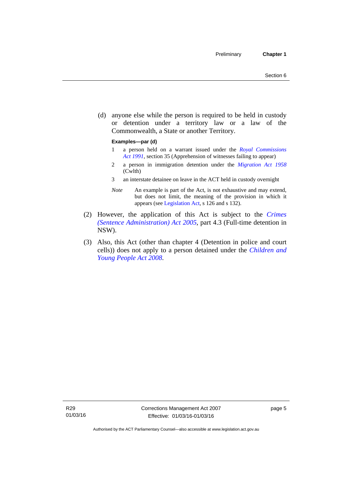(d) anyone else while the person is required to be held in custody or detention under a territory law or a law of the Commonwealth, a State or another Territory.

#### **Examples—par (d)**

- 1 a person held on a warrant issued under the *[Royal Commissions](http://www.legislation.act.gov.au/a/1991-1)  [Act 1991](http://www.legislation.act.gov.au/a/1991-1)*, section 35 (Apprehension of witnesses failing to appear)
- 2 a person in immigration detention under the *[Migration Act 1958](http://www.comlaw.gov.au/Series/C2004A07412)* (Cwlth)
- 3 an interstate detainee on leave in the ACT held in custody overnight
- *Note* An example is part of the Act, is not exhaustive and may extend, but does not limit, the meaning of the provision in which it appears (see [Legislation Act,](http://www.legislation.act.gov.au/a/2001-14) s 126 and s 132).
- (2) However, the application of this Act is subject to the *[Crimes](http://www.legislation.act.gov.au/a/2005-59)  [\(Sentence Administration\) Act 2005](http://www.legislation.act.gov.au/a/2005-59)*, part 4.3 (Full-time detention in NSW).
- (3) Also, this Act (other than chapter 4 (Detention in police and court cells)) does not apply to a person detained under the *[Children and](http://www.legislation.act.gov.au/a/2008-19)  [Young People Act 2008](http://www.legislation.act.gov.au/a/2008-19)*.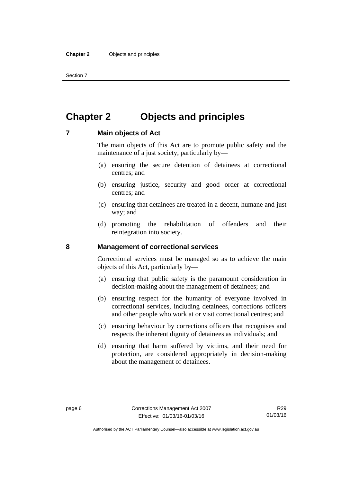Section 7

# <span id="page-19-0"></span>**Chapter 2 Objects and principles**

### <span id="page-19-1"></span>**7 Main objects of Act**

The main objects of this Act are to promote public safety and the maintenance of a just society, particularly by—

- (a) ensuring the secure detention of detainees at correctional centres; and
- (b) ensuring justice, security and good order at correctional centres; and
- (c) ensuring that detainees are treated in a decent, humane and just way; and
- (d) promoting the rehabilitation of offenders and their reintegration into society.

### **8 Management of correctional services**

Correctional services must be managed so as to achieve the main objects of this Act, particularly by—

- (a) ensuring that public safety is the paramount consideration in decision-making about the management of detainees; and
- (b) ensuring respect for the humanity of everyone involved in correctional services, including detainees, corrections officers and other people who work at or visit correctional centres; and
- (c) ensuring behaviour by corrections officers that recognises and respects the inherent dignity of detainees as individuals; and
- (d) ensuring that harm suffered by victims, and their need for protection, are considered appropriately in decision-making about the management of detainees.

<span id="page-19-2"></span>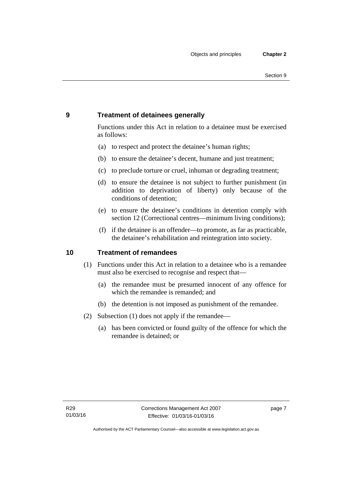# <span id="page-20-0"></span>**9 Treatment of detainees generally**

Functions under this Act in relation to a detainee must be exercised as follows:

- (a) to respect and protect the detainee's human rights;
- (b) to ensure the detainee's decent, humane and just treatment;
- (c) to preclude torture or cruel, inhuman or degrading treatment;
- (d) to ensure the detainee is not subject to further punishment (in addition to deprivation of liberty) only because of the conditions of detention;
- (e) to ensure the detainee's conditions in detention comply with section 12 (Correctional centres—minimum living conditions);
- (f) if the detainee is an offender—to promote, as far as practicable, the detainee's rehabilitation and reintegration into society.

# <span id="page-20-1"></span>**10 Treatment of remandees**

- (1) Functions under this Act in relation to a detainee who is a remandee must also be exercised to recognise and respect that—
	- (a) the remandee must be presumed innocent of any offence for which the remandee is remanded; and
	- (b) the detention is not imposed as punishment of the remandee.
- (2) Subsection (1) does not apply if the remandee—
	- (a) has been convicted or found guilty of the offence for which the remandee is detained; or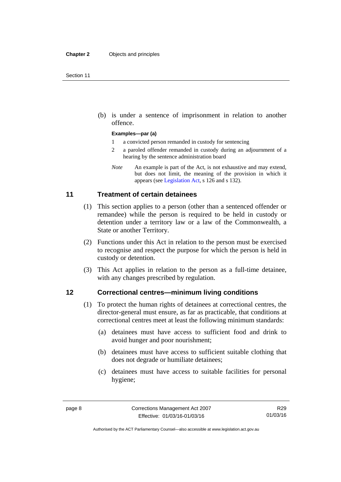(b) is under a sentence of imprisonment in relation to another offence.

#### **Examples—par (a)**

- 1 a convicted person remanded in custody for sentencing
- 2 a paroled offender remanded in custody during an adjournment of a hearing by the sentence administration board
- *Note* An example is part of the Act, is not exhaustive and may extend, but does not limit, the meaning of the provision in which it appears (see [Legislation Act,](http://www.legislation.act.gov.au/a/2001-14) s 126 and s 132).

# <span id="page-21-0"></span>**11 Treatment of certain detainees**

- (1) This section applies to a person (other than a sentenced offender or remandee) while the person is required to be held in custody or detention under a territory law or a law of the Commonwealth, a State or another Territory.
- (2) Functions under this Act in relation to the person must be exercised to recognise and respect the purpose for which the person is held in custody or detention.
- (3) This Act applies in relation to the person as a full-time detainee, with any changes prescribed by regulation.

### <span id="page-21-1"></span>**12 Correctional centres—minimum living conditions**

- (1) To protect the human rights of detainees at correctional centres, the director-general must ensure, as far as practicable, that conditions at correctional centres meet at least the following minimum standards:
	- (a) detainees must have access to sufficient food and drink to avoid hunger and poor nourishment;
	- (b) detainees must have access to sufficient suitable clothing that does not degrade or humiliate detainees;
	- (c) detainees must have access to suitable facilities for personal hygiene;

Authorised by the ACT Parliamentary Counsel—also accessible at www.legislation.act.gov.au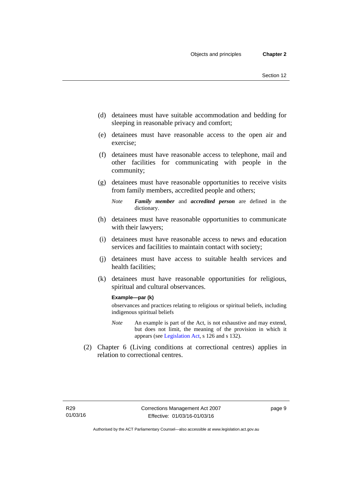- (d) detainees must have suitable accommodation and bedding for sleeping in reasonable privacy and comfort;
- (e) detainees must have reasonable access to the open air and exercise;
- (f) detainees must have reasonable access to telephone, mail and other facilities for communicating with people in the community;
- (g) detainees must have reasonable opportunities to receive visits from family members, accredited people and others;
	- *Note Family member* and *accredited person* are defined in the dictionary.
- (h) detainees must have reasonable opportunities to communicate with their lawyers;
- (i) detainees must have reasonable access to news and education services and facilities to maintain contact with society;
- (j) detainees must have access to suitable health services and health facilities;
- (k) detainees must have reasonable opportunities for religious, spiritual and cultural observances.

#### **Example—par (k)**

observances and practices relating to religious or spiritual beliefs, including indigenous spiritual beliefs

- *Note* An example is part of the Act, is not exhaustive and may extend, but does not limit, the meaning of the provision in which it appears (see [Legislation Act,](http://www.legislation.act.gov.au/a/2001-14) s 126 and s 132).
- (2) Chapter 6 (Living conditions at correctional centres) applies in relation to correctional centres.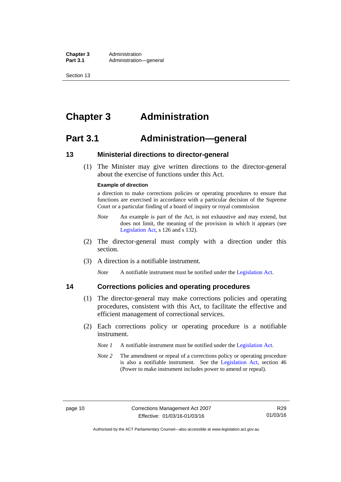**Chapter 3** Administration<br>**Part 3.1** Administration Administration—general

Section 13

# <span id="page-23-0"></span>**Chapter 3 Administration**

# <span id="page-23-1"></span>**Part 3.1 Administration—general**

# <span id="page-23-2"></span>**13 Ministerial directions to director-general**

 (1) The Minister may give written directions to the director-general about the exercise of functions under this Act.

#### **Example of direction**

a direction to make corrections policies or operating procedures to ensure that functions are exercised in accordance with a particular decision of the Supreme Court or a particular finding of a board of inquiry or royal commission

- *Note* An example is part of the Act, is not exhaustive and may extend, but does not limit, the meaning of the provision in which it appears (see [Legislation Act,](http://www.legislation.act.gov.au/a/2001-14) s 126 and s 132).
- (2) The director-general must comply with a direction under this section.
- (3) A direction is a notifiable instrument.

*Note* A notifiable instrument must be notified under the [Legislation Act](http://www.legislation.act.gov.au/a/2001-14).

# <span id="page-23-3"></span>**14 Corrections policies and operating procedures**

- (1) The director-general may make corrections policies and operating procedures, consistent with this Act, to facilitate the effective and efficient management of correctional services.
- (2) Each corrections policy or operating procedure is a notifiable instrument.
	- *Note 1* A notifiable instrument must be notified under the [Legislation Act](http://www.legislation.act.gov.au/a/2001-14).
	- *Note* 2 The amendment or repeal of a corrections policy or operating procedure is also a notifiable instrument. See the [Legislation Act,](http://www.legislation.act.gov.au/a/2001-14) section 46 (Power to make instrument includes power to amend or repeal).

Authorised by the ACT Parliamentary Counsel—also accessible at www.legislation.act.gov.au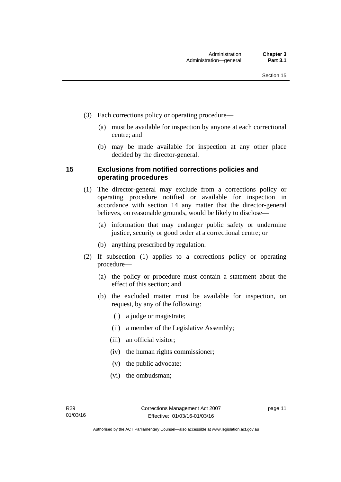- (3) Each corrections policy or operating procedure—
	- (a) must be available for inspection by anyone at each correctional centre; and
	- (b) may be made available for inspection at any other place decided by the director-general.

# <span id="page-24-0"></span>**15 Exclusions from notified corrections policies and operating procedures**

- (1) The director-general may exclude from a corrections policy or operating procedure notified or available for inspection in accordance with section 14 any matter that the director-general believes, on reasonable grounds, would be likely to disclose—
	- (a) information that may endanger public safety or undermine justice, security or good order at a correctional centre; or
	- (b) anything prescribed by regulation.
- (2) If subsection (1) applies to a corrections policy or operating procedure—
	- (a) the policy or procedure must contain a statement about the effect of this section; and
	- (b) the excluded matter must be available for inspection, on request, by any of the following:
		- (i) a judge or magistrate;
		- (ii) a member of the Legislative Assembly;
		- (iii) an official visitor;
		- (iv) the human rights commissioner;
		- (v) the public advocate;
		- (vi) the ombudsman;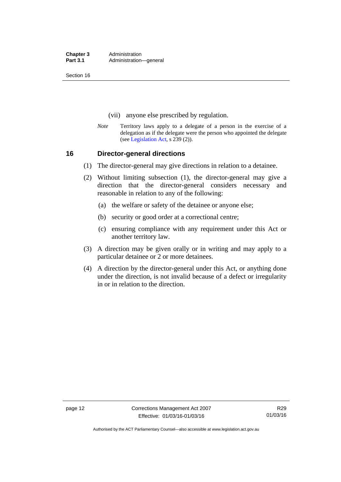**Chapter 3** Administration<br>**Part 3.1** Administration Administration—general

Section 16

- (vii) anyone else prescribed by regulation.
- *Note* Territory laws apply to a delegate of a person in the exercise of a delegation as if the delegate were the person who appointed the delegate (see [Legislation Act,](http://www.legislation.act.gov.au/a/2001-14) s 239 (2)).

### <span id="page-25-0"></span>**16 Director-general directions**

- (1) The director-general may give directions in relation to a detainee.
- (2) Without limiting subsection (1), the director-general may give a direction that the director-general considers necessary and reasonable in relation to any of the following:
	- (a) the welfare or safety of the detainee or anyone else;
	- (b) security or good order at a correctional centre;
	- (c) ensuring compliance with any requirement under this Act or another territory law.
- (3) A direction may be given orally or in writing and may apply to a particular detainee or 2 or more detainees.
- (4) A direction by the director-general under this Act, or anything done under the direction, is not invalid because of a defect or irregularity in or in relation to the direction.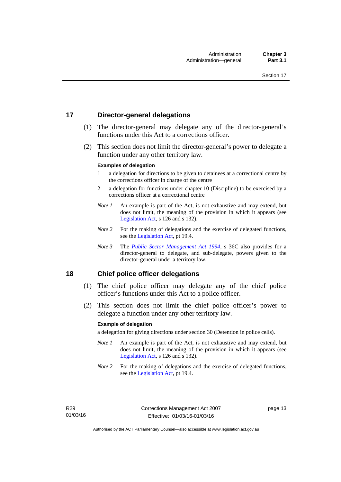# <span id="page-26-0"></span>**17 Director-general delegations**

- (1) The director-general may delegate any of the director-general's functions under this Act to a corrections officer.
- (2) This section does not limit the director-general's power to delegate a function under any other territory law.

#### **Examples of delegation**

- 1 a delegation for directions to be given to detainees at a correctional centre by the corrections officer in charge of the centre
- 2 a delegation for functions under chapter 10 (Discipline) to be exercised by a corrections officer at a correctional centre
- *Note 1* An example is part of the Act, is not exhaustive and may extend, but does not limit, the meaning of the provision in which it appears (see [Legislation Act,](http://www.legislation.act.gov.au/a/2001-14) s 126 and s 132).
- *Note* 2 For the making of delegations and the exercise of delegated functions, see the [Legislation Act,](http://www.legislation.act.gov.au/a/2001-14) pt 19.4.
- *Note 3* The *[Public Sector Management Act 1994](http://www.legislation.act.gov.au/a/1994-37)*, s 36C also provides for a director-general to delegate, and sub-delegate, powers given to the director-general under a territory law.

# <span id="page-26-1"></span>**18 Chief police officer delegations**

- (1) The chief police officer may delegate any of the chief police officer's functions under this Act to a police officer.
- (2) This section does not limit the chief police officer's power to delegate a function under any other territory law.

#### **Example of delegation**

a delegation for giving directions under section 30 (Detention in police cells).

- *Note 1* An example is part of the Act, is not exhaustive and may extend, but does not limit, the meaning of the provision in which it appears (see [Legislation Act,](http://www.legislation.act.gov.au/a/2001-14) s 126 and s 132).
- *Note* 2 For the making of delegations and the exercise of delegated functions, see the [Legislation Act,](http://www.legislation.act.gov.au/a/2001-14) pt 19.4.

page 13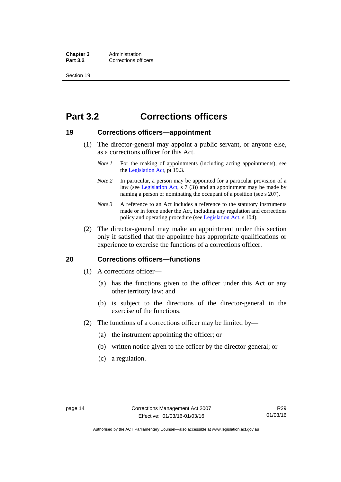**Chapter 3** Administration<br>**Part 3.2** Corrections of **Corrections officers** 

Section 19

# <span id="page-27-0"></span>**Part 3.2 Corrections officers**

### <span id="page-27-1"></span>**19 Corrections officers—appointment**

- (1) The director-general may appoint a public servant, or anyone else, as a corrections officer for this Act.
	- *Note 1* For the making of appointments (including acting appointments), see the [Legislation Act,](http://www.legislation.act.gov.au/a/2001-14) pt 19.3.
	- *Note* 2 In particular, a person may be appointed for a particular provision of a law (see [Legislation Act,](http://www.legislation.act.gov.au/a/2001-14) s 7 (3)) and an appointment may be made by naming a person or nominating the occupant of a position (see s 207).
	- *Note 3* A reference to an Act includes a reference to the statutory instruments made or in force under the Act, including any regulation and corrections policy and operating procedure (see [Legislation Act,](http://www.legislation.act.gov.au/a/2001-14) s 104).
- (2) The director-general may make an appointment under this section only if satisfied that the appointee has appropriate qualifications or experience to exercise the functions of a corrections officer.

### <span id="page-27-2"></span>**20 Corrections officers—functions**

- (1) A corrections officer—
	- (a) has the functions given to the officer under this Act or any other territory law; and
	- (b) is subject to the directions of the director-general in the exercise of the functions.
- (2) The functions of a corrections officer may be limited by—
	- (a) the instrument appointing the officer; or
	- (b) written notice given to the officer by the director-general; or
	- (c) a regulation.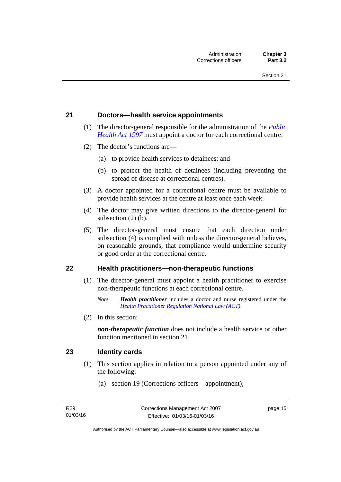### <span id="page-28-0"></span>**21 Doctors—health service appointments**

- (1) The director-general responsible for the administration of the *[Public](http://www.legislation.act.gov.au/a/1997-69)  [Health Act 1997](http://www.legislation.act.gov.au/a/1997-69)* must appoint a doctor for each correctional centre.
- (2) The doctor's functions are—
	- (a) to provide health services to detainees; and
	- (b) to protect the health of detainees (including preventing the spread of disease at correctional centres).
- (3) A doctor appointed for a correctional centre must be available to provide health services at the centre at least once each week.
- (4) The doctor may give written directions to the director-general for subsection (2) (b).
- (5) The director-general must ensure that each direction under subsection (4) is complied with unless the director-general believes, on reasonable grounds, that compliance would undermine security or good order at the correctional centre.

### <span id="page-28-1"></span>**22 Health practitioners—non-therapeutic functions**

- (1) The director-general must appoint a health practitioner to exercise non-therapeutic functions at each correctional centre.
	- *Note Health practitioner* includes a doctor and nurse registered under the *[Health Practitioner Regulation National Law \(ACT\)](http://www.legislation.act.gov.au/a/db_39269/default.asp)*.
- (2) In this section:

*non-therapeutic function* does not include a health service or other function mentioned in section 21.

### <span id="page-28-2"></span>**23 Identity cards**

- (1) This section applies in relation to a person appointed under any of the following:
	- (a) section 19 (Corrections officers—appointment);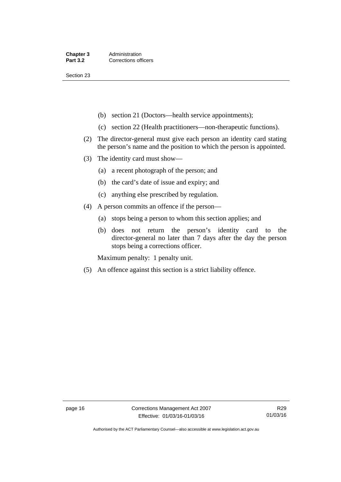Section 23

- (b) section 21 (Doctors—health service appointments);
- (c) section 22 (Health practitioners—non-therapeutic functions).
- (2) The director-general must give each person an identity card stating the person's name and the position to which the person is appointed.
- (3) The identity card must show—
	- (a) a recent photograph of the person; and
	- (b) the card's date of issue and expiry; and
	- (c) anything else prescribed by regulation.
- (4) A person commits an offence if the person—
	- (a) stops being a person to whom this section applies; and
	- (b) does not return the person's identity card to the director-general no later than 7 days after the day the person stops being a corrections officer.

Maximum penalty: 1 penalty unit.

(5) An offence against this section is a strict liability offence.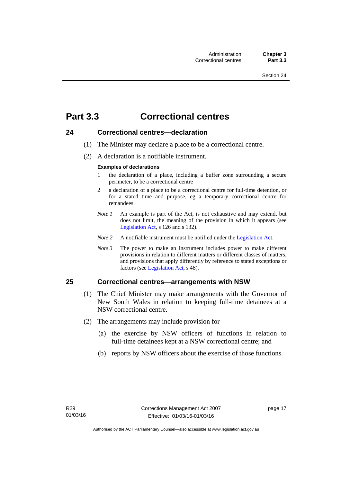# <span id="page-30-0"></span>**Part 3.3 Correctional centres**

# <span id="page-30-1"></span>**24 Correctional centres—declaration**

- (1) The Minister may declare a place to be a correctional centre.
- (2) A declaration is a notifiable instrument.

#### **Examples of declarations**

- 1 the declaration of a place, including a buffer zone surrounding a secure perimeter, to be a correctional centre
- 2 a declaration of a place to be a correctional centre for full-time detention, or for a stated time and purpose, eg a temporary correctional centre for remandees
- *Note 1* An example is part of the Act, is not exhaustive and may extend, but does not limit, the meaning of the provision in which it appears (see [Legislation Act,](http://www.legislation.act.gov.au/a/2001-14) s 126 and s 132).
- *Note 2* A notifiable instrument must be notified under the [Legislation Act](http://www.legislation.act.gov.au/a/2001-14).
- *Note 3* The power to make an instrument includes power to make different provisions in relation to different matters or different classes of matters, and provisions that apply differently by reference to stated exceptions or factors (see [Legislation Act](http://www.legislation.act.gov.au/a/2001-14), s 48).

# <span id="page-30-2"></span>**25 Correctional centres—arrangements with NSW**

- (1) The Chief Minister may make arrangements with the Governor of New South Wales in relation to keeping full-time detainees at a NSW correctional centre.
- (2) The arrangements may include provision for—
	- (a) the exercise by NSW officers of functions in relation to full-time detainees kept at a NSW correctional centre; and
	- (b) reports by NSW officers about the exercise of those functions.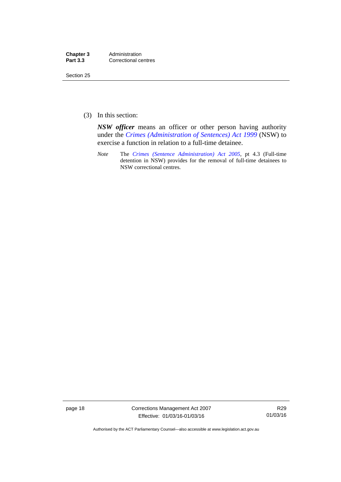| Chapter 3       | Administration       |
|-----------------|----------------------|
| <b>Part 3.3</b> | Correctional centres |

Section 25

(3) In this section:

*NSW officer* means an officer or other person having authority under the *[Crimes \(Administration of Sentences\) Act 1999](http://www.legislation.nsw.gov.au/maintop/view/inforce/act+93+1999+cd+0+N)* (NSW) to exercise a function in relation to a full-time detainee.

*Note* The *[Crimes \(Sentence Administration\) Act 2005](http://www.legislation.act.gov.au/a/2005-59)*, pt 4.3 (Full-time detention in NSW) provides for the removal of full-time detainees to NSW correctional centres.

page 18 Corrections Management Act 2007 Effective: 01/03/16-01/03/16

R29 01/03/16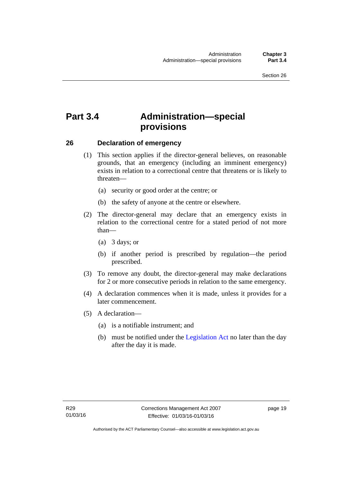# <span id="page-32-0"></span>**Part 3.4 Administration—special provisions**

# <span id="page-32-1"></span>**26 Declaration of emergency**

- (1) This section applies if the director-general believes, on reasonable grounds, that an emergency (including an imminent emergency) exists in relation to a correctional centre that threatens or is likely to threaten—
	- (a) security or good order at the centre; or
	- (b) the safety of anyone at the centre or elsewhere.
- (2) The director-general may declare that an emergency exists in relation to the correctional centre for a stated period of not more than—
	- (a) 3 days; or
	- (b) if another period is prescribed by regulation—the period prescribed.
- (3) To remove any doubt, the director-general may make declarations for 2 or more consecutive periods in relation to the same emergency.
- (4) A declaration commences when it is made, unless it provides for a later commencement.
- (5) A declaration—
	- (a) is a notifiable instrument; and
	- (b) must be notified under the [Legislation Act](http://www.legislation.act.gov.au/a/2001-14) no later than the day after the day it is made.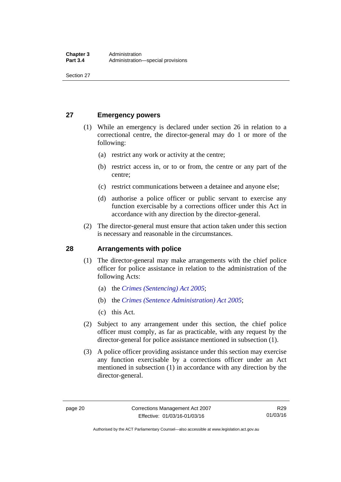Section 27

# <span id="page-33-0"></span>**27 Emergency powers**

- (1) While an emergency is declared under section 26 in relation to a correctional centre, the director-general may do 1 or more of the following:
	- (a) restrict any work or activity at the centre;
	- (b) restrict access in, or to or from, the centre or any part of the centre;
	- (c) restrict communications between a detainee and anyone else;
	- (d) authorise a police officer or public servant to exercise any function exercisable by a corrections officer under this Act in accordance with any direction by the director-general.
- (2) The director-general must ensure that action taken under this section is necessary and reasonable in the circumstances.

# <span id="page-33-1"></span>**28 Arrangements with police**

- (1) The director-general may make arrangements with the chief police officer for police assistance in relation to the administration of the following Acts:
	- (a) the *[Crimes \(Sentencing\) Act 2005](http://www.legislation.act.gov.au/a/2005-58)*;
	- (b) the *[Crimes \(Sentence Administration\) Act 2005](http://www.legislation.act.gov.au/a/2005-59)*;
	- (c) this Act.
- (2) Subject to any arrangement under this section, the chief police officer must comply, as far as practicable, with any request by the director-general for police assistance mentioned in subsection (1).
- (3) A police officer providing assistance under this section may exercise any function exercisable by a corrections officer under an Act mentioned in subsection (1) in accordance with any direction by the director-general.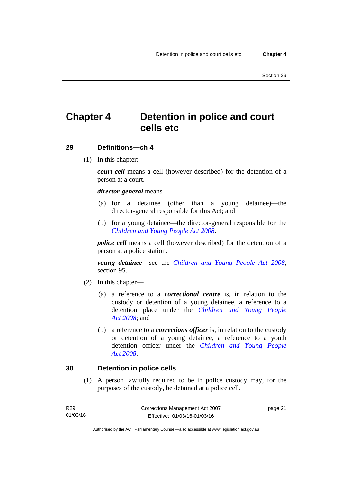# <span id="page-34-0"></span>**Chapter 4 Detention in police and court cells etc**

# <span id="page-34-1"></span>**29 Definitions—ch 4**

(1) In this chapter:

*court cell* means a cell (however described) for the detention of a person at a court.

### *director-general* means—

- (a) for a detainee (other than a young detainee)—the director-general responsible for this Act; and
- (b) for a young detainee—the director-general responsible for the *[Children and Young People Act 2008](http://www.legislation.act.gov.au/a/2008-19)*.

*police cell* means a cell (however described) for the detention of a person at a police station.

*young detainee*—see the *[Children and Young People Act 2008](http://www.legislation.act.gov.au/a/2008-19)*, section 95.

- (2) In this chapter—
	- (a) a reference to a *correctional centre* is, in relation to the custody or detention of a young detainee, a reference to a detention place under the *[Children and Young People](http://www.legislation.act.gov.au/a/2008-19)  [Act 2008](http://www.legislation.act.gov.au/a/2008-19)*; and
	- (b) a reference to a *corrections officer* is, in relation to the custody or detention of a young detainee, a reference to a youth detention officer under the *[Children and Young People](http://www.legislation.act.gov.au/a/2008-19)  [Act 2008](http://www.legislation.act.gov.au/a/2008-19)*.

### <span id="page-34-2"></span>**30 Detention in police cells**

(1) A person lawfully required to be in police custody may, for the purposes of the custody, be detained at a police cell.

| R29      | Corrections Management Act 2007 | page 21 |
|----------|---------------------------------|---------|
| 01/03/16 | Effective: 01/03/16-01/03/16    |         |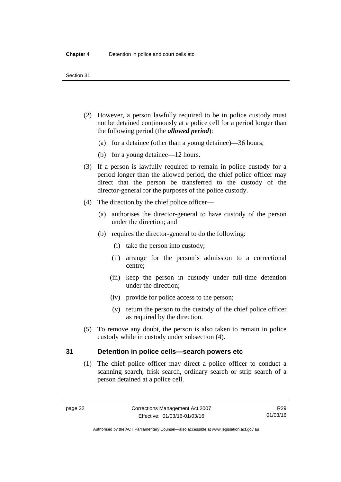- (2) However, a person lawfully required to be in police custody must not be detained continuously at a police cell for a period longer than the following period (the *allowed period*):
	- (a) for a detainee (other than a young detainee)—36 hours;
	- (b) for a young detainee—12 hours.
- (3) If a person is lawfully required to remain in police custody for a period longer than the allowed period, the chief police officer may direct that the person be transferred to the custody of the director-general for the purposes of the police custody.
- (4) The direction by the chief police officer—
	- (a) authorises the director-general to have custody of the person under the direction; and
	- (b) requires the director-general to do the following:
		- (i) take the person into custody;
		- (ii) arrange for the person's admission to a correctional centre;
		- (iii) keep the person in custody under full-time detention under the direction;
		- (iv) provide for police access to the person;
		- (v) return the person to the custody of the chief police officer as required by the direction.
- (5) To remove any doubt, the person is also taken to remain in police custody while in custody under subsection (4).

# <span id="page-35-0"></span>**31 Detention in police cells—search powers etc**

(1) The chief police officer may direct a police officer to conduct a scanning search, frisk search, ordinary search or strip search of a person detained at a police cell.

Authorised by the ACT Parliamentary Counsel—also accessible at www.legislation.act.gov.au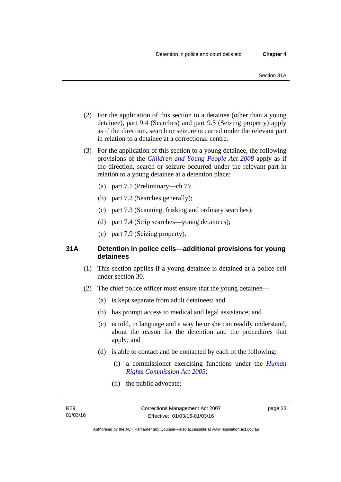- (2) For the application of this section to a detainee (other than a young detainee), part 9.4 (Searches) and part 9.5 (Seizing property) apply as if the direction, search or seizure occurred under the relevant part in relation to a detainee at a correctional centre.
- (3) For the application of this section to a young detainee, the following provisions of the *[Children and Young People Act 2008](http://www.legislation.act.gov.au/a/2008-19)* apply as if the direction, search or seizure occurred under the relevant part in relation to a young detainee at a detention place:
	- (a) part 7.1 (Preliminary—ch 7);
	- (b) part 7.2 (Searches generally);
	- (c) part 7.3 (Scanning, frisking and ordinary searches);
	- (d) part 7.4 (Strip searches—young detainees);
	- (e) part 7.9 (Seizing property).

## **31A Detention in police cells—additional provisions for young detainees**

- (1) This section applies if a young detainee is detained at a police cell under section 30.
- (2) The chief police officer must ensure that the young detainee—
	- (a) is kept separate from adult detainees; and
	- (b) has prompt access to medical and legal assistance; and
	- (c) is told, in language and a way he or she can readily understand, about the reason for the detention and the procedures that apply; and
	- (d) is able to contact and be contacted by each of the following:
		- (i) a commissioner exercising functions under the *[Human](http://www.legislation.act.gov.au/a/2005-40)  [Rights Commission Act 2005](http://www.legislation.act.gov.au/a/2005-40)*;
		- (ii) the public advocate;

page 23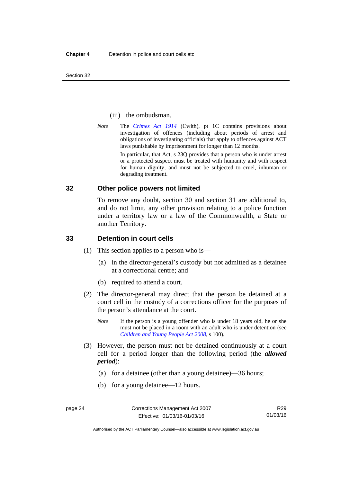Section 32

#### (iii) the ombudsman.

*Note* The *[Crimes Act 1914](http://www.comlaw.gov.au/Series/C2004A07391)* (Cwlth), pt 1C contains provisions about investigation of offences (including about periods of arrest and obligations of investigating officials) that apply to offences against ACT laws punishable by imprisonment for longer than 12 months.

In particular, that Act, s 23Q provides that a person who is under arrest or a protected suspect must be treated with humanity and with respect for human dignity, and must not be subjected to cruel, inhuman or degrading treatment.

## **32 Other police powers not limited**

To remove any doubt, section 30 and section 31 are additional to, and do not limit, any other provision relating to a police function under a territory law or a law of the Commonwealth, a State or another Territory.

## **33 Detention in court cells**

- (1) This section applies to a person who is—
	- (a) in the director-general's custody but not admitted as a detainee at a correctional centre; and
	- (b) required to attend a court.
- (2) The director-general may direct that the person be detained at a court cell in the custody of a corrections officer for the purposes of the person's attendance at the court.
	- *Note* If the person is a young offender who is under 18 years old, he or she must not be placed in a room with an adult who is under detention (see *[Children and Young People Act 2008](http://www.legislation.act.gov.au/a/2008-19)*, s 100).
- (3) However, the person must not be detained continuously at a court cell for a period longer than the following period (the *allowed period*):
	- (a) for a detainee (other than a young detainee)—36 hours;
	- (b) for a young detainee—12 hours.

Authorised by the ACT Parliamentary Counsel—also accessible at www.legislation.act.gov.au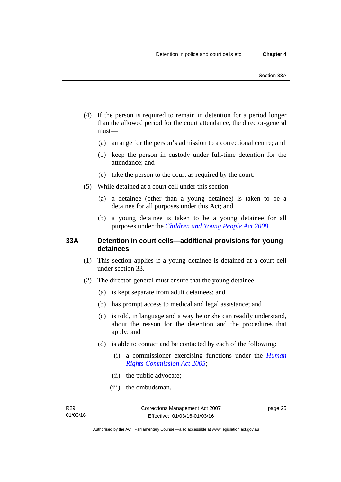- (4) If the person is required to remain in detention for a period longer than the allowed period for the court attendance, the director-general must—
	- (a) arrange for the person's admission to a correctional centre; and
	- (b) keep the person in custody under full-time detention for the attendance; and
	- (c) take the person to the court as required by the court.
- (5) While detained at a court cell under this section—
	- (a) a detainee (other than a young detainee) is taken to be a detainee for all purposes under this Act; and
	- (b) a young detainee is taken to be a young detainee for all purposes under the *[Children and Young People Act 2008](http://www.legislation.act.gov.au/a/2008-19)*.

## **33A Detention in court cells—additional provisions for young detainees**

- (1) This section applies if a young detainee is detained at a court cell under section 33.
- (2) The director-general must ensure that the young detainee—
	- (a) is kept separate from adult detainees; and
	- (b) has prompt access to medical and legal assistance; and
	- (c) is told, in language and a way he or she can readily understand, about the reason for the detention and the procedures that apply; and
	- (d) is able to contact and be contacted by each of the following:
		- (i) a commissioner exercising functions under the *[Human](http://www.legislation.act.gov.au/a/2005-40)  [Rights Commission Act 2005](http://www.legislation.act.gov.au/a/2005-40)*;
		- (ii) the public advocate;
		- (iii) the ombudsman.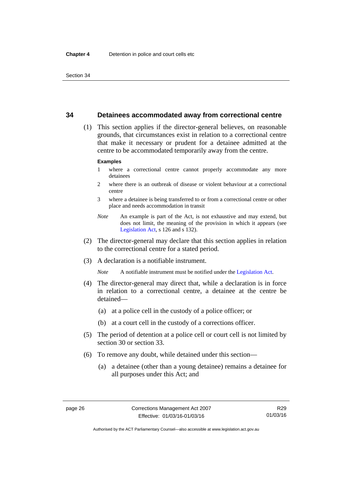## **34 Detainees accommodated away from correctional centre**

 (1) This section applies if the director-general believes, on reasonable grounds, that circumstances exist in relation to a correctional centre that make it necessary or prudent for a detainee admitted at the centre to be accommodated temporarily away from the centre.

#### **Examples**

- 1 where a correctional centre cannot properly accommodate any more detainees
- 2 where there is an outbreak of disease or violent behaviour at a correctional centre
- 3 where a detainee is being transferred to or from a correctional centre or other place and needs accommodation in transit
- *Note* An example is part of the Act, is not exhaustive and may extend, but does not limit, the meaning of the provision in which it appears (see [Legislation Act,](http://www.legislation.act.gov.au/a/2001-14) s 126 and s 132).
- (2) The director-general may declare that this section applies in relation to the correctional centre for a stated period.
- (3) A declaration is a notifiable instrument.

*Note* A notifiable instrument must be notified under the [Legislation Act](http://www.legislation.act.gov.au/a/2001-14).

- (4) The director-general may direct that, while a declaration is in force in relation to a correctional centre, a detainee at the centre be detained—
	- (a) at a police cell in the custody of a police officer; or
	- (b) at a court cell in the custody of a corrections officer.
- (5) The period of detention at a police cell or court cell is not limited by section 30 or section 33.
- (6) To remove any doubt, while detained under this section—
	- (a) a detainee (other than a young detainee) remains a detainee for all purposes under this Act; and

Authorised by the ACT Parliamentary Counsel—also accessible at www.legislation.act.gov.au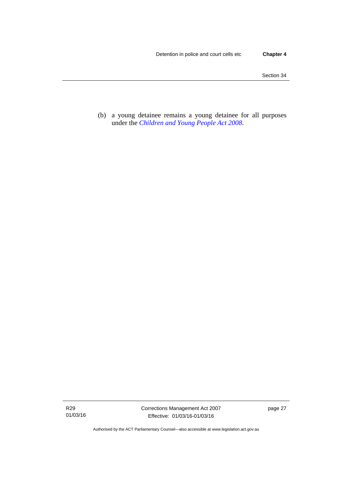(b) a young detainee remains a young detainee for all purposes under the *[Children and Young People Act 2008](http://www.legislation.act.gov.au/a/2008-19)*.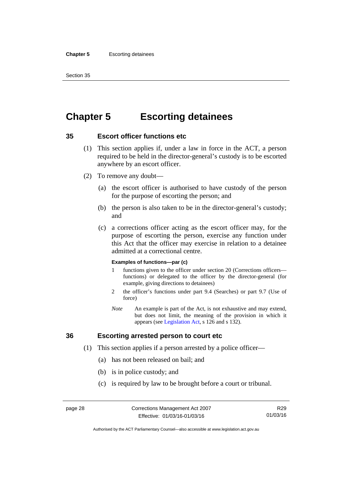#### **Chapter 5** Escorting detainees

Section 35

# **Chapter 5 Escorting detainees**

## **35 Escort officer functions etc**

- (1) This section applies if, under a law in force in the ACT, a person required to be held in the director-general's custody is to be escorted anywhere by an escort officer.
- (2) To remove any doubt—
	- (a) the escort officer is authorised to have custody of the person for the purpose of escorting the person; and
	- (b) the person is also taken to be in the director-general's custody; and
	- (c) a corrections officer acting as the escort officer may, for the purpose of escorting the person, exercise any function under this Act that the officer may exercise in relation to a detainee admitted at a correctional centre.

#### **Examples of functions—par (c)**

- 1 functions given to the officer under section 20 (Corrections officers functions) or delegated to the officer by the director-general (for example, giving directions to detainees)
- 2 the officer's functions under part 9.4 (Searches) or part 9.7 (Use of force)
- *Note* An example is part of the Act, is not exhaustive and may extend, but does not limit, the meaning of the provision in which it appears (see [Legislation Act,](http://www.legislation.act.gov.au/a/2001-14) s 126 and s 132).

## **36 Escorting arrested person to court etc**

- (1) This section applies if a person arrested by a police officer—
	- (a) has not been released on bail; and
	- (b) is in police custody; and
	- (c) is required by law to be brought before a court or tribunal.

R29 01/03/16

Authorised by the ACT Parliamentary Counsel—also accessible at www.legislation.act.gov.au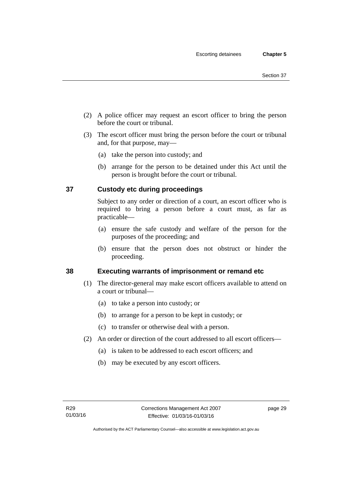- (2) A police officer may request an escort officer to bring the person before the court or tribunal.
- (3) The escort officer must bring the person before the court or tribunal and, for that purpose, may—
	- (a) take the person into custody; and
	- (b) arrange for the person to be detained under this Act until the person is brought before the court or tribunal.

# **37 Custody etc during proceedings**

Subject to any order or direction of a court, an escort officer who is required to bring a person before a court must, as far as practicable—

- (a) ensure the safe custody and welfare of the person for the purposes of the proceeding; and
- (b) ensure that the person does not obstruct or hinder the proceeding.

# **38 Executing warrants of imprisonment or remand etc**

- (1) The director-general may make escort officers available to attend on a court or tribunal—
	- (a) to take a person into custody; or
	- (b) to arrange for a person to be kept in custody; or
	- (c) to transfer or otherwise deal with a person.
- (2) An order or direction of the court addressed to all escort officers—
	- (a) is taken to be addressed to each escort officers; and
	- (b) may be executed by any escort officers.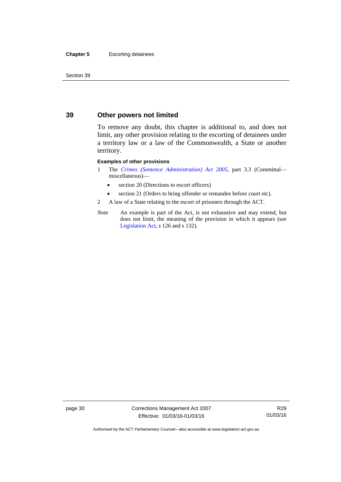#### **Chapter 5** Escorting detainees

Section 39

## **39 Other powers not limited**

To remove any doubt, this chapter is additional to, and does not limit, any other provision relating to the escorting of detainees under a territory law or a law of the Commonwealth, a State or another territory.

#### **Examples of other provisions**

- 1 The *[Crimes \(Sentence Administration\) Act 2005](http://www.legislation.act.gov.au/a/2005-59)*, part 3.3 (Committal miscellaneous)—
	- section 20 (Directions to escort officers)
	- section 21 (Orders to bring offender or remandee before court etc).
- 2 A law of a State relating to the escort of prisoners through the ACT.
- *Note* An example is part of the Act, is not exhaustive and may extend, but does not limit, the meaning of the provision in which it appears (see [Legislation Act,](http://www.legislation.act.gov.au/a/2001-14) s 126 and s 132).

page 30 Corrections Management Act 2007 Effective: 01/03/16-01/03/16

R29 01/03/16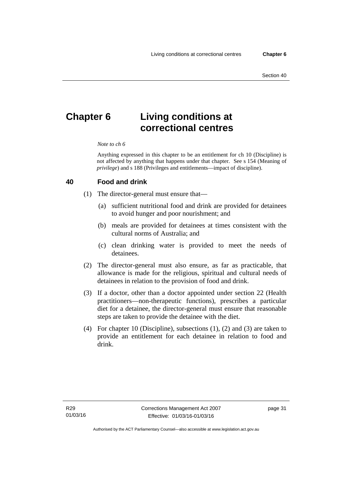# **Chapter 6 Living conditions at correctional centres**

#### *Note to ch 6*

Anything expressed in this chapter to be an entitlement for ch 10 (Discipline) is not affected by anything that happens under that chapter. See s 154 (Meaning of *privilege*) and s 188 (Privileges and entitlements—impact of discipline).

#### **40 Food and drink**

- (1) The director-general must ensure that—
	- (a) sufficient nutritional food and drink are provided for detainees to avoid hunger and poor nourishment; and
	- (b) meals are provided for detainees at times consistent with the cultural norms of Australia; and
	- (c) clean drinking water is provided to meet the needs of detainees.
- (2) The director-general must also ensure, as far as practicable, that allowance is made for the religious, spiritual and cultural needs of detainees in relation to the provision of food and drink.
- (3) If a doctor, other than a doctor appointed under section 22 (Health practitioners—non-therapeutic functions), prescribes a particular diet for a detainee, the director-general must ensure that reasonable steps are taken to provide the detainee with the diet.
- (4) For chapter 10 (Discipline), subsections (1), (2) and (3) are taken to provide an entitlement for each detainee in relation to food and drink.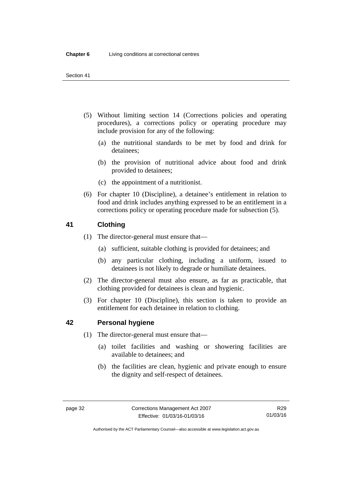- (5) Without limiting section 14 (Corrections policies and operating procedures), a corrections policy or operating procedure may include provision for any of the following:
	- (a) the nutritional standards to be met by food and drink for detainees;
	- (b) the provision of nutritional advice about food and drink provided to detainees;
	- (c) the appointment of a nutritionist.
- (6) For chapter 10 (Discipline), a detainee's entitlement in relation to food and drink includes anything expressed to be an entitlement in a corrections policy or operating procedure made for subsection (5).

## **41 Clothing**

- (1) The director-general must ensure that—
	- (a) sufficient, suitable clothing is provided for detainees; and
	- (b) any particular clothing, including a uniform, issued to detainees is not likely to degrade or humiliate detainees.
- (2) The director-general must also ensure, as far as practicable, that clothing provided for detainees is clean and hygienic.
- (3) For chapter 10 (Discipline), this section is taken to provide an entitlement for each detainee in relation to clothing.

## **42 Personal hygiene**

- (1) The director-general must ensure that—
	- (a) toilet facilities and washing or showering facilities are available to detainees; and
	- (b) the facilities are clean, hygienic and private enough to ensure the dignity and self-respect of detainees.

Authorised by the ACT Parliamentary Counsel—also accessible at www.legislation.act.gov.au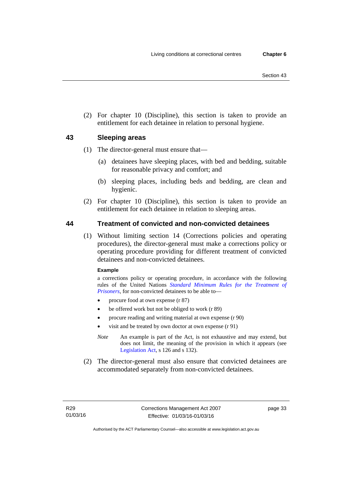(2) For chapter 10 (Discipline), this section is taken to provide an entitlement for each detainee in relation to personal hygiene.

## **43 Sleeping areas**

- (1) The director-general must ensure that—
	- (a) detainees have sleeping places, with bed and bedding, suitable for reasonable privacy and comfort; and
	- (b) sleeping places, including beds and bedding, are clean and hygienic.
- (2) For chapter 10 (Discipline), this section is taken to provide an entitlement for each detainee in relation to sleeping areas.

## **44 Treatment of convicted and non-convicted detainees**

(1) Without limiting section 14 (Corrections policies and operating procedures), the director-general must make a corrections policy or operating procedure providing for different treatment of convicted detainees and non-convicted detainees.

#### **Example**

a corrections policy or operating procedure, in accordance with the following rules of the United Nations *[Standard Minimum Rules for the Treatment of](http://www2.ohchr.org/english/law/treatmentprisoners.htm)  [Prisoners](http://www2.ohchr.org/english/law/treatmentprisoners.htm)*, for non-convicted detainees to be able to—

- procure food at own expense (r 87)
- be offered work but not be obliged to work (r 89)
- procure reading and writing material at own expense (r 90)
- visit and be treated by own doctor at own expense (r 91)
- *Note* An example is part of the Act, is not exhaustive and may extend, but does not limit, the meaning of the provision in which it appears (see [Legislation Act,](http://www.legislation.act.gov.au/a/2001-14) s 126 and s 132).
- (2) The director-general must also ensure that convicted detainees are accommodated separately from non-convicted detainees.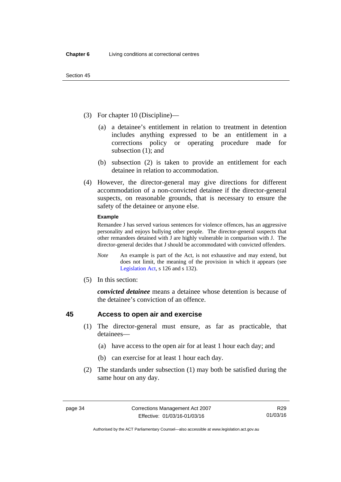- (3) For chapter 10 (Discipline)—
	- (a) a detainee's entitlement in relation to treatment in detention includes anything expressed to be an entitlement in a corrections policy or operating procedure made for subsection (1); and
	- (b) subsection (2) is taken to provide an entitlement for each detainee in relation to accommodation.
- (4) However, the director-general may give directions for different accommodation of a non-convicted detainee if the director-general suspects, on reasonable grounds, that is necessary to ensure the safety of the detainee or anyone else.

#### **Example**

Remandee J has served various sentences for violence offences, has an aggressive personality and enjoys bullying other people. The director-general suspects that other remandees detained with J are highly vulnerable in comparison with J. The director-general decides that J should be accommodated with convicted offenders.

- *Note* An example is part of the Act, is not exhaustive and may extend, but does not limit, the meaning of the provision in which it appears (see [Legislation Act,](http://www.legislation.act.gov.au/a/2001-14) s 126 and s 132).
- (5) In this section:

*convicted detainee* means a detainee whose detention is because of the detainee's conviction of an offence.

## **45 Access to open air and exercise**

- (1) The director-general must ensure, as far as practicable, that detainees—
	- (a) have access to the open air for at least 1 hour each day; and
	- (b) can exercise for at least 1 hour each day.
- (2) The standards under subsection (1) may both be satisfied during the same hour on any day.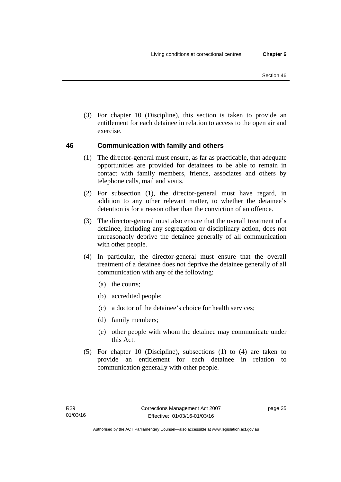(3) For chapter 10 (Discipline), this section is taken to provide an entitlement for each detainee in relation to access to the open air and exercise.

# <span id="page-48-0"></span>**46 Communication with family and others**

- (1) The director-general must ensure, as far as practicable, that adequate opportunities are provided for detainees to be able to remain in contact with family members, friends, associates and others by telephone calls, mail and visits.
- (2) For subsection (1), the director-general must have regard, in addition to any other relevant matter, to whether the detainee's detention is for a reason other than the conviction of an offence.
- (3) The director-general must also ensure that the overall treatment of a detainee, including any segregation or disciplinary action, does not unreasonably deprive the detainee generally of all communication with other people.
- (4) In particular, the director-general must ensure that the overall treatment of a detainee does not deprive the detainee generally of all communication with any of the following:
	- (a) the courts;
	- (b) accredited people;
	- (c) a doctor of the detainee's choice for health services;
	- (d) family members;
	- (e) other people with whom the detainee may communicate under this Act.
- (5) For chapter 10 (Discipline), subsections (1) to (4) are taken to provide an entitlement for each detainee in relation to communication generally with other people.

page 35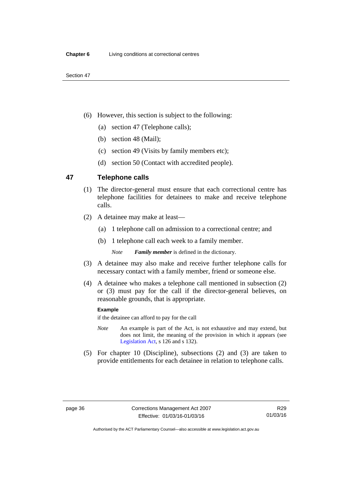- (6) However, this section is subject to the following:
	- (a) section 47 (Telephone calls);
	- (b) section 48 (Mail);
	- (c) section 49 (Visits by family members etc);
	- (d) section 50 (Contact with accredited people).

## **47 Telephone calls**

- (1) The director-general must ensure that each correctional centre has telephone facilities for detainees to make and receive telephone calls.
- (2) A detainee may make at least—
	- (a) 1 telephone call on admission to a correctional centre; and
	- (b) 1 telephone call each week to a family member.

*Note Family member* is defined in the dictionary.

- (3) A detainee may also make and receive further telephone calls for necessary contact with a family member, friend or someone else.
- (4) A detainee who makes a telephone call mentioned in subsection (2) or (3) must pay for the call if the director-general believes, on reasonable grounds, that is appropriate.

#### **Example**

if the detainee can afford to pay for the call

- *Note* An example is part of the Act, is not exhaustive and may extend, but does not limit, the meaning of the provision in which it appears (see [Legislation Act,](http://www.legislation.act.gov.au/a/2001-14) s 126 and s 132).
- (5) For chapter 10 (Discipline), subsections (2) and (3) are taken to provide entitlements for each detainee in relation to telephone calls.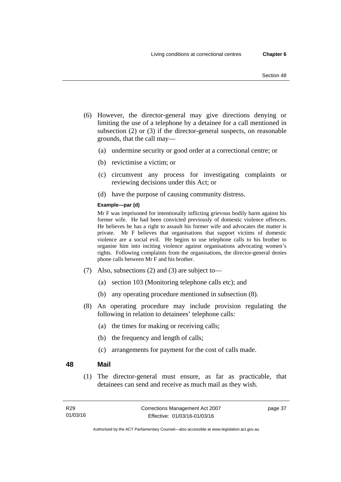- (6) However, the director-general may give directions denying or limiting the use of a telephone by a detainee for a call mentioned in subsection (2) or (3) if the director-general suspects, on reasonable grounds, that the call may—
	- (a) undermine security or good order at a correctional centre; or
	- (b) revictimise a victim; or
	- (c) circumvent any process for investigating complaints or reviewing decisions under this Act; or
	- (d) have the purpose of causing community distress.

#### **Example—par (d)**

Mr F was imprisoned for intentionally inflicting grievous bodily harm against his former wife. He had been convicted previously of domestic violence offences. He believes he has a right to assault his former wife and advocates the matter is private. Mr F believes that organisations that support victims of domestic violence are a social evil. He begins to use telephone calls to his brother to organise him into inciting violence against organisations advocating women's rights. Following complaints from the organisations, the director-general denies phone calls between Mr F and his brother.

- (7) Also, subsections (2) and (3) are subject to—
	- (a) section 103 (Monitoring telephone calls etc); and
	- (b) any operating procedure mentioned in subsection (8).
- (8) An operating procedure may include provision regulating the following in relation to detainees' telephone calls:
	- (a) the times for making or receiving calls;
	- (b) the frequency and length of calls;
	- (c) arrangements for payment for the cost of calls made.

#### <span id="page-50-0"></span>**48 Mail**

(1) The director-general must ensure, as far as practicable, that detainees can send and receive as much mail as they wish.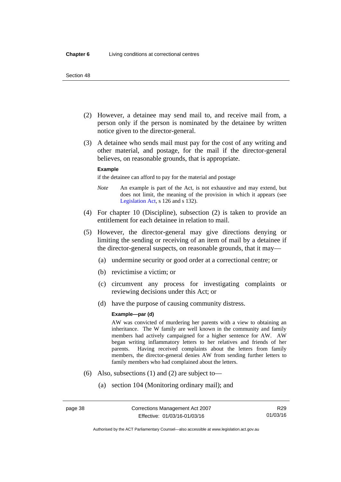- (2) However, a detainee may send mail to, and receive mail from, a person only if the person is nominated by the detainee by written notice given to the director-general.
- (3) A detainee who sends mail must pay for the cost of any writing and other material, and postage, for the mail if the director-general believes, on reasonable grounds, that is appropriate.

#### **Example**

if the detainee can afford to pay for the material and postage

- *Note* An example is part of the Act, is not exhaustive and may extend, but does not limit, the meaning of the provision in which it appears (see [Legislation Act,](http://www.legislation.act.gov.au/a/2001-14) s 126 and s 132).
- (4) For chapter 10 (Discipline), subsection (2) is taken to provide an entitlement for each detainee in relation to mail.
- (5) However, the director-general may give directions denying or limiting the sending or receiving of an item of mail by a detainee if the director-general suspects, on reasonable grounds, that it may—
	- (a) undermine security or good order at a correctional centre; or
	- (b) revictimise a victim; or
	- (c) circumvent any process for investigating complaints or reviewing decisions under this Act; or
	- (d) have the purpose of causing community distress.

#### **Example—par (d)**

AW was convicted of murdering her parents with a view to obtaining an inheritance. The W family are well known in the community and family members had actively campaigned for a higher sentence for AW. AW began writing inflammatory letters to her relatives and friends of her parents. Having received complaints about the letters from family members, the director-general denies AW from sending further letters to family members who had complained about the letters.

- (6) Also, subsections (1) and (2) are subject to—
	- (a) section 104 (Monitoring ordinary mail); and

Authorised by the ACT Parliamentary Counsel—also accessible at www.legislation.act.gov.au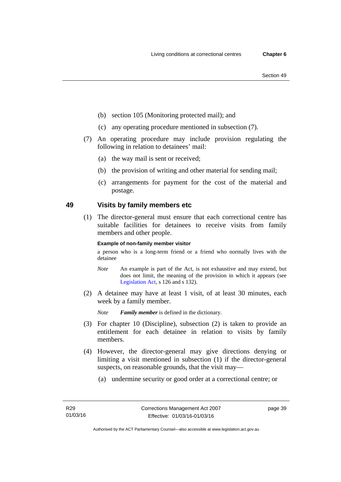- (b) section 105 (Monitoring protected mail); and
- (c) any operating procedure mentioned in subsection (7).
- (7) An operating procedure may include provision regulating the following in relation to detainees' mail:
	- (a) the way mail is sent or received;
	- (b) the provision of writing and other material for sending mail;
	- (c) arrangements for payment for the cost of the material and postage.

## **49 Visits by family members etc**

(1) The director-general must ensure that each correctional centre has suitable facilities for detainees to receive visits from family members and other people.

#### **Example of non-family member visitor**

a person who is a long-term friend or a friend who normally lives with the detainee

- *Note* An example is part of the Act, is not exhaustive and may extend, but does not limit, the meaning of the provision in which it appears (see [Legislation Act,](http://www.legislation.act.gov.au/a/2001-14) s 126 and s 132).
- (2) A detainee may have at least 1 visit, of at least 30 minutes, each week by a family member.

*Note Family member* is defined in the dictionary.

- (3) For chapter 10 (Discipline), subsection (2) is taken to provide an entitlement for each detainee in relation to visits by family members.
- (4) However, the director-general may give directions denying or limiting a visit mentioned in subsection (1) if the director-general suspects, on reasonable grounds, that the visit may—
	- (a) undermine security or good order at a correctional centre; or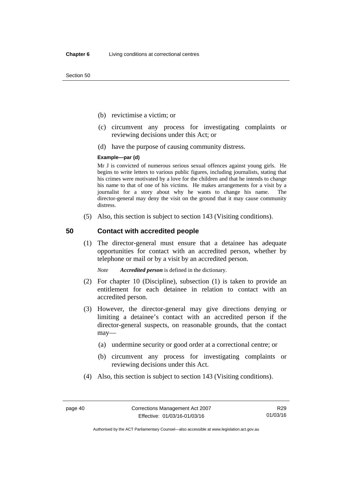Section 50

- (b) revictimise a victim; or
- (c) circumvent any process for investigating complaints or reviewing decisions under this Act; or
- (d) have the purpose of causing community distress.

#### **Example—par (d)**

Mr J is convicted of numerous serious sexual offences against young girls. He begins to write letters to various public figures, including journalists, stating that his crimes were motivated by a love for the children and that he intends to change his name to that of one of his victims. He makes arrangements for a visit by a journalist for a story about why he wants to change his name. The director-general may deny the visit on the ground that it may cause community distress.

(5) Also, this section is subject to section 143 (Visiting conditions).

## **50 Contact with accredited people**

(1) The director-general must ensure that a detainee has adequate opportunities for contact with an accredited person, whether by telephone or mail or by a visit by an accredited person.

*Note Accredited person* is defined in the dictionary.

- (2) For chapter 10 (Discipline), subsection (1) is taken to provide an entitlement for each detainee in relation to contact with an accredited person.
- (3) However, the director-general may give directions denying or limiting a detainee's contact with an accredited person if the director-general suspects, on reasonable grounds, that the contact may—
	- (a) undermine security or good order at a correctional centre; or
	- (b) circumvent any process for investigating complaints or reviewing decisions under this Act.
- (4) Also, this section is subject to section 143 (Visiting conditions).

Authorised by the ACT Parliamentary Counsel—also accessible at www.legislation.act.gov.au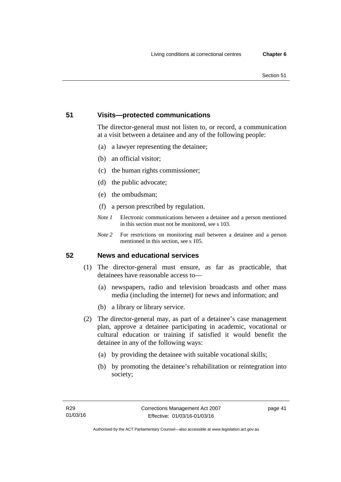#### Section 51

# **51 Visits—protected communications**

The director-general must not listen to, or record, a communication at a visit between a detainee and any of the following people:

- (a) a lawyer representing the detainee;
- (b) an official visitor;
- (c) the human rights commissioner;
- (d) the public advocate;
- (e) the ombudsman;
- (f) a person prescribed by regulation.
- *Note 1* Electronic communications between a detainee and a person mentioned in this section must not be monitored, see s 103.
- *Note 2* For restrictions on monitoring mail between a detainee and a person mentioned in this section, see s 105.

## **52 News and educational services**

- (1) The director-general must ensure, as far as practicable, that detainees have reasonable access to—
	- (a) newspapers, radio and television broadcasts and other mass media (including the internet) for news and information; and
	- (b) a library or library service.
- (2) The director-general may, as part of a detainee's case management plan, approve a detainee participating in academic, vocational or cultural education or training if satisfied it would benefit the detainee in any of the following ways:
	- (a) by providing the detainee with suitable vocational skills;
	- (b) by promoting the detainee's rehabilitation or reintegration into society;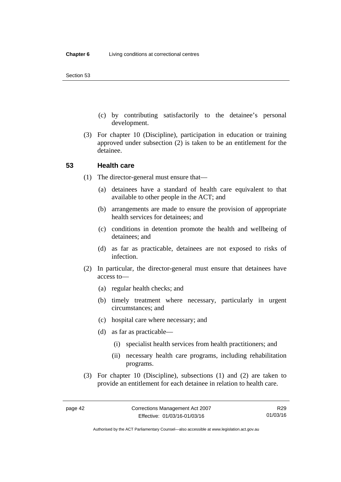- (c) by contributing satisfactorily to the detainee's personal development.
- (3) For chapter 10 (Discipline), participation in education or training approved under subsection (2) is taken to be an entitlement for the detainee.

#### **53 Health care**

- (1) The director-general must ensure that—
	- (a) detainees have a standard of health care equivalent to that available to other people in the ACT; and
	- (b) arrangements are made to ensure the provision of appropriate health services for detainees; and
	- (c) conditions in detention promote the health and wellbeing of detainees; and
	- (d) as far as practicable, detainees are not exposed to risks of infection.
- (2) In particular, the director-general must ensure that detainees have access to—
	- (a) regular health checks; and
	- (b) timely treatment where necessary, particularly in urgent circumstances; and
	- (c) hospital care where necessary; and
	- (d) as far as practicable—
		- (i) specialist health services from health practitioners; and
		- (ii) necessary health care programs, including rehabilitation programs.
- (3) For chapter 10 (Discipline), subsections (1) and (2) are taken to provide an entitlement for each detainee in relation to health care.

R29 01/03/16

Authorised by the ACT Parliamentary Counsel—also accessible at www.legislation.act.gov.au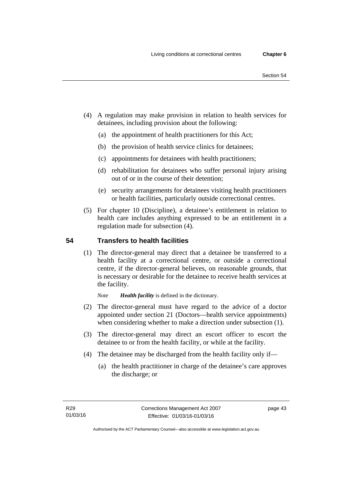- (4) A regulation may make provision in relation to health services for detainees, including provision about the following:
	- (a) the appointment of health practitioners for this Act;
	- (b) the provision of health service clinics for detainees;
	- (c) appointments for detainees with health practitioners;
	- (d) rehabilitation for detainees who suffer personal injury arising out of or in the course of their detention;
	- (e) security arrangements for detainees visiting health practitioners or health facilities, particularly outside correctional centres.
- (5) For chapter 10 (Discipline), a detainee's entitlement in relation to health care includes anything expressed to be an entitlement in a regulation made for subsection (4).

# **54 Transfers to health facilities**

(1) The director-general may direct that a detainee be transferred to a health facility at a correctional centre, or outside a correctional centre, if the director-general believes, on reasonable grounds, that is necessary or desirable for the detainee to receive health services at the facility.

*Note Health facility* is defined in the dictionary.

- (2) The director-general must have regard to the advice of a doctor appointed under section 21 (Doctors—health service appointments) when considering whether to make a direction under subsection  $(1)$ .
- (3) The director-general may direct an escort officer to escort the detainee to or from the health facility, or while at the facility.
- (4) The detainee may be discharged from the health facility only if—
	- (a) the health practitioner in charge of the detainee's care approves the discharge; or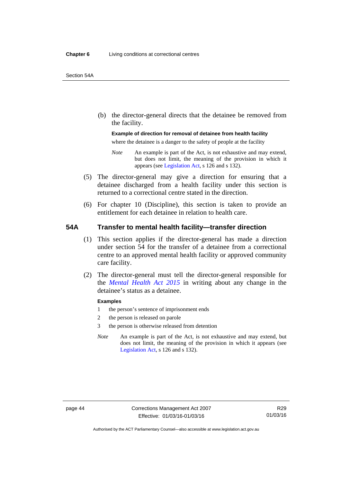(b) the director-general directs that the detainee be removed from the facility.

## **Example of direction for removal of detainee from health facility**

where the detainee is a danger to the safety of people at the facility

- *Note* An example is part of the Act, is not exhaustive and may extend, but does not limit, the meaning of the provision in which it appears (see [Legislation Act,](http://www.legislation.act.gov.au/a/2001-14) s 126 and s 132).
- (5) The director-general may give a direction for ensuring that a detainee discharged from a health facility under this section is returned to a correctional centre stated in the direction.
- (6) For chapter 10 (Discipline), this section is taken to provide an entitlement for each detainee in relation to health care.

## **54A Transfer to mental health facility—transfer direction**

- (1) This section applies if the director-general has made a direction under section 54 for the transfer of a detainee from a correctional centre to an approved mental health facility or approved community care facility.
- (2) The director-general must tell the director-general responsible for the *[Mental Health Act 2015](http://www.legislation.act.gov.au/a/2015-38/default.asp)* in writing about any change in the detainee's status as a detainee.

#### **Examples**

- 1 the person's sentence of imprisonment ends
- 2 the person is released on parole
- 3 the person is otherwise released from detention
- *Note* An example is part of the Act, is not exhaustive and may extend, but does not limit, the meaning of the provision in which it appears (see [Legislation Act,](http://www.legislation.act.gov.au/a/2001-14) s 126 and s 132).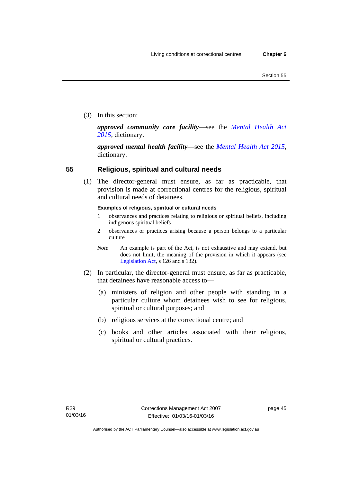(3) In this section:

*approved community care facility*—see the *[Mental Health Act](http://www.legislation.act.gov.au/a/2015-38/default.asp)  [2015](http://www.legislation.act.gov.au/a/2015-38/default.asp)*, dictionary.

*approved mental health facility*—see the *[Mental Health Act 2015](http://www.legislation.act.gov.au/a/2015-38/default.asp)*, dictionary.

# **55 Religious, spiritual and cultural needs**

(1) The director-general must ensure, as far as practicable, that provision is made at correctional centres for the religious, spiritual and cultural needs of detainees.

## **Examples of religious, spiritual or cultural needs**

- 1 observances and practices relating to religious or spiritual beliefs, including indigenous spiritual beliefs
- 2 observances or practices arising because a person belongs to a particular culture
- *Note* An example is part of the Act, is not exhaustive and may extend, but does not limit, the meaning of the provision in which it appears (see [Legislation Act,](http://www.legislation.act.gov.au/a/2001-14) s 126 and s 132).
- (2) In particular, the director-general must ensure, as far as practicable, that detainees have reasonable access to—
	- (a) ministers of religion and other people with standing in a particular culture whom detainees wish to see for religious, spiritual or cultural purposes; and
	- (b) religious services at the correctional centre; and
	- (c) books and other articles associated with their religious, spiritual or cultural practices.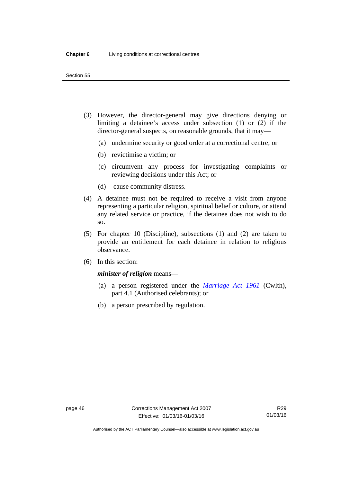#### Section 55

- (3) However, the director-general may give directions denying or limiting a detainee's access under subsection (1) or (2) if the director-general suspects, on reasonable grounds, that it may—
	- (a) undermine security or good order at a correctional centre; or
	- (b) revictimise a victim; or
	- (c) circumvent any process for investigating complaints or reviewing decisions under this Act; or
	- (d) cause community distress.
- (4) A detainee must not be required to receive a visit from anyone representing a particular religion, spiritual belief or culture, or attend any related service or practice, if the detainee does not wish to do so.
- (5) For chapter 10 (Discipline), subsections (1) and (2) are taken to provide an entitlement for each detainee in relation to religious observance.
- (6) In this section:

#### *minister of religion* means—

- (a) a person registered under the *[Marriage Act 1961](http://www.comlaw.gov.au/Series/C2004A07402)* (Cwlth), part 4.1 (Authorised celebrants); or
- (b) a person prescribed by regulation.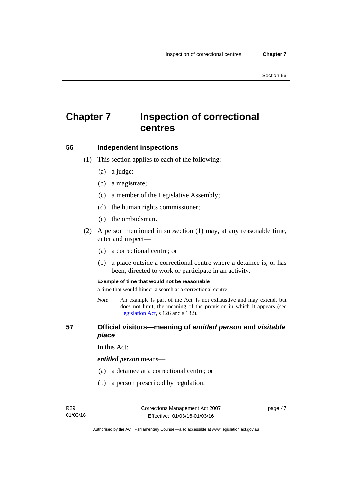# **Chapter 7 Inspection of correctional centres**

## **56 Independent inspections**

- (1) This section applies to each of the following:
	- (a) a judge;
	- (b) a magistrate;
	- (c) a member of the Legislative Assembly;
	- (d) the human rights commissioner;
	- (e) the ombudsman.
- (2) A person mentioned in subsection (1) may, at any reasonable time, enter and inspect—
	- (a) a correctional centre; or
	- (b) a place outside a correctional centre where a detainee is, or has been, directed to work or participate in an activity.

#### **Example of time that would not be reasonable**

a time that would hinder a search at a correctional centre

*Note* An example is part of the Act, is not exhaustive and may extend, but does not limit, the meaning of the provision in which it appears (see [Legislation Act,](http://www.legislation.act.gov.au/a/2001-14) s 126 and s 132).

## **57 Official visitors—meaning of** *entitled person* **and** *visitable place*

In this Act:

#### *entitled person* means—

- (a) a detainee at a correctional centre; or
- (b) a person prescribed by regulation.

page 47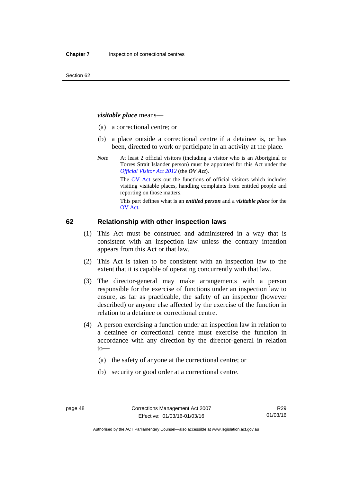#### *visitable place* means—

- (a) a correctional centre; or
- (b) a place outside a correctional centre if a detainee is, or has been, directed to work or participate in an activity at the place.
- *Note* At least 2 official visitors (including a visitor who is an Aboriginal or Torres Strait Islander person) must be appointed for this Act under the *[Official Visitor Act 2012](http://www.legislation.act.gov.au/a/2012-33/default.asp)* (the *OV Act*).

The [OV Act sets out the functions of official](#page-48-0) visitors which includes visiting visitable places, handling complaints from entitled people and reporting on those matters.

This part defines what is an *entitled person* and a *visitable place* for the OV Act.

#### **[6](#page-50-0)2 Relationship with other inspection laws**

- (1) This Act must be construed and administered in a way that is consistent with an inspection law unless the contrary intention appears from this Act or that law.
- (2) This Act is taken to be consistent with an inspection law to the extent that it is capable of operating concurrently with that law.
- (3) The director-general may make arrangements with a person responsible for the exercise of functions under an inspection law to ensure, as far as practicable, the safety of an inspector (however described) or anyone else affected by the exercise of the function in relation to a detainee or correctional centre.
- (4) A person exercising a function under an inspection law in relation to a detainee or correctional centre must exercise the function in accordance with any direction by the director-general in relation to—
	- (a) the safety of anyone at the correctional centre; or
	- (b) security or good order at a correctional centre.

Authorised by the ACT Parliamentary Counsel—also accessible at www.legislation.act.gov.au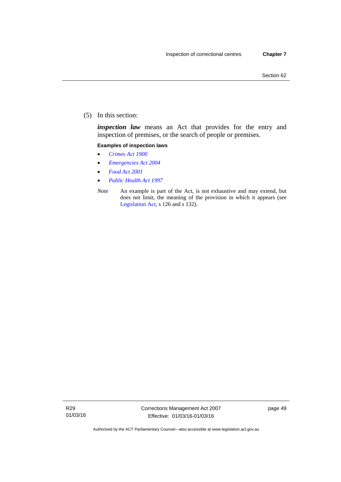(5) In this section:

*inspection law* means an Act that provides for the entry and inspection of premises, or the search of people or premises.

#### **Examples of inspection laws**

- *[Crimes Act 1900](http://www.legislation.act.gov.au/a/1900-40)*
- *[Emergencies Act 2004](http://www.legislation.act.gov.au/a/2004-28)*
- *[Food Act 2001](http://www.legislation.act.gov.au/a/2001-66)*
- *[Public Health Act 1997](http://www.legislation.act.gov.au/a/1997-69)*
- *Note* An example is part of the Act, is not exhaustive and may extend, but does not limit, the meaning of the provision in which it appears (see [Legislation Act,](http://www.legislation.act.gov.au/a/2001-14) s 126 and s 132).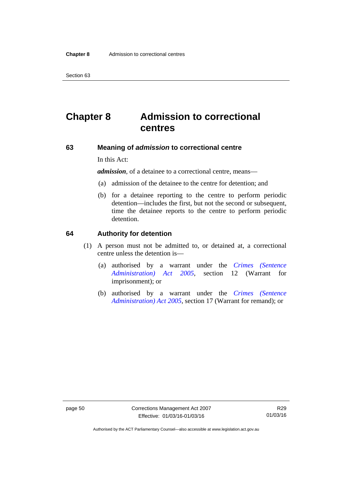Section 63

# **Chapter 8 Admission to correctional centres**

## **63 Meaning of** *admission* **to correctional centre**

In this Act:

*admission,* of a detainee to a correctional centre, means—

- (a) admission of the detainee to the centre for detention; and
- (b) for a detainee reporting to the centre to perform periodic detention—includes the first, but not the second or subsequent, time the detainee reports to the centre to perform periodic detention.

## **64 Authority for detention**

- (1) A person must not be admitted to, or detained at, a correctional centre unless the detention is—
	- (a) authorised by a warrant under the *[Crimes \(Sentence](http://www.legislation.act.gov.au/a/2005-59)  [Administration\) Act 2005](http://www.legislation.act.gov.au/a/2005-59)*, section 12 (Warrant for imprisonment); or
	- (b) authorised by a warrant under the *[Crimes \(Sentence](http://www.legislation.act.gov.au/a/2005-59)  [Administration\) Act 2005](http://www.legislation.act.gov.au/a/2005-59)*, section 17 (Warrant for remand); or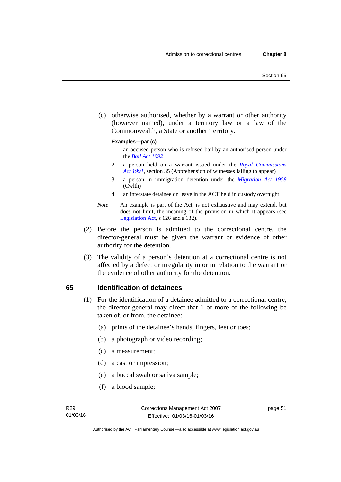(c) otherwise authorised, whether by a warrant or other authority (however named), under a territory law or a law of the Commonwealth, a State or another Territory.

#### **Examples—par (c)**

- 1 an accused person who is refused bail by an authorised person under the *[Bail Act 1992](http://www.legislation.act.gov.au/a/1992-8)*
- 2 a person held on a warrant issued under the *[Royal Commissions](http://www.legislation.act.gov.au/a/1991-1)  [Act 1991](http://www.legislation.act.gov.au/a/1991-1)*, section 35 (Apprehension of witnesses failing to appear)
- 3 a person in immigration detention under the *[Migration Act 1958](http://www.comlaw.gov.au/Series/C2004A07412)* (Cwlth)
- 4 an interstate detainee on leave in the ACT held in custody overnight
- *Note* An example is part of the Act, is not exhaustive and may extend, but does not limit, the meaning of the provision in which it appears (see [Legislation Act,](http://www.legislation.act.gov.au/a/2001-14) s 126 and s 132).
- (2) Before the person is admitted to the correctional centre, the director-general must be given the warrant or evidence of other authority for the detention.
- (3) The validity of a person's detention at a correctional centre is not affected by a defect or irregularity in or in relation to the warrant or the evidence of other authority for the detention.

#### **65 Identification of detainees**

- (1) For the identification of a detainee admitted to a correctional centre, the director-general may direct that 1 or more of the following be taken of, or from, the detainee:
	- (a) prints of the detainee's hands, fingers, feet or toes;
	- (b) a photograph or video recording;
	- (c) a measurement;
	- (d) a cast or impression;
	- (e) a buccal swab or saliva sample;
	- (f) a blood sample;

page 51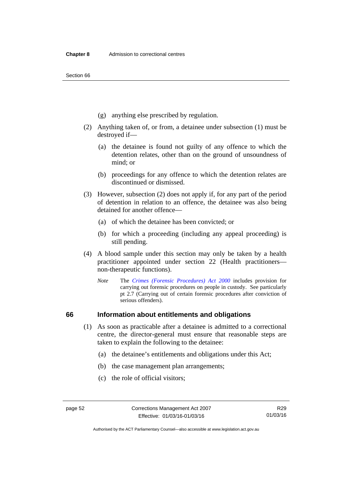Section 66

- (g) anything else prescribed by regulation.
- (2) Anything taken of, or from, a detainee under subsection (1) must be destroyed if—
	- (a) the detainee is found not guilty of any offence to which the detention relates, other than on the ground of unsoundness of mind; or
	- (b) proceedings for any offence to which the detention relates are discontinued or dismissed.
- (3) However, subsection (2) does not apply if, for any part of the period of detention in relation to an offence, the detainee was also being detained for another offence—
	- (a) of which the detainee has been convicted; or
	- (b) for which a proceeding (including any appeal proceeding) is still pending.
- (4) A blood sample under this section may only be taken by a health practitioner appointed under section 22 (Health practitioners non-therapeutic functions).
	- *Note* The *[Crimes \(Forensic Procedures\) Act 2000](http://www.legislation.act.gov.au/a/2000-61)* includes provision for carrying out forensic procedures on people in custody. See particularly pt 2.7 (Carrying out of certain forensic procedures after conviction of serious offenders).

## **66 Information about entitlements and obligations**

- (1) As soon as practicable after a detainee is admitted to a correctional centre, the director-general must ensure that reasonable steps are taken to explain the following to the detainee:
	- (a) the detainee's entitlements and obligations under this Act;
	- (b) the case management plan arrangements;
	- (c) the role of official visitors;

Authorised by the ACT Parliamentary Counsel—also accessible at www.legislation.act.gov.au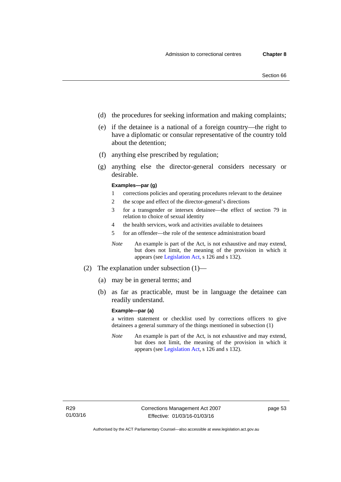- (d) the procedures for seeking information and making complaints;
- (e) if the detainee is a national of a foreign country—the right to have a diplomatic or consular representative of the country told about the detention;
- (f) anything else prescribed by regulation;
- (g) anything else the director-general considers necessary or desirable.

#### **Examples—par (g)**

- 1 corrections policies and operating procedures relevant to the detainee
- 2 the scope and effect of the director-general's directions
- 3 for a transgender or intersex detainee—the effect of section 79 in relation to choice of sexual identity
- 4 the health services, work and activities available to detainees
- 5 for an offender—the role of the sentence administration board
- *Note* An example is part of the Act, is not exhaustive and may extend, but does not limit, the meaning of the provision in which it appears (see [Legislation Act,](http://www.legislation.act.gov.au/a/2001-14) s 126 and s 132).
- (2) The explanation under subsection (1)—
	- (a) may be in general terms; and
	- (b) as far as practicable, must be in language the detainee can readily understand.

#### **Example—par (a)**

a written statement or checklist used by corrections officers to give detainees a general summary of the things mentioned in subsection (1)

*Note* An example is part of the Act, is not exhaustive and may extend, but does not limit, the meaning of the provision in which it appears (see [Legislation Act,](http://www.legislation.act.gov.au/a/2001-14) s 126 and s 132).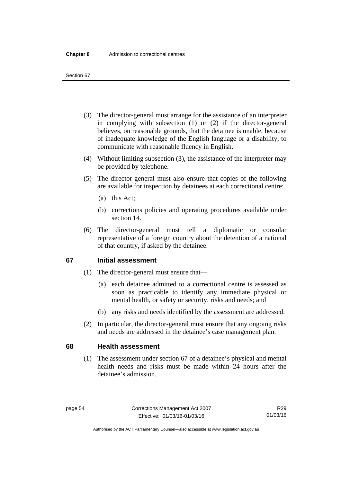#### **Chapter 8** Admission to correctional centres

#### Section 67

- (3) The director-general must arrange for the assistance of an interpreter in complying with subsection (1) or (2) if the director-general believes, on reasonable grounds, that the detainee is unable, because of inadequate knowledge of the English language or a disability, to communicate with reasonable fluency in English.
- (4) Without limiting subsection (3), the assistance of the interpreter may be provided by telephone.
- (5) The director-general must also ensure that copies of the following are available for inspection by detainees at each correctional centre:
	- (a) this Act;
	- (b) corrections policies and operating procedures available under section 14.
- (6) The director-general must tell a diplomatic or consular representative of a foreign country about the detention of a national of that country, if asked by the detainee.

#### **67 Initial assessment**

- (1) The director-general must ensure that—
	- (a) each detainee admitted to a correctional centre is assessed as soon as practicable to identify any immediate physical or mental health, or safety or security, risks and needs; and
	- (b) any risks and needs identified by the assessment are addressed.
- (2) In particular, the director-general must ensure that any ongoing risks and needs are addressed in the detainee's case management plan.

#### **68 Health assessment**

(1) The assessment under section 67 of a detainee's physical and mental health needs and risks must be made within 24 hours after the detainee's admission.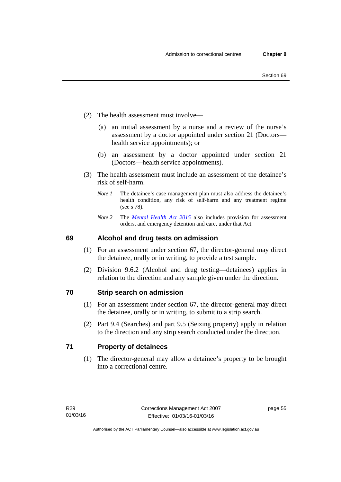- (2) The health assessment must involve—
	- (a) an initial assessment by a nurse and a review of the nurse's assessment by a doctor appointed under section 21 (Doctors health service appointments); or
	- (b) an assessment by a doctor appointed under section 21 (Doctors—health service appointments).
- (3) The health assessment must include an assessment of the detainee's risk of self-harm.
	- *Note 1* The detainee's case management plan must also address the detainee's health condition, any risk of self-harm and any treatment regime (see s 78).
	- *Note 2* The *[Mental Health Act 2015](http://www.legislation.act.gov.au/a/2015-38/default.asp)* also includes provision for assessment orders, and emergency detention and care, under that Act.

## **69 Alcohol and drug tests on admission**

- (1) For an assessment under section 67, the director-general may direct the detainee, orally or in writing, to provide a test sample.
- (2) Division 9.6.2 (Alcohol and drug testing—detainees) applies in relation to the direction and any sample given under the direction.

## **70 Strip search on admission**

- (1) For an assessment under section 67, the director-general may direct the detainee, orally or in writing, to submit to a strip search.
- (2) Part 9.4 (Searches) and part 9.5 (Seizing property) apply in relation to the direction and any strip search conducted under the direction.

# **71 Property of detainees**

(1) The director-general may allow a detainee's property to be brought into a correctional centre.

page 55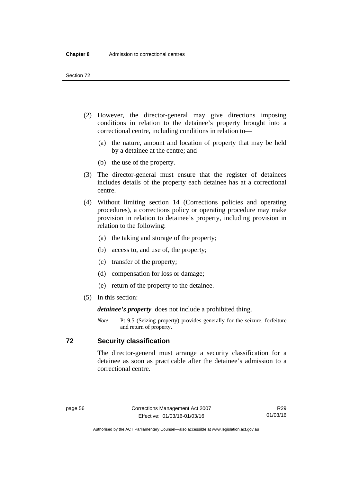- (2) However, the director-general may give directions imposing conditions in relation to the detainee's property brought into a correctional centre, including conditions in relation to—
	- (a) the nature, amount and location of property that may be held by a detainee at the centre; and
	- (b) the use of the property.
- (3) The director-general must ensure that the register of detainees includes details of the property each detainee has at a correctional centre.
- (4) Without limiting section 14 (Corrections policies and operating procedures), a corrections policy or operating procedure may make provision in relation to detainee's property, including provision in relation to the following:
	- (a) the taking and storage of the property;
	- (b) access to, and use of, the property;
	- (c) transfer of the property;
	- (d) compensation for loss or damage;
	- (e) return of the property to the detainee.
- (5) In this section:

*detainee's property* does not include a prohibited thing.

*Note* Pt 9.5 (Seizing property) provides generally for the seizure, forfeiture and return of property.

## **72 Security classification**

The director-general must arrange a security classification for a detainee as soon as practicable after the detainee's admission to a correctional centre.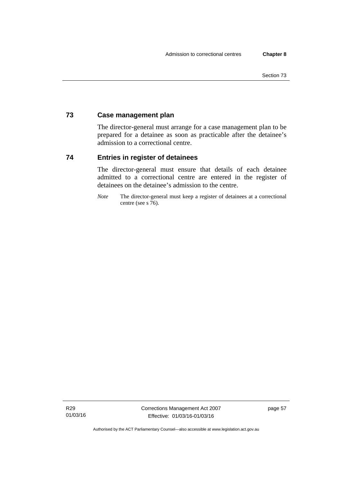# **73 Case management plan**

The director-general must arrange for a case management plan to be prepared for a detainee as soon as practicable after the detainee's admission to a correctional centre.

## **74 Entries in register of detainees**

The director-general must ensure that details of each detainee admitted to a correctional centre are entered in the register of detainees on the detainee's admission to the centre.

*Note* The director-general must keep a register of detainees at a correctional centre (see s 76).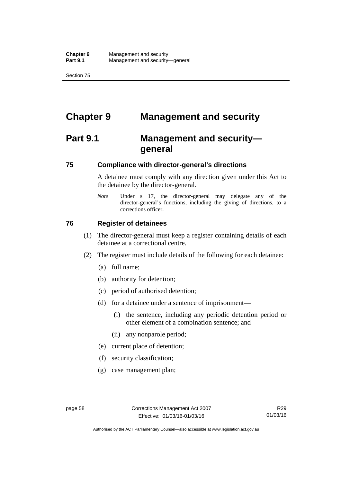Section 75

# **Chapter 9 Management and security**

# **Part 9.1 Management and security general**

## **75 Compliance with director-general's directions**

A detainee must comply with any direction given under this Act to the detainee by the director-general.

*Note* Under s 17, the director-general may delegate any of the director-general's functions, including the giving of directions, to a corrections officer.

## **76 Register of detainees**

- (1) The director-general must keep a register containing details of each detainee at a correctional centre.
- (2) The register must include details of the following for each detainee:
	- (a) full name;
	- (b) authority for detention;
	- (c) period of authorised detention;
	- (d) for a detainee under a sentence of imprisonment—
		- (i) the sentence, including any periodic detention period or other element of a combination sentence; and
		- (ii) any nonparole period;
	- (e) current place of detention;
	- (f) security classification;
	- (g) case management plan;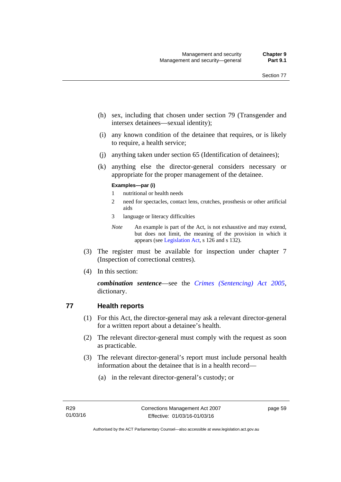- (h) sex, including that chosen under section 79 (Transgender and intersex detainees—sexual identity);
- (i) any known condition of the detainee that requires, or is likely to require, a health service;
- (j) anything taken under section 65 (Identification of detainees);
- (k) anything else the director-general considers necessary or appropriate for the proper management of the detainee.

#### **Examples—par (i)**

- 1 nutritional or health needs
- 2 need for spectacles, contact lens, crutches, prosthesis or other artificial aids
- 3 language or literacy difficulties

*Note* An example is part of the Act, is not exhaustive and may extend, but does not limit, the meaning of the provision in which it appears (see [Legislation Act,](http://www.legislation.act.gov.au/a/2001-14) s 126 and s 132).

- (3) The register must be available for inspection under chapter 7 (Inspection of correctional centres).
- (4) In this section:

*combination sentence*—see the *[Crimes \(Sentencing\) Act 2005](http://www.legislation.act.gov.au/a/2005-58)*, dictionary.

## **77 Health reports**

- (1) For this Act, the director-general may ask a relevant director-general for a written report about a detainee's health.
- (2) The relevant director-general must comply with the request as soon as practicable.
- (3) The relevant director-general's report must include personal health information about the detainee that is in a health record—
	- (a) in the relevant director-general's custody; or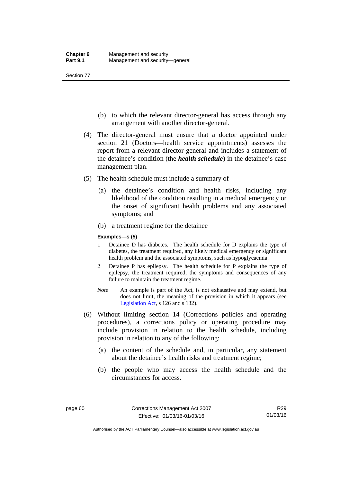- (b) to which the relevant director-general has access through any arrangement with another director-general.
- (4) The director-general must ensure that a doctor appointed under section 21 (Doctors—health service appointments) assesses the report from a relevant director-general and includes a statement of the detainee's condition (the *health schedule*) in the detainee's case management plan.
- (5) The health schedule must include a summary of—
	- (a) the detainee's condition and health risks, including any likelihood of the condition resulting in a medical emergency or the onset of significant health problems and any associated symptoms; and
	- (b) a treatment regime for the detainee

#### **Examples—s (5)**

- 1 Detainee D has diabetes. The health schedule for D explains the type of diabetes, the treatment required, any likely medical emergency or significant health problem and the associated symptoms, such as hypoglycaemia.
- 2 Detainee P has epilepsy. The health schedule for P explains the type of epilepsy, the treatment required, the symptoms and consequences of any failure to maintain the treatment regime.
- *Note* An example is part of the Act, is not exhaustive and may extend, but does not limit, the meaning of the provision in which it appears (see [Legislation Act,](http://www.legislation.act.gov.au/a/2001-14) s 126 and s 132).
- (6) Without limiting section 14 (Corrections policies and operating procedures), a corrections policy or operating procedure may include provision in relation to the health schedule, including provision in relation to any of the following:
	- (a) the content of the schedule and, in particular, any statement about the detainee's health risks and treatment regime;
	- (b) the people who may access the health schedule and the circumstances for access.

R29 01/03/16

Authorised by the ACT Parliamentary Counsel—also accessible at www.legislation.act.gov.au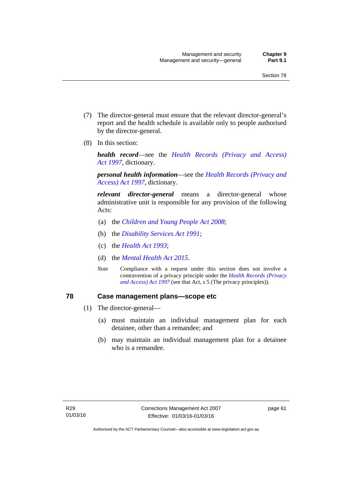- (7) The director-general must ensure that the relevant director-general's report and the health schedule is available only to people authorised by the director-general.
- (8) In this section:

*health record*—see the *[Health Records \(Privacy and Access\)](http://www.legislation.act.gov.au/a/1997-125)  [Act 1997](http://www.legislation.act.gov.au/a/1997-125)*, dictionary.

*personal health information*—see the *[Health Records \(Privacy and](http://www.legislation.act.gov.au/a/1997-125)  [Access\) Act 1997](http://www.legislation.act.gov.au/a/1997-125)*, dictionary.

*relevant director-general* means a director-general whose administrative unit is responsible for any provision of the following Acts:

- (a) the *[Children and Young People Act 2008](http://www.legislation.act.gov.au/a/2008-19)*;
- (b) the *[Disability Services Act 1991](http://www.legislation.act.gov.au/a/1991-98)*;
- (c) the *[Health Act 1993](http://www.legislation.act.gov.au/a/1993-13)*;
- (d) the *[Mental Health Act 2015](http://www.legislation.act.gov.au/a/2015-38/default.asp)*.
- *Note* Compliance with a request under this section does not involve a contravention of a privacy principle under the *[Health Records \(Privacy](http://www.legislation.act.gov.au/a/1997-125)  [and Access\) Act 1997](http://www.legislation.act.gov.au/a/1997-125)* (see that Act, s 5 (The privacy principles))*.*

## **78 Case management plans—scope etc**

- (1) The director-general—
	- (a) must maintain an individual management plan for each detainee, other than a remandee; and
	- (b) may maintain an individual management plan for a detainee who is a remandee.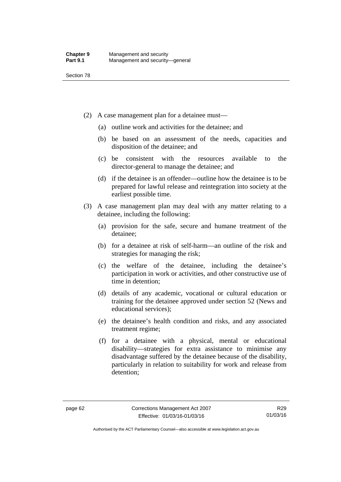- (2) A case management plan for a detainee must—
	- (a) outline work and activities for the detainee; and
	- (b) be based on an assessment of the needs, capacities and disposition of the detainee; and
	- (c) be consistent with the resources available to the director-general to manage the detainee; and
	- (d) if the detainee is an offender—outline how the detainee is to be prepared for lawful release and reintegration into society at the earliest possible time.
- (3) A case management plan may deal with any matter relating to a detainee, including the following:
	- (a) provision for the safe, secure and humane treatment of the detainee;
	- (b) for a detainee at risk of self-harm—an outline of the risk and strategies for managing the risk;
	- (c) the welfare of the detainee, including the detainee's participation in work or activities, and other constructive use of time in detention;
	- (d) details of any academic, vocational or cultural education or training for the detainee approved under section 52 (News and educational services);
	- (e) the detainee's health condition and risks, and any associated treatment regime;
	- (f) for a detainee with a physical, mental or educational disability—strategies for extra assistance to minimise any disadvantage suffered by the detainee because of the disability, particularly in relation to suitability for work and release from detention;

Authorised by the ACT Parliamentary Counsel—also accessible at www.legislation.act.gov.au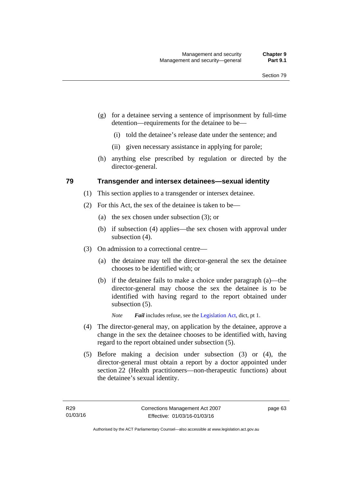- (g) for a detainee serving a sentence of imprisonment by full-time detention—requirements for the detainee to be—
	- (i) told the detainee's release date under the sentence; and
	- (ii) given necessary assistance in applying for parole;
- (h) anything else prescribed by regulation or directed by the director-general.

## **79 Transgender and intersex detainees—sexual identity**

- (1) This section applies to a transgender or intersex detainee.
- (2) For this Act, the sex of the detainee is taken to be—
	- (a) the sex chosen under subsection (3); or
	- (b) if subsection (4) applies—the sex chosen with approval under subsection  $(4)$ .
- (3) On admission to a correctional centre—
	- (a) the detainee may tell the director-general the sex the detainee chooses to be identified with; or
	- (b) if the detainee fails to make a choice under paragraph (a)—the director-general may choose the sex the detainee is to be identified with having regard to the report obtained under subsection  $(5)$ .

*Note Fail* includes refuse, see the [Legislation Act,](http://www.legislation.act.gov.au/a/2001-14) dict, pt 1.

- (4) The director-general may, on application by the detainee, approve a change in the sex the detainee chooses to be identified with, having regard to the report obtained under subsection (5).
- (5) Before making a decision under subsection (3) or (4), the director-general must obtain a report by a doctor appointed under section 22 (Health practitioners—non-therapeutic functions) about the detainee's sexual identity.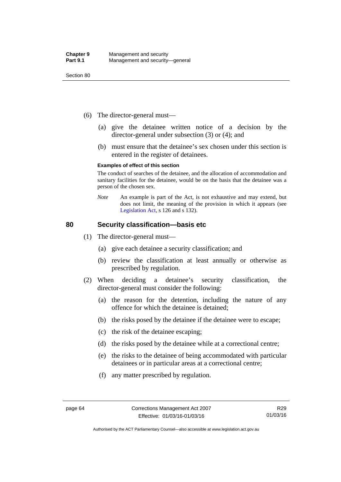- (6) The director-general must—
	- (a) give the detainee written notice of a decision by the director-general under subsection (3) or (4); and
	- (b) must ensure that the detainee's sex chosen under this section is entered in the register of detainees.

#### **Examples of effect of this section**

The conduct of searches of the detainee, and the allocation of accommodation and sanitary facilities for the detainee, would be on the basis that the detainee was a person of the chosen sex.

*Note* An example is part of the Act, is not exhaustive and may extend, but does not limit, the meaning of the provision in which it appears (see [Legislation Act,](http://www.legislation.act.gov.au/a/2001-14) s 126 and s 132).

## **80 Security classification—basis etc**

- (1) The director-general must—
	- (a) give each detainee a security classification; and
	- (b) review the classification at least annually or otherwise as prescribed by regulation.
- (2) When deciding a detainee's security classification, the director-general must consider the following:
	- (a) the reason for the detention, including the nature of any offence for which the detainee is detained;
	- (b) the risks posed by the detainee if the detainee were to escape;
	- (c) the risk of the detainee escaping;
	- (d) the risks posed by the detainee while at a correctional centre;
	- (e) the risks to the detainee of being accommodated with particular detainees or in particular areas at a correctional centre;
	- (f) any matter prescribed by regulation.

Authorised by the ACT Parliamentary Counsel—also accessible at www.legislation.act.gov.au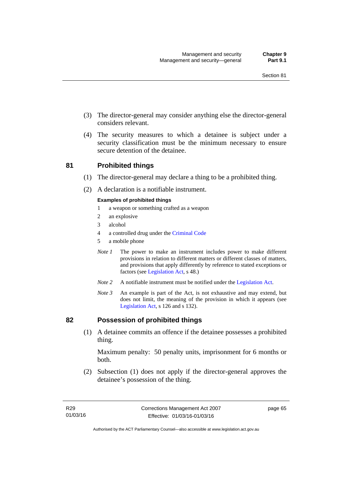- (3) The director-general may consider anything else the director-general considers relevant.
- (4) The security measures to which a detainee is subject under a security classification must be the minimum necessary to ensure secure detention of the detainee.

## **81 Prohibited things**

- (1) The director-general may declare a thing to be a prohibited thing.
- (2) A declaration is a notifiable instrument.

### **Examples of prohibited things**

- 1 a weapon or something crafted as a weapon
- 2 an explosive
- 3 alcohol
- 4 a controlled drug under the [Criminal Code](http://www.legislation.act.gov.au/a/2002-51)
- 5 a mobile phone
- *Note 1* The power to make an instrument includes power to make different provisions in relation to different matters or different classes of matters, and provisions that apply differently by reference to stated exceptions or factors (see [Legislation Act](http://www.legislation.act.gov.au/a/2001-14), s 48.)
- *Note 2* A notifiable instrument must be notified under the [Legislation Act](http://www.legislation.act.gov.au/a/2001-14).
- *Note 3* An example is part of the Act, is not exhaustive and may extend, but does not limit, the meaning of the provision in which it appears (see [Legislation Act,](http://www.legislation.act.gov.au/a/2001-14) s 126 and s 132).

## **82 Possession of prohibited things**

 (1) A detainee commits an offence if the detainee possesses a prohibited thing.

Maximum penalty: 50 penalty units, imprisonment for 6 months or both.

 (2) Subsection (1) does not apply if the director-general approves the detainee's possession of the thing.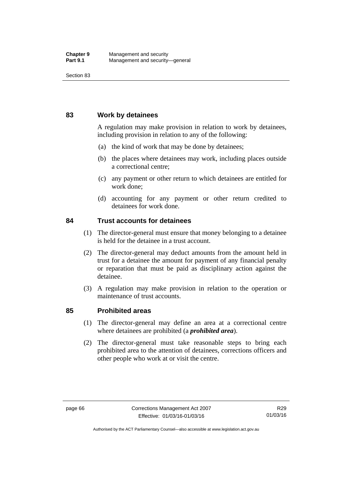## **83 Work by detainees**

A regulation may make provision in relation to work by detainees, including provision in relation to any of the following:

- (a) the kind of work that may be done by detainees;
- (b) the places where detainees may work, including places outside a correctional centre;
- (c) any payment or other return to which detainees are entitled for work done;
- (d) accounting for any payment or other return credited to detainees for work done.

## **84 Trust accounts for detainees**

- (1) The director-general must ensure that money belonging to a detainee is held for the detainee in a trust account.
- (2) The director-general may deduct amounts from the amount held in trust for a detainee the amount for payment of any financial penalty or reparation that must be paid as disciplinary action against the detainee.
- (3) A regulation may make provision in relation to the operation or maintenance of trust accounts.

## **85 Prohibited areas**

- (1) The director-general may define an area at a correctional centre where detainees are prohibited (a *prohibited area*).
- (2) The director-general must take reasonable steps to bring each prohibited area to the attention of detainees, corrections officers and other people who work at or visit the centre.

Authorised by the ACT Parliamentary Counsel—also accessible at www.legislation.act.gov.au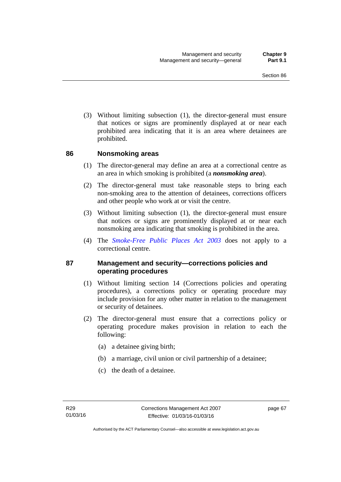(3) Without limiting subsection (1), the director-general must ensure that notices or signs are prominently displayed at or near each prohibited area indicating that it is an area where detainees are prohibited.

## **86 Nonsmoking areas**

- (1) The director-general may define an area at a correctional centre as an area in which smoking is prohibited (a *nonsmoking area*).
- (2) The director-general must take reasonable steps to bring each non-smoking area to the attention of detainees, corrections officers and other people who work at or visit the centre.
- (3) Without limiting subsection (1), the director-general must ensure that notices or signs are prominently displayed at or near each nonsmoking area indicating that smoking is prohibited in the area.
- (4) The *[Smoke-Free Public Places Act 2003](http://www.legislation.act.gov.au/a/2003-51)* does not apply to a correctional centre.

## **87 Management and security—corrections policies and operating procedures**

- (1) Without limiting section 14 (Corrections policies and operating procedures), a corrections policy or operating procedure may include provision for any other matter in relation to the management or security of detainees.
- (2) The director-general must ensure that a corrections policy or operating procedure makes provision in relation to each the following:
	- (a) a detainee giving birth;
	- (b) a marriage, civil union or civil partnership of a detainee;
	- (c) the death of a detainee.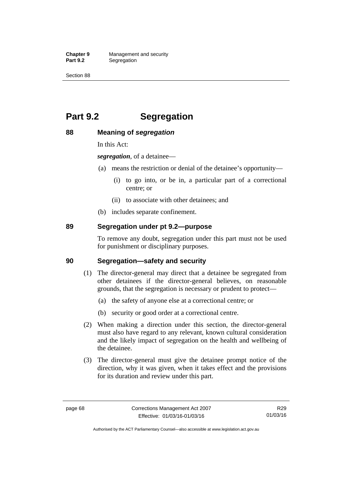**Chapter 9** Management and security<br>**Part 9.2** Segregation **Segregation** 

Section 88

# **Part 9.2 Segregation**

## **88 Meaning of** *segregation*

In this Act:

*segregation*, of a detainee—

- (a) means the restriction or denial of the detainee's opportunity—
	- (i) to go into, or be in, a particular part of a correctional centre; or
	- (ii) to associate with other detainees; and
- (b) includes separate confinement.

## **89 Segregation under pt 9.2—purpose**

To remove any doubt, segregation under this part must not be used for punishment or disciplinary purposes.

## **90 Segregation—safety and security**

- (1) The director-general may direct that a detainee be segregated from other detainees if the director-general believes, on reasonable grounds, that the segregation is necessary or prudent to protect—
	- (a) the safety of anyone else at a correctional centre; or
	- (b) security or good order at a correctional centre.
- (2) When making a direction under this section, the director-general must also have regard to any relevant, known cultural consideration and the likely impact of segregation on the health and wellbeing of the detainee.
- (3) The director-general must give the detainee prompt notice of the direction, why it was given, when it takes effect and the provisions for its duration and review under this part.

Authorised by the ACT Parliamentary Counsel—also accessible at www.legislation.act.gov.au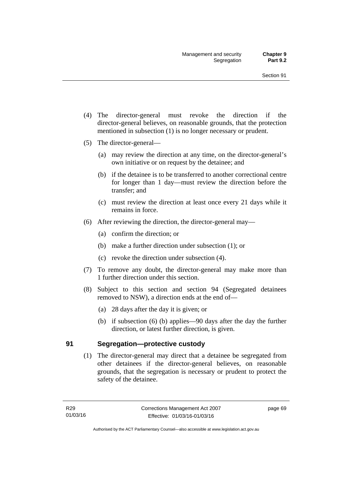- (4) The director-general must revoke the direction if the director-general believes, on reasonable grounds, that the protection mentioned in subsection (1) is no longer necessary or prudent.
- (5) The director-general—
	- (a) may review the direction at any time, on the director-general's own initiative or on request by the detainee; and
	- (b) if the detainee is to be transferred to another correctional centre for longer than 1 day—must review the direction before the transfer; and
	- (c) must review the direction at least once every 21 days while it remains in force.
- (6) After reviewing the direction, the director-general may—
	- (a) confirm the direction; or
	- (b) make a further direction under subsection (1); or
	- (c) revoke the direction under subsection (4).
- (7) To remove any doubt, the director-general may make more than 1 further direction under this section.
- (8) Subject to this section and section 94 (Segregated detainees removed to NSW), a direction ends at the end of—
	- (a) 28 days after the day it is given; or
	- (b) if subsection (6) (b) applies—90 days after the day the further direction, or latest further direction, is given.

## **91 Segregation—protective custody**

(1) The director-general may direct that a detainee be segregated from other detainees if the director-general believes, on reasonable grounds, that the segregation is necessary or prudent to protect the safety of the detainee.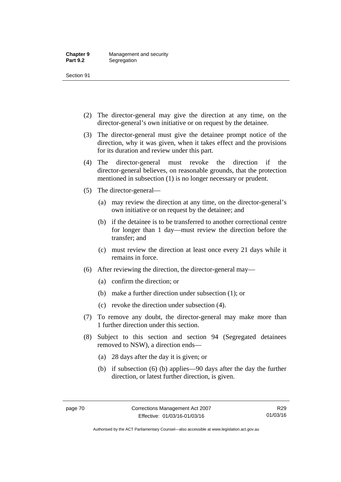- (2) The director-general may give the direction at any time, on the director-general's own initiative or on request by the detainee.
- (3) The director-general must give the detainee prompt notice of the direction, why it was given, when it takes effect and the provisions for its duration and review under this part.
- (4) The director-general must revoke the direction if the director-general believes, on reasonable grounds, that the protection mentioned in subsection (1) is no longer necessary or prudent.
- (5) The director-general—
	- (a) may review the direction at any time, on the director-general's own initiative or on request by the detainee; and
	- (b) if the detainee is to be transferred to another correctional centre for longer than 1 day—must review the direction before the transfer; and
	- (c) must review the direction at least once every 21 days while it remains in force.
- (6) After reviewing the direction, the director-general may—
	- (a) confirm the direction; or
	- (b) make a further direction under subsection (1); or
	- (c) revoke the direction under subsection (4).
- (7) To remove any doubt, the director-general may make more than 1 further direction under this section.
- (8) Subject to this section and section 94 (Segregated detainees removed to NSW), a direction ends—
	- (a) 28 days after the day it is given; or
	- (b) if subsection (6) (b) applies—90 days after the day the further direction, or latest further direction, is given.

Authorised by the ACT Parliamentary Counsel—also accessible at www.legislation.act.gov.au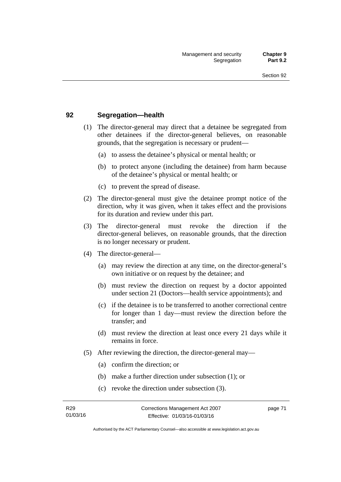## **92 Segregation—health**

- (1) The director-general may direct that a detainee be segregated from other detainees if the director-general believes, on reasonable grounds, that the segregation is necessary or prudent—
	- (a) to assess the detainee's physical or mental health; or
	- (b) to protect anyone (including the detainee) from harm because of the detainee's physical or mental health; or
	- (c) to prevent the spread of disease.
- (2) The director-general must give the detainee prompt notice of the direction, why it was given, when it takes effect and the provisions for its duration and review under this part.
- (3) The director-general must revoke the direction if the director-general believes, on reasonable grounds, that the direction is no longer necessary or prudent.
- (4) The director-general—
	- (a) may review the direction at any time, on the director-general's own initiative or on request by the detainee; and
	- (b) must review the direction on request by a doctor appointed under section 21 (Doctors—health service appointments); and
	- (c) if the detainee is to be transferred to another correctional centre for longer than 1 day—must review the direction before the transfer; and
	- (d) must review the direction at least once every 21 days while it remains in force.
- (5) After reviewing the direction, the director-general may—
	- (a) confirm the direction; or
	- (b) make a further direction under subsection (1); or
	- (c) revoke the direction under subsection (3).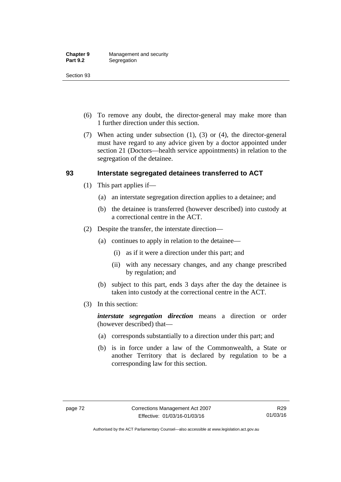- (6) To remove any doubt, the director-general may make more than 1 further direction under this section.
- (7) When acting under subsection (1), (3) or (4), the director-general must have regard to any advice given by a doctor appointed under section 21 (Doctors—health service appointments) in relation to the segregation of the detainee.

## **93 Interstate segregated detainees transferred to ACT**

- (1) This part applies if—
	- (a) an interstate segregation direction applies to a detainee; and
	- (b) the detainee is transferred (however described) into custody at a correctional centre in the ACT.
- (2) Despite the transfer, the interstate direction—
	- (a) continues to apply in relation to the detainee—
		- (i) as if it were a direction under this part; and
		- (ii) with any necessary changes, and any change prescribed by regulation; and
	- (b) subject to this part, ends 3 days after the day the detainee is taken into custody at the correctional centre in the ACT.
- (3) In this section:

*interstate segregation direction* means a direction or order (however described) that—

- (a) corresponds substantially to a direction under this part; and
- (b) is in force under a law of the Commonwealth, a State or another Territory that is declared by regulation to be a corresponding law for this section.

Authorised by the ACT Parliamentary Counsel—also accessible at www.legislation.act.gov.au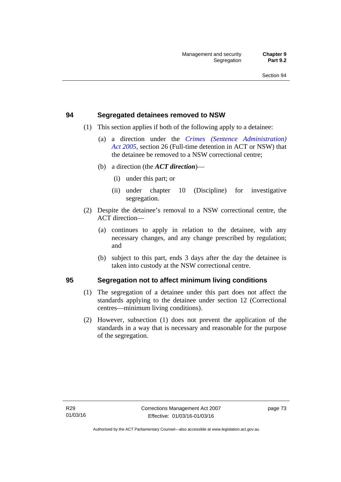## **94 Segregated detainees removed to NSW**

- (1) This section applies if both of the following apply to a detainee:
	- (a) a direction under the *[Crimes \(Sentence Administration\)](http://www.legislation.act.gov.au/a/2005-59)  [Act 2005](http://www.legislation.act.gov.au/a/2005-59)*, section 26 (Full-time detention in ACT or NSW) that the detainee be removed to a NSW correctional centre;
	- (b) a direction (the *ACT direction*)—
		- (i) under this part; or
		- (ii) under chapter 10 (Discipline) for investigative segregation.
- (2) Despite the detainee's removal to a NSW correctional centre, the ACT direction—
	- (a) continues to apply in relation to the detainee, with any necessary changes, and any change prescribed by regulation; and
	- (b) subject to this part, ends 3 days after the day the detainee is taken into custody at the NSW correctional centre.

## **95 Segregation not to affect minimum living conditions**

- (1) The segregation of a detainee under this part does not affect the standards applying to the detainee under section 12 (Correctional centres—minimum living conditions).
- (2) However, subsection (1) does not prevent the application of the standards in a way that is necessary and reasonable for the purpose of the segregation.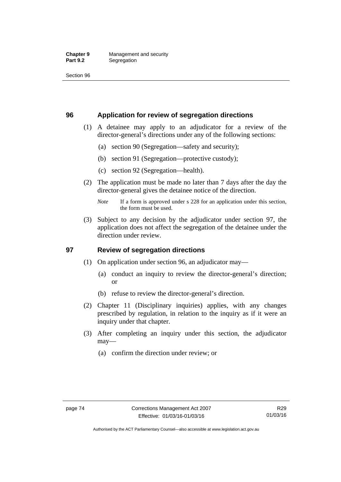## **96 Application for review of segregation directions**

- (1) A detainee may apply to an adjudicator for a review of the director-general's directions under any of the following sections:
	- (a) section 90 (Segregation—safety and security);
	- (b) section 91 (Segregation—protective custody);
	- (c) section 92 (Segregation—health).
- (2) The application must be made no later than 7 days after the day the director-general gives the detainee notice of the direction.

 (3) Subject to any decision by the adjudicator under section 97, the application does not affect the segregation of the detainee under the direction under review.

## **97 Review of segregation directions**

- (1) On application under section 96, an adjudicator may—
	- (a) conduct an inquiry to review the director-general's direction; or
	- (b) refuse to review the director-general's direction.
- (2) Chapter 11 (Disciplinary inquiries) applies, with any changes prescribed by regulation, in relation to the inquiry as if it were an inquiry under that chapter.
- (3) After completing an inquiry under this section, the adjudicator may—
	- (a) confirm the direction under review; or

*Note* If a form is approved under s 228 for an application under this section, the form must be used.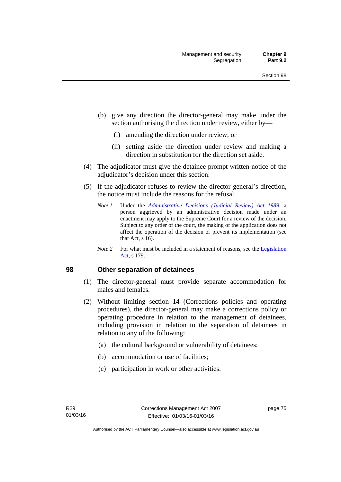- (b) give any direction the director-general may make under the section authorising the direction under review, either by—
	- (i) amending the direction under review; or
	- (ii) setting aside the direction under review and making a direction in substitution for the direction set aside.
- (4) The adjudicator must give the detainee prompt written notice of the adjudicator's decision under this section.
- (5) If the adjudicator refuses to review the director-general's direction, the notice must include the reasons for the refusal.
	- *Note 1* Under the *[Administrative Decisions \(Judicial Review\) Act 1989](http://www.legislation.act.gov.au/a/alt_a1989-33co)*, a person aggrieved by an administrative decision made under an enactment may apply to the Supreme Court for a review of the decision. Subject to any order of the court, the making of the application does not affect the operation of the decision or prevent its implementation (see that Act, s 16).
	- *Note* 2 For what must be included in a statement of reasons, see the Legislation [Act,](http://www.legislation.act.gov.au/a/2001-14) s 179.

## **98 Other separation of detainees**

- (1) The director-general must provide separate accommodation for males and females.
- (2) Without limiting section 14 (Corrections policies and operating procedures), the director-general may make a corrections policy or operating procedure in relation to the management of detainees, including provision in relation to the separation of detainees in relation to any of the following:
	- (a) the cultural background or vulnerability of detainees;
	- (b) accommodation or use of facilities;
	- (c) participation in work or other activities.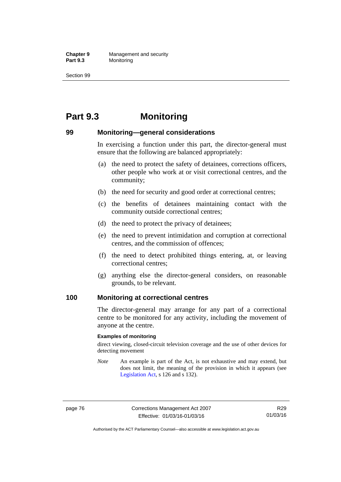**Chapter 9** Management and security<br>**Part 9.3** Monitoring **Monitoring** 

Section 99

# **Part 9.3 Monitoring**

## **99 Monitoring—general considerations**

In exercising a function under this part, the director-general must ensure that the following are balanced appropriately:

- (a) the need to protect the safety of detainees, corrections officers, other people who work at or visit correctional centres, and the community;
- (b) the need for security and good order at correctional centres;
- (c) the benefits of detainees maintaining contact with the community outside correctional centres;
- (d) the need to protect the privacy of detainees;
- (e) the need to prevent intimidation and corruption at correctional centres, and the commission of offences;
- (f) the need to detect prohibited things entering, at, or leaving correctional centres;
- (g) anything else the director-general considers, on reasonable grounds, to be relevant.

## **100 Monitoring at correctional centres**

The director-general may arrange for any part of a correctional centre to be monitored for any activity, including the movement of anyone at the centre.

#### **Examples of monitoring**

direct viewing, closed-circuit television coverage and the use of other devices for detecting movement

*Note* An example is part of the Act, is not exhaustive and may extend, but does not limit, the meaning of the provision in which it appears (see [Legislation Act,](http://www.legislation.act.gov.au/a/2001-14) s 126 and s 132).

Authorised by the ACT Parliamentary Counsel—also accessible at www.legislation.act.gov.au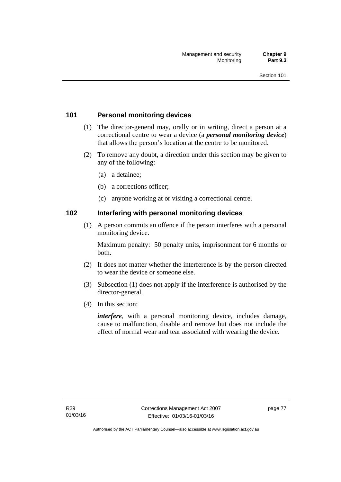## **101 Personal monitoring devices**

- (1) The director-general may, orally or in writing, direct a person at a correctional centre to wear a device (a *personal monitoring device*) that allows the person's location at the centre to be monitored.
- (2) To remove any doubt, a direction under this section may be given to any of the following:
	- (a) a detainee;
	- (b) a corrections officer;
	- (c) anyone working at or visiting a correctional centre.

## **102 Interfering with personal monitoring devices**

 (1) A person commits an offence if the person interferes with a personal monitoring device.

Maximum penalty: 50 penalty units, imprisonment for 6 months or both.

- (2) It does not matter whether the interference is by the person directed to wear the device or someone else.
- (3) Subsection (1) does not apply if the interference is authorised by the director-general.
- (4) In this section:

*interfere*, with a personal monitoring device, includes damage, cause to malfunction, disable and remove but does not include the effect of normal wear and tear associated with wearing the device.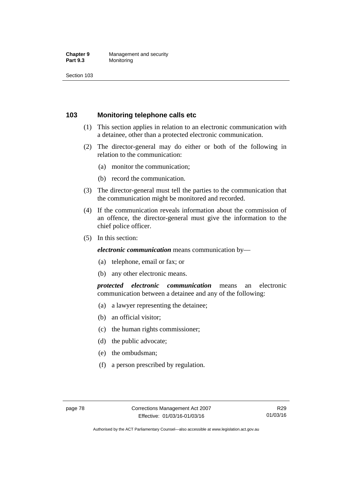#### **Chapter 9** Management and security<br>**Part 9.3** Monitoring **Monitoring**

Section 103

## **103 Monitoring telephone calls etc**

- (1) This section applies in relation to an electronic communication with a detainee, other than a protected electronic communication.
- (2) The director-general may do either or both of the following in relation to the communication:
	- (a) monitor the communication;
	- (b) record the communication.
- (3) The director-general must tell the parties to the communication that the communication might be monitored and recorded.
- (4) If the communication reveals information about the commission of an offence, the director-general must give the information to the chief police officer.
- (5) In this section:

*electronic communication* means communication by—

- (a) telephone, email or fax; or
- (b) any other electronic means.

*protected electronic communication* means an electronic communication between a detainee and any of the following:

- (a) a lawyer representing the detainee;
- (b) an official visitor;
- (c) the human rights commissioner;
- (d) the public advocate;
- (e) the ombudsman;
- (f) a person prescribed by regulation.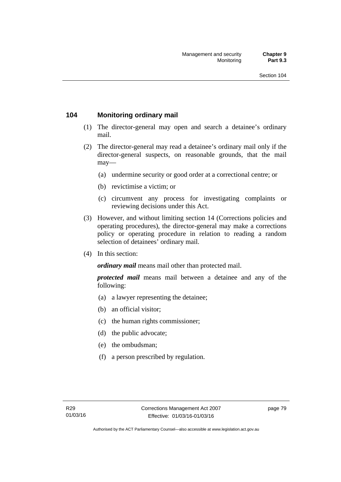## **104 Monitoring ordinary mail**

- (1) The director-general may open and search a detainee's ordinary mail.
- (2) The director-general may read a detainee's ordinary mail only if the director-general suspects, on reasonable grounds, that the mail may—
	- (a) undermine security or good order at a correctional centre; or
	- (b) revictimise a victim; or
	- (c) circumvent any process for investigating complaints or reviewing decisions under this Act.
- (3) However, and without limiting section 14 (Corrections policies and operating procedures), the director-general may make a corrections policy or operating procedure in relation to reading a random selection of detainees' ordinary mail.
- (4) In this section:

*ordinary mail* means mail other than protected mail.

*protected mail* means mail between a detainee and any of the following:

- (a) a lawyer representing the detainee;
- (b) an official visitor;
- (c) the human rights commissioner;
- (d) the public advocate;
- (e) the ombudsman;
- (f) a person prescribed by regulation.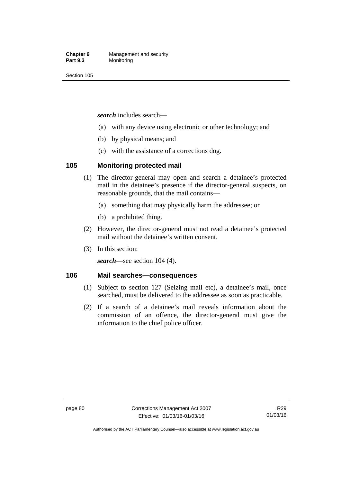*search* includes search—

- (a) with any device using electronic or other technology; and
- (b) by physical means; and
- (c) with the assistance of a corrections dog.

## **105 Monitoring protected mail**

- (1) The director-general may open and search a detainee's protected mail in the detainee's presence if the director-general suspects, on reasonable grounds, that the mail contains—
	- (a) something that may physically harm the addressee; or
	- (b) a prohibited thing.
- (2) However, the director-general must not read a detainee's protected mail without the detainee's written consent.
- (3) In this section:

*search*—see section 104 (4).

## **106 Mail searches—consequences**

- (1) Subject to section 127 (Seizing mail etc), a detainee's mail, once searched, must be delivered to the addressee as soon as practicable.
- (2) If a search of a detainee's mail reveals information about the commission of an offence, the director-general must give the information to the chief police officer.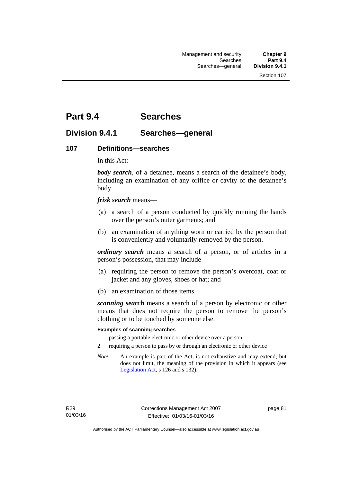# **Part 9.4 Searches**

## **Division 9.4.1 Searches—general**

## **107 Definitions—searches**

In this Act:

*body search*, of a detainee, means a search of the detainee's body, including an examination of any orifice or cavity of the detainee's body.

*frisk search* means—

- (a) a search of a person conducted by quickly running the hands over the person's outer garments; and
- (b) an examination of anything worn or carried by the person that is conveniently and voluntarily removed by the person.

*ordinary search* means a search of a person, or of articles in a person's possession, that may include—

- (a) requiring the person to remove the person's overcoat, coat or jacket and any gloves, shoes or hat; and
- (b) an examination of those items.

*scanning search* means a search of a person by electronic or other means that does not require the person to remove the person's clothing or to be touched by someone else.

### **Examples of scanning searches**

- 1 passing a portable electronic or other device over a person
- 2 requiring a person to pass by or through an electronic or other device
- *Note* An example is part of the Act, is not exhaustive and may extend, but does not limit, the meaning of the provision in which it appears (see [Legislation Act,](http://www.legislation.act.gov.au/a/2001-14) s 126 and s 132).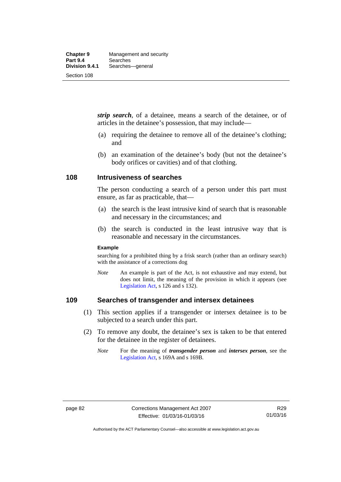*strip search*, of a detainee, means a search of the detainee, or of articles in the detainee's possession, that may include—

- (a) requiring the detainee to remove all of the detainee's clothing; and
- (b) an examination of the detainee's body (but not the detainee's body orifices or cavities) and of that clothing.

## **108 Intrusiveness of searches**

The person conducting a search of a person under this part must ensure, as far as practicable, that—

- (a) the search is the least intrusive kind of search that is reasonable and necessary in the circumstances; and
- (b) the search is conducted in the least intrusive way that is reasonable and necessary in the circumstances.

#### **Example**

searching for a prohibited thing by a frisk search (rather than an ordinary search) with the assistance of a corrections dog

*Note* An example is part of the Act, is not exhaustive and may extend, but does not limit, the meaning of the provision in which it appears (see [Legislation Act,](http://www.legislation.act.gov.au/a/2001-14) s 126 and s 132).

## **109 Searches of transgender and intersex detainees**

- (1) This section applies if a transgender or intersex detainee is to be subjected to a search under this part.
- (2) To remove any doubt, the detainee's sex is taken to be that entered for the detainee in the register of detainees.
	- *Note* For the meaning of *transgender person* and *intersex person*, see the [Legislation Act,](http://www.legislation.act.gov.au/a/2001-14) s 169A and s 169B.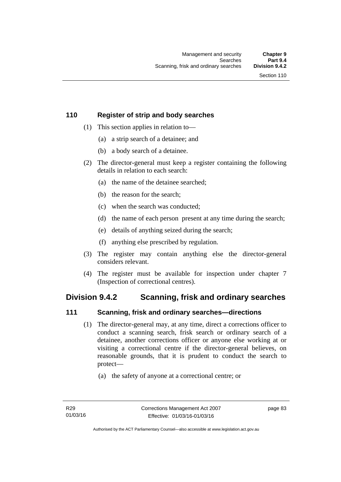## **110 Register of strip and body searches**

- (1) This section applies in relation to—
	- (a) a strip search of a detainee; and
	- (b) a body search of a detainee.
- (2) The director-general must keep a register containing the following details in relation to each search:
	- (a) the name of the detainee searched;
	- (b) the reason for the search;
	- (c) when the search was conducted;
	- (d) the name of each person present at any time during the search;
	- (e) details of anything seized during the search;
	- (f) anything else prescribed by regulation.
- (3) The register may contain anything else the director-general considers relevant.
- (4) The register must be available for inspection under chapter 7 (Inspection of correctional centres).

## **Division 9.4.2 Scanning, frisk and ordinary searches**

## **111 Scanning, frisk and ordinary searches—directions**

- (1) The director-general may, at any time, direct a corrections officer to conduct a scanning search, frisk search or ordinary search of a detainee, another corrections officer or anyone else working at or visiting a correctional centre if the director-general believes, on reasonable grounds, that it is prudent to conduct the search to protect—
	- (a) the safety of anyone at a correctional centre; or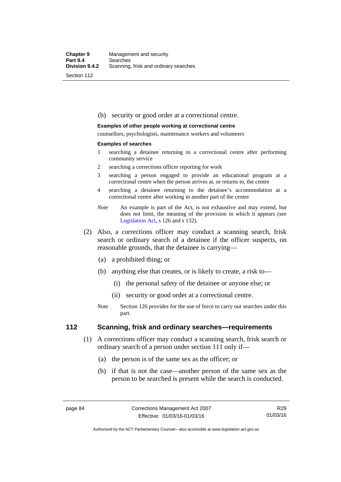### (b) security or good order at a correctional centre.

#### **Examples of other people working at correctional centre**

counsellors, psychologists, maintenance workers and volunteers

#### **Examples of searches**

- 1 searching a detainee returning to a correctional centre after performing community service
- 2 searching a corrections officer reporting for work
- 3 searching a person engaged to provide an educational program at a correctional centre when the person arrives at, or returns to, the centre
- 4 searching a detainee returning to the detainee's accommodation at a correctional centre after working in another part of the centre
- *Note* An example is part of the Act, is not exhaustive and may extend, but does not limit, the meaning of the provision in which it appears (see [Legislation Act,](http://www.legislation.act.gov.au/a/2001-14) s 126 and s 132).
- (2) Also, a corrections officer may conduct a scanning search, frisk search or ordinary search of a detainee if the officer suspects, on reasonable grounds, that the detainee is carrying—
	- (a) a prohibited thing; or
	- (b) anything else that creates, or is likely to create, a risk to—
		- (i) the personal safety of the detainee or anyone else; or
		- (ii) security or good order at a correctional centre.
	- *Note* Section 126 provides for the use of force to carry out searches under this part.

## **112 Scanning, frisk and ordinary searches—requirements**

- (1) A corrections officer may conduct a scanning search, frisk search or ordinary search of a person under section 111 only if—
	- (a) the person is of the same sex as the officer; or
	- (b) if that is not the case—another person of the same sex as the person to be searched is present while the search is conducted.

Authorised by the ACT Parliamentary Counsel—also accessible at www.legislation.act.gov.au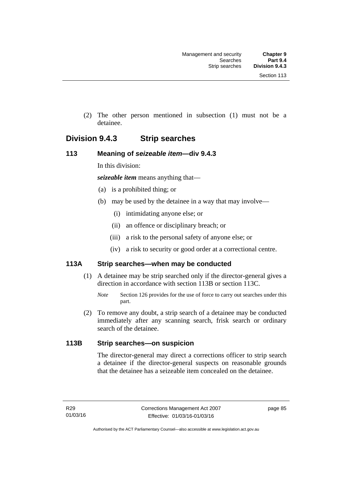(2) The other person mentioned in subsection (1) must not be a detainee.

## **Division 9.4.3 Strip searches**

## **113 Meaning of** *seizeable item***—div 9.4.3**

In this division:

*seizeable item* means anything that—

- (a) is a prohibited thing; or
- (b) may be used by the detainee in a way that may involve—
	- (i) intimidating anyone else; or
	- (ii) an offence or disciplinary breach; or
	- (iii) a risk to the personal safety of anyone else; or
	- (iv) a risk to security or good order at a correctional centre.

## **113A Strip searches—when may be conducted**

- (1) A detainee may be strip searched only if the director-general gives a direction in accordance with section 113B or section 113C.
	- *Note* Section 126 provides for the use of force to carry out searches under this part.
- (2) To remove any doubt, a strip search of a detainee may be conducted immediately after any scanning search, frisk search or ordinary search of the detainee.

## **113B Strip searches—on suspicion**

The director-general may direct a corrections officer to strip search a detainee if the director-general suspects on reasonable grounds that the detainee has a seizeable item concealed on the detainee.

page 85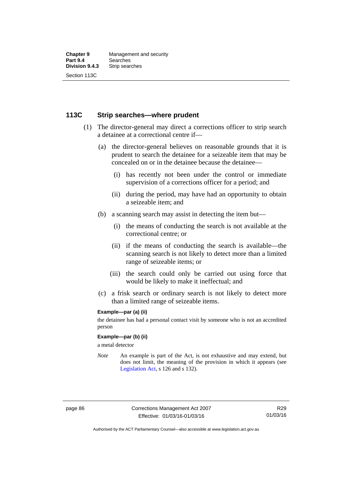## **113C Strip searches—where prudent**

- (1) The director-general may direct a corrections officer to strip search a detainee at a correctional centre if—
	- (a) the director-general believes on reasonable grounds that it is prudent to search the detainee for a seizeable item that may be concealed on or in the detainee because the detainee—
		- (i) has recently not been under the control or immediate supervision of a corrections officer for a period; and
		- (ii) during the period, may have had an opportunity to obtain a seizeable item; and
	- (b) a scanning search may assist in detecting the item but—
		- (i) the means of conducting the search is not available at the correctional centre; or
		- (ii) if the means of conducting the search is available—the scanning search is not likely to detect more than a limited range of seizeable items; or
		- (iii) the search could only be carried out using force that would be likely to make it ineffectual; and
	- (c) a frisk search or ordinary search is not likely to detect more than a limited range of seizeable items.

### **Example—par (a) (ii)**

the detainee has had a personal contact visit by someone who is not an accredited person

#### **Example—par (b) (ii)**

a metal detector

*Note* An example is part of the Act, is not exhaustive and may extend, but does not limit, the meaning of the provision in which it appears (see [Legislation Act,](http://www.legislation.act.gov.au/a/2001-14) s 126 and s 132).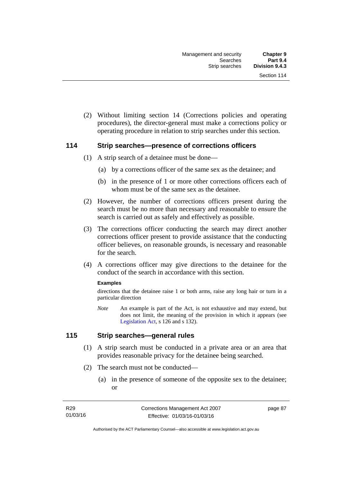(2) Without limiting section 14 (Corrections policies and operating procedures), the director-general must make a corrections policy or operating procedure in relation to strip searches under this section.

## **114 Strip searches—presence of corrections officers**

- (1) A strip search of a detainee must be done—
	- (a) by a corrections officer of the same sex as the detainee; and
	- (b) in the presence of 1 or more other corrections officers each of whom must be of the same sex as the detainee.
- (2) However, the number of corrections officers present during the search must be no more than necessary and reasonable to ensure the search is carried out as safely and effectively as possible.
- (3) The corrections officer conducting the search may direct another corrections officer present to provide assistance that the conducting officer believes, on reasonable grounds, is necessary and reasonable for the search.
- (4) A corrections officer may give directions to the detainee for the conduct of the search in accordance with this section.

#### **Examples**

directions that the detainee raise 1 or both arms, raise any long hair or turn in a particular direction

*Note* An example is part of the Act, is not exhaustive and may extend, but does not limit, the meaning of the provision in which it appears (see [Legislation Act,](http://www.legislation.act.gov.au/a/2001-14) s 126 and s 132).

## **115 Strip searches—general rules**

- (1) A strip search must be conducted in a private area or an area that provides reasonable privacy for the detainee being searched.
- (2) The search must not be conducted—
	- (a) in the presence of someone of the opposite sex to the detainee; or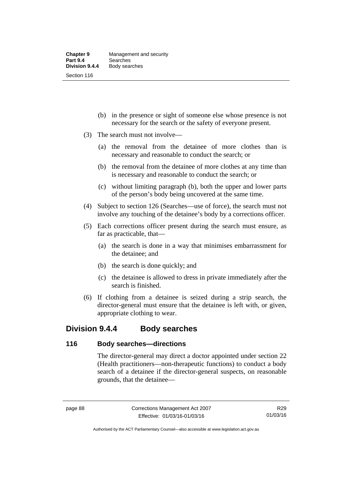- (b) in the presence or sight of someone else whose presence is not necessary for the search or the safety of everyone present.
- (3) The search must not involve—
	- (a) the removal from the detainee of more clothes than is necessary and reasonable to conduct the search; or
	- (b) the removal from the detainee of more clothes at any time than is necessary and reasonable to conduct the search; or
	- (c) without limiting paragraph (b), both the upper and lower parts of the person's body being uncovered at the same time.
- (4) Subject to section 126 (Searches—use of force), the search must not involve any touching of the detainee's body by a corrections officer.
- (5) Each corrections officer present during the search must ensure, as far as practicable, that—
	- (a) the search is done in a way that minimises embarrassment for the detainee; and
	- (b) the search is done quickly; and
	- (c) the detainee is allowed to dress in private immediately after the search is finished.
- (6) If clothing from a detainee is seized during a strip search, the director-general must ensure that the detainee is left with, or given, appropriate clothing to wear.

## **Division 9.4.4 Body searches**

## **116 Body searches—directions**

The director-general may direct a doctor appointed under section 22 (Health practitioners—non-therapeutic functions) to conduct a body search of a detainee if the director-general suspects, on reasonable grounds, that the detainee—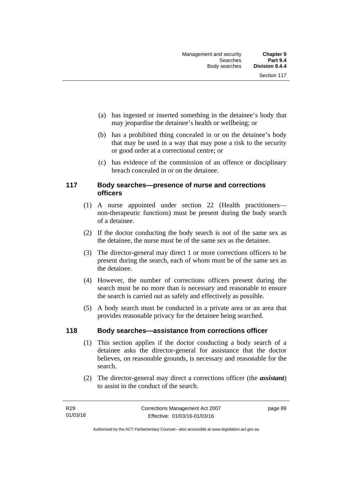- (a) has ingested or inserted something in the detainee's body that may jeopardise the detainee's health or wellbeing; or
- (b) has a prohibited thing concealed in or on the detainee's body that may be used in a way that may pose a risk to the security or good order at a correctional centre; or
- (c) has evidence of the commission of an offence or disciplinary breach concealed in or on the detainee.

## **117 Body searches—presence of nurse and corrections officers**

- (1) A nurse appointed under section 22 (Health practitioners non-therapeutic functions) must be present during the body search of a detainee.
- (2) If the doctor conducting the body search is not of the same sex as the detainee, the nurse must be of the same sex as the detainee.
- (3) The director-general may direct 1 or more corrections officers to be present during the search, each of whom must be of the same sex as the detainee.
- (4) However, the number of corrections officers present during the search must be no more than is necessary and reasonable to ensure the search is carried out as safely and effectively as possible.
- (5) A body search must be conducted in a private area or an area that provides reasonable privacy for the detainee being searched.

## **118 Body searches—assistance from corrections officer**

- (1) This section applies if the doctor conducting a body search of a detainee asks the director-general for assistance that the doctor believes, on reasonable grounds, is necessary and reasonable for the search.
- (2) The director-general may direct a corrections officer (the *assistant*) to assist in the conduct of the search.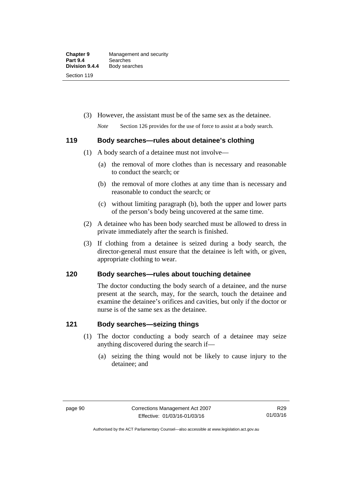(3) However, the assistant must be of the same sex as the detainee.

*Note* Section 126 provides for the use of force to assist at a body search.

## **119 Body searches—rules about detainee's clothing**

- (1) A body search of a detainee must not involve—
	- (a) the removal of more clothes than is necessary and reasonable to conduct the search; or
	- (b) the removal of more clothes at any time than is necessary and reasonable to conduct the search; or
	- (c) without limiting paragraph (b), both the upper and lower parts of the person's body being uncovered at the same time.
- (2) A detainee who has been body searched must be allowed to dress in private immediately after the search is finished.
- (3) If clothing from a detainee is seized during a body search, the director-general must ensure that the detainee is left with, or given, appropriate clothing to wear.

## **120 Body searches—rules about touching detainee**

The doctor conducting the body search of a detainee, and the nurse present at the search, may, for the search, touch the detainee and examine the detainee's orifices and cavities, but only if the doctor or nurse is of the same sex as the detainee.

## **121 Body searches—seizing things**

- (1) The doctor conducting a body search of a detainee may seize anything discovered during the search if—
	- (a) seizing the thing would not be likely to cause injury to the detainee; and

Authorised by the ACT Parliamentary Counsel—also accessible at www.legislation.act.gov.au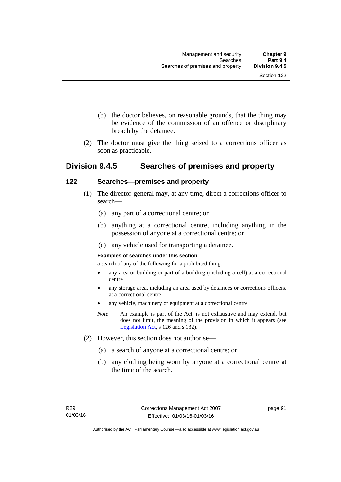- (b) the doctor believes, on reasonable grounds, that the thing may be evidence of the commission of an offence or disciplinary breach by the detainee.
- (2) The doctor must give the thing seized to a corrections officer as soon as practicable.

## **Division 9.4.5 Searches of premises and property**

## **122 Searches—premises and property**

- (1) The director-general may, at any time, direct a corrections officer to search—
	- (a) any part of a correctional centre; or
	- (b) anything at a correctional centre, including anything in the possession of anyone at a correctional centre; or
	- (c) any vehicle used for transporting a detainee.

### **Examples of searches under this section**

a search of any of the following for a prohibited thing:

- any area or building or part of a building (including a cell) at a correctional centre
- any storage area, including an area used by detainees or corrections officers, at a correctional centre
- any vehicle, machinery or equipment at a correctional centre
- *Note* An example is part of the Act, is not exhaustive and may extend, but does not limit, the meaning of the provision in which it appears (see [Legislation Act,](http://www.legislation.act.gov.au/a/2001-14) s 126 and s 132).
- (2) However, this section does not authorise—
	- (a) a search of anyone at a correctional centre; or
	- (b) any clothing being worn by anyone at a correctional centre at the time of the search.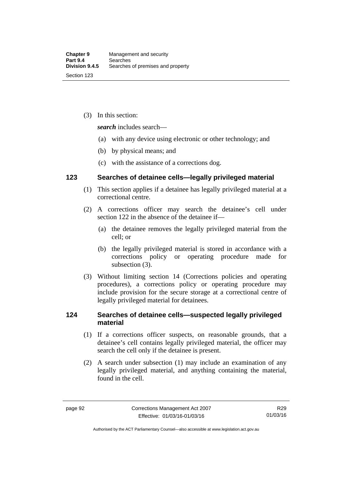(3) In this section:

*search* includes search—

- (a) with any device using electronic or other technology; and
- (b) by physical means; and
- (c) with the assistance of a corrections dog.

## **123 Searches of detainee cells—legally privileged material**

- (1) This section applies if a detainee has legally privileged material at a correctional centre.
- (2) A corrections officer may search the detainee's cell under section 122 in the absence of the detainee if—
	- (a) the detainee removes the legally privileged material from the cell; or
	- (b) the legally privileged material is stored in accordance with a corrections policy or operating procedure made for subsection (3).
- (3) Without limiting section 14 (Corrections policies and operating procedures), a corrections policy or operating procedure may include provision for the secure storage at a correctional centre of legally privileged material for detainees.

## **124 Searches of detainee cells—suspected legally privileged material**

- (1) If a corrections officer suspects, on reasonable grounds, that a detainee's cell contains legally privileged material, the officer may search the cell only if the detainee is present.
- (2) A search under subsection (1) may include an examination of any legally privileged material, and anything containing the material, found in the cell.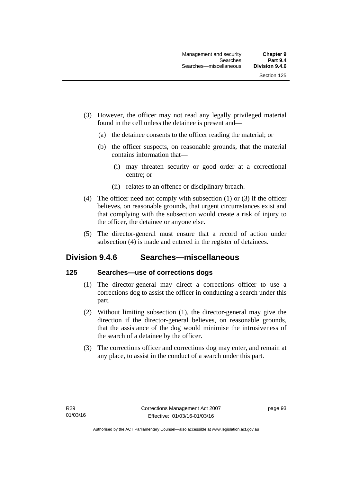- (3) However, the officer may not read any legally privileged material found in the cell unless the detainee is present and—
	- (a) the detainee consents to the officer reading the material; or
	- (b) the officer suspects, on reasonable grounds, that the material contains information that—
		- (i) may threaten security or good order at a correctional centre; or
		- (ii) relates to an offence or disciplinary breach.
- (4) The officer need not comply with subsection (1) or (3) if the officer believes, on reasonable grounds, that urgent circumstances exist and that complying with the subsection would create a risk of injury to the officer, the detainee or anyone else.
- (5) The director-general must ensure that a record of action under subsection (4) is made and entered in the register of detainees.

## **Division 9.4.6 Searches—miscellaneous**

## **125 Searches—use of corrections dogs**

- (1) The director-general may direct a corrections officer to use a corrections dog to assist the officer in conducting a search under this part.
- (2) Without limiting subsection (1), the director-general may give the direction if the director-general believes, on reasonable grounds, that the assistance of the dog would minimise the intrusiveness of the search of a detainee by the officer.
- (3) The corrections officer and corrections dog may enter, and remain at any place, to assist in the conduct of a search under this part.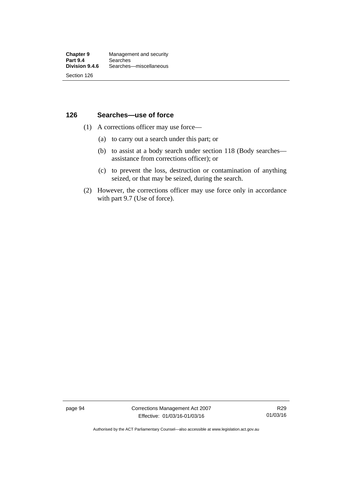## **126 Searches—use of force**

- (1) A corrections officer may use force—
	- (a) to carry out a search under this part; or
	- (b) to assist at a body search under section 118 (Body searches assistance from corrections officer); or
	- (c) to prevent the loss, destruction or contamination of anything seized, or that may be seized, during the search.
- (2) However, the corrections officer may use force only in accordance with part 9.7 (Use of force).

page 94 Corrections Management Act 2007 Effective: 01/03/16-01/03/16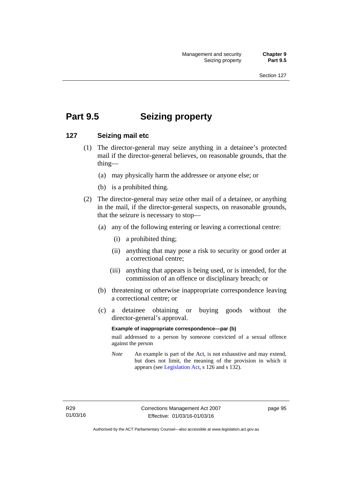# **Part 9.5 Seizing property**

# **127 Seizing mail etc**

- (1) The director-general may seize anything in a detainee's protected mail if the director-general believes, on reasonable grounds, that the thing—
	- (a) may physically harm the addressee or anyone else; or
	- (b) is a prohibited thing.
- (2) The director-general may seize other mail of a detainee, or anything in the mail, if the director-general suspects, on reasonable grounds, that the seizure is necessary to stop—
	- (a) any of the following entering or leaving a correctional centre:
		- (i) a prohibited thing;
		- (ii) anything that may pose a risk to security or good order at a correctional centre;
		- (iii) anything that appears is being used, or is intended, for the commission of an offence or disciplinary breach; or
	- (b) threatening or otherwise inappropriate correspondence leaving a correctional centre; or
	- (c) a detainee obtaining or buying goods without the director-general's approval.

#### **Example of inappropriate correspondence—par (b)**

mail addressed to a person by someone convicted of a sexual offence against the person

*Note* An example is part of the Act, is not exhaustive and may extend, but does not limit, the meaning of the provision in which it appears (see [Legislation Act,](http://www.legislation.act.gov.au/a/2001-14) s 126 and s 132).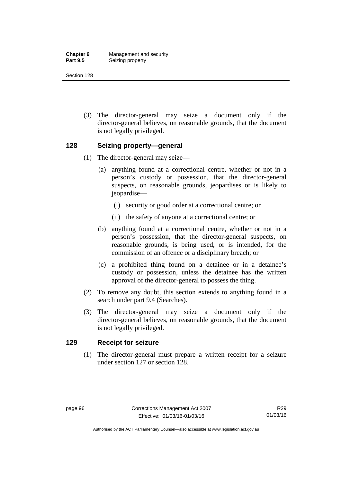| <b>Chapter 9</b> | Management and security |
|------------------|-------------------------|
| <b>Part 9.5</b>  | Seizing property        |

 (3) The director-general may seize a document only if the director-general believes, on reasonable grounds, that the document is not legally privileged.

# **128 Seizing property—general**

- (1) The director-general may seize—
	- (a) anything found at a correctional centre, whether or not in a person's custody or possession, that the director-general suspects, on reasonable grounds, jeopardises or is likely to jeopardise—
		- (i) security or good order at a correctional centre; or
		- (ii) the safety of anyone at a correctional centre; or
	- (b) anything found at a correctional centre, whether or not in a person's possession, that the director-general suspects, on reasonable grounds, is being used, or is intended, for the commission of an offence or a disciplinary breach; or
	- (c) a prohibited thing found on a detainee or in a detainee's custody or possession, unless the detainee has the written approval of the director-general to possess the thing.
- (2) To remove any doubt, this section extends to anything found in a search under part 9.4 (Searches).
- (3) The director-general may seize a document only if the director-general believes, on reasonable grounds, that the document is not legally privileged.

# **129 Receipt for seizure**

(1) The director-general must prepare a written receipt for a seizure under section 127 or section 128.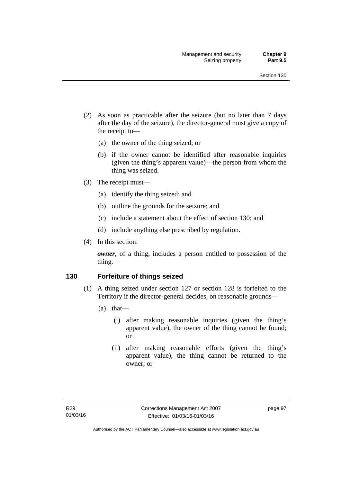- (2) As soon as practicable after the seizure (but no later than 7 days after the day of the seizure), the director-general must give a copy of the receipt to—
	- (a) the owner of the thing seized; or
	- (b) if the owner cannot be identified after reasonable inquiries (given the thing's apparent value)—the person from whom the thing was seized.
- (3) The receipt must—
	- (a) identify the thing seized; and
	- (b) outline the grounds for the seizure; and
	- (c) include a statement about the effect of section 130; and
	- (d) include anything else prescribed by regulation.
- (4) In this section:

*owner*, of a thing, includes a person entitled to possession of the thing.

# **130 Forfeiture of things seized**

- (1) A thing seized under section 127 or section 128 is forfeited to the Territory if the director-general decides, on reasonable grounds—
	- (a) that—
		- (i) after making reasonable inquiries (given the thing's apparent value), the owner of the thing cannot be found; or
		- (ii) after making reasonable efforts (given the thing's apparent value), the thing cannot be returned to the owner; or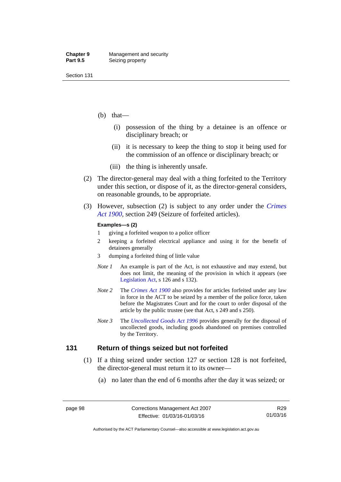- (b) that—
	- (i) possession of the thing by a detainee is an offence or disciplinary breach; or
	- (ii) it is necessary to keep the thing to stop it being used for the commission of an offence or disciplinary breach; or
	- (iii) the thing is inherently unsafe.
- (2) The director-general may deal with a thing forfeited to the Territory under this section, or dispose of it, as the director-general considers, on reasonable grounds, to be appropriate.
- (3) However, subsection (2) is subject to any order under the *[Crimes](http://www.legislation.act.gov.au/a/1900-40)  [Act 1900](http://www.legislation.act.gov.au/a/1900-40),* section 249 (Seizure of forfeited articles).

#### **Examples—s (2)**

- 1 giving a forfeited weapon to a police officer
- 2 keeping a forfeited electrical appliance and using it for the benefit of detainees generally
- 3 dumping a forfeited thing of little value
- *Note 1* An example is part of the Act, is not exhaustive and may extend, but does not limit, the meaning of the provision in which it appears (see [Legislation Act,](http://www.legislation.act.gov.au/a/2001-14) s 126 and s 132).
- *Note 2* The *[Crimes Act 1900](http://www.legislation.act.gov.au/a/1900-40)* also provides for articles forfeited under any law in force in the ACT to be seized by a member of the police force, taken before the Magistrates Court and for the court to order disposal of the article by the public trustee (see that Act, s 249 and s 250).
- *Note 3* The *[Uncollected Goods Act 1996](http://www.legislation.act.gov.au/a/1996-86)* provides generally for the disposal of uncollected goods, including goods abandoned on premises controlled by the Territory.

#### **131 Return of things seized but not forfeited**

- (1) If a thing seized under section 127 or section 128 is not forfeited, the director-general must return it to its owner—
	- (a) no later than the end of 6 months after the day it was seized; or

R29 01/03/16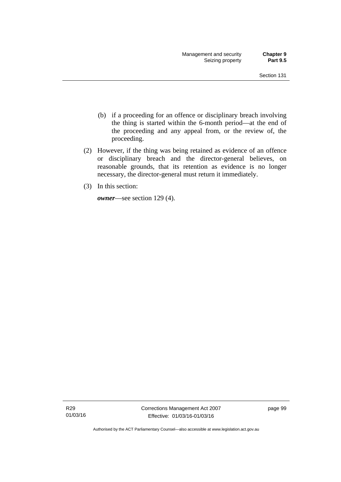- (b) if a proceeding for an offence or disciplinary breach involving the thing is started within the 6-month period—at the end of the proceeding and any appeal from, or the review of, the proceeding.
- (2) However, if the thing was being retained as evidence of an offence or disciplinary breach and the director-general believes, on reasonable grounds, that its retention as evidence is no longer necessary, the director-general must return it immediately.
- (3) In this section:

*owner*—see section 129 (4).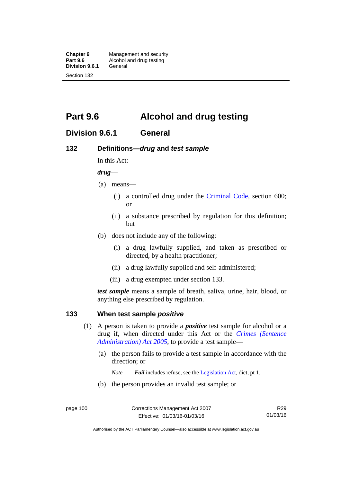**Chapter 9 Management and security<br><b>Part 9.6 Alcohol and drug testing** Alcohol and drug testing<br>General **Division 9.6.1** Section 132

**Part 9.6 Alcohol and drug testing** 

# **Division 9.6.1 General**

# **132 Definitions—***drug* **and** *test sample*

In this Act:

*drug*—

- (a) means—
	- (i) a controlled drug under the [Criminal Code](http://www.legislation.act.gov.au/a/2002-51), section 600; or
	- (ii) a substance prescribed by regulation for this definition; but
- (b) does not include any of the following:
	- (i) a drug lawfully supplied, and taken as prescribed or directed, by a health practitioner;
	- (ii) a drug lawfully supplied and self-administered;
	- (iii) a drug exempted under section 133.

*test sample* means a sample of breath, saliva, urine, hair, blood, or anything else prescribed by regulation.

# **133 When test sample** *positive*

- (1) A person is taken to provide a *positive* test sample for alcohol or a drug if, when directed under this Act or the *[Crimes \(Sentence](http://www.legislation.act.gov.au/a/2005-59)  [Administration\) Act 2005](http://www.legislation.act.gov.au/a/2005-59)*, to provide a test sample—
	- (a) the person fails to provide a test sample in accordance with the direction; or
		- *Note Fail* includes refuse, see the [Legislation Act,](http://www.legislation.act.gov.au/a/2001-14) dict, pt 1.
	- (b) the person provides an invalid test sample; or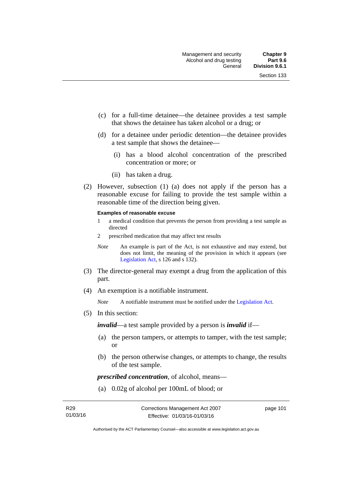- (c) for a full-time detainee—the detainee provides a test sample that shows the detainee has taken alcohol or a drug; or
- (d) for a detainee under periodic detention—the detainee provides a test sample that shows the detainee—
	- (i) has a blood alcohol concentration of the prescribed concentration or more; or
	- (ii) has taken a drug.
- (2) However, subsection (1) (a) does not apply if the person has a reasonable excuse for failing to provide the test sample within a reasonable time of the direction being given.

#### **Examples of reasonable excuse**

- 1 a medical condition that prevents the person from providing a test sample as directed
- 2 prescribed medication that may affect test results
- *Note* An example is part of the Act, is not exhaustive and may extend, but does not limit, the meaning of the provision in which it appears (see [Legislation Act,](http://www.legislation.act.gov.au/a/2001-14) s 126 and s 132).
- (3) The director-general may exempt a drug from the application of this part.
- (4) An exemption is a notifiable instrument.

*Note* A notifiable instrument must be notified under the [Legislation Act](http://www.legislation.act.gov.au/a/2001-14).

(5) In this section:

*invalid*—a test sample provided by a person is *invalid* if—

- (a) the person tampers, or attempts to tamper, with the test sample; or
- (b) the person otherwise changes, or attempts to change, the results of the test sample.

*prescribed concentration*, of alcohol, means—

(a) 0.02g of alcohol per 100mL of blood; or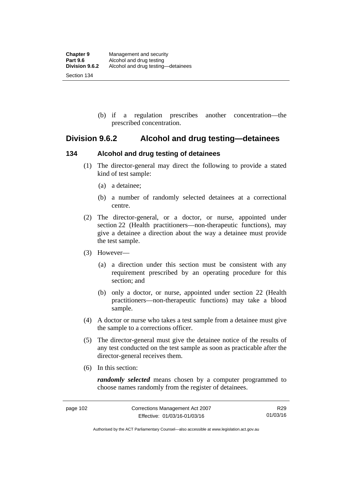(b) if a regulation prescribes another concentration—the prescribed concentration.

# **Division 9.6.2 Alcohol and drug testing—detainees**

# **134 Alcohol and drug testing of detainees**

- (1) The director-general may direct the following to provide a stated kind of test sample:
	- (a) a detainee;
	- (b) a number of randomly selected detainees at a correctional centre.
- (2) The director-general, or a doctor, or nurse, appointed under section 22 (Health practitioners—non-therapeutic functions), may give a detainee a direction about the way a detainee must provide the test sample.
- (3) However—
	- (a) a direction under this section must be consistent with any requirement prescribed by an operating procedure for this section; and
	- (b) only a doctor, or nurse, appointed under section 22 (Health practitioners—non-therapeutic functions) may take a blood sample.
- (4) A doctor or nurse who takes a test sample from a detainee must give the sample to a corrections officer.
- (5) The director-general must give the detainee notice of the results of any test conducted on the test sample as soon as practicable after the director-general receives them.
- (6) In this section:

*randomly selected* means chosen by a computer programmed to choose names randomly from the register of detainees.

Authorised by the ACT Parliamentary Counsel—also accessible at www.legislation.act.gov.au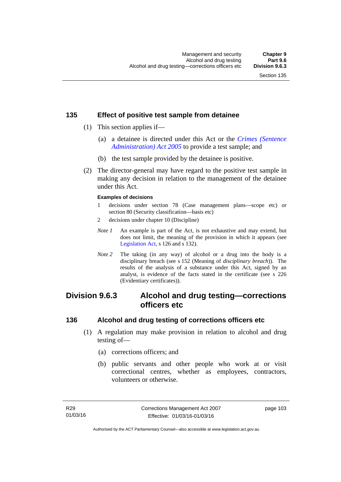# **135 Effect of positive test sample from detainee**

- (1) This section applies if—
	- (a) a detainee is directed under this Act or the *[Crimes \(Sentence](http://www.legislation.act.gov.au/a/2005-59)  [Administration\) Act 2005](http://www.legislation.act.gov.au/a/2005-59)* to provide a test sample; and
	- (b) the test sample provided by the detainee is positive.
- (2) The director-general may have regard to the positive test sample in making any decision in relation to the management of the detainee under this Act.

#### **Examples of decisions**

- 1 decisions under section 78 (Case management plans—scope etc) or section 80 (Security classification—basis etc)
- 2 decisions under chapter 10 (Discipline)
- *Note 1* An example is part of the Act, is not exhaustive and may extend, but does not limit, the meaning of the provision in which it appears (see [Legislation Act,](http://www.legislation.act.gov.au/a/2001-14) s 126 and s 132).
- *Note 2* The taking (in any way) of alcohol or a drug into the body is a disciplinary breach (see s 152 (Meaning of *disciplinary breach*)). The results of the analysis of a substance under this Act, signed by an analyst, is evidence of the facts stated in the certificate (see s 226 (Evidentiary certificates)).

# **Division 9.6.3 Alcohol and drug testing—corrections officers etc**

# **136 Alcohol and drug testing of corrections officers etc**

- (1) A regulation may make provision in relation to alcohol and drug testing of—
	- (a) corrections officers; and
	- (b) public servants and other people who work at or visit correctional centres, whether as employees, contractors, volunteers or otherwise.

page 103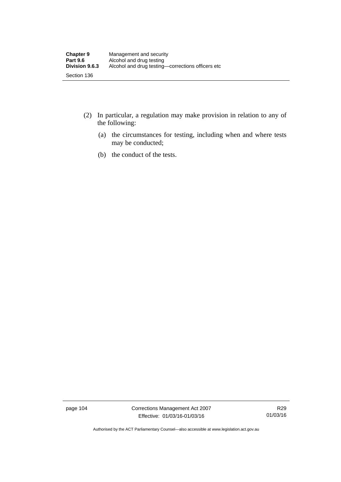- (2) In particular, a regulation may make provision in relation to any of the following:
	- (a) the circumstances for testing, including when and where tests may be conducted;
	- (b) the conduct of the tests.

page 104 Corrections Management Act 2007 Effective: 01/03/16-01/03/16

R29 01/03/16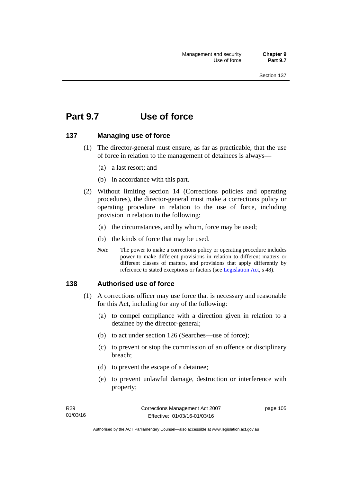# **Part 9.7 Use of force**

# **137 Managing use of force**

- (1) The director-general must ensure, as far as practicable, that the use of force in relation to the management of detainees is always—
	- (a) a last resort; and
	- (b) in accordance with this part.
- (2) Without limiting section 14 (Corrections policies and operating procedures), the director-general must make a corrections policy or operating procedure in relation to the use of force, including provision in relation to the following:
	- (a) the circumstances, and by whom, force may be used;
	- (b) the kinds of force that may be used.
	- *Note* The power to make a corrections policy or operating procedure includes power to make different provisions in relation to different matters or different classes of matters, and provisions that apply differently by reference to stated exceptions or factors (see [Legislation Act](http://www.legislation.act.gov.au/a/2001-14), s 48).

#### **138 Authorised use of force**

- (1) A corrections officer may use force that is necessary and reasonable for this Act, including for any of the following:
	- (a) to compel compliance with a direction given in relation to a detainee by the director-general;
	- (b) to act under section 126 (Searches—use of force);
	- (c) to prevent or stop the commission of an offence or disciplinary breach;
	- (d) to prevent the escape of a detainee;
	- (e) to prevent unlawful damage, destruction or interference with property;

page 105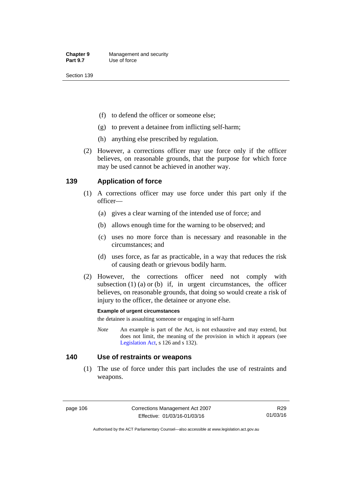- (f) to defend the officer or someone else;
- (g) to prevent a detainee from inflicting self-harm;
- (h) anything else prescribed by regulation.
- (2) However, a corrections officer may use force only if the officer believes, on reasonable grounds, that the purpose for which force may be used cannot be achieved in another way.

# **139 Application of force**

- (1) A corrections officer may use force under this part only if the officer—
	- (a) gives a clear warning of the intended use of force; and
	- (b) allows enough time for the warning to be observed; and
	- (c) uses no more force than is necessary and reasonable in the circumstances; and
	- (d) uses force, as far as practicable, in a way that reduces the risk of causing death or grievous bodily harm.
- (2) However, the corrections officer need not comply with subsection  $(1)$   $(a)$  or  $(b)$  if, in urgent circumstances, the officer believes, on reasonable grounds, that doing so would create a risk of injury to the officer, the detainee or anyone else.

#### **Example of urgent circumstances**

the detainee is assaulting someone or engaging in self-harm

*Note* An example is part of the Act, is not exhaustive and may extend, but does not limit, the meaning of the provision in which it appears (see [Legislation Act,](http://www.legislation.act.gov.au/a/2001-14) s 126 and s 132).

#### **140 Use of restraints or weapons**

 (1) The use of force under this part includes the use of restraints and weapons.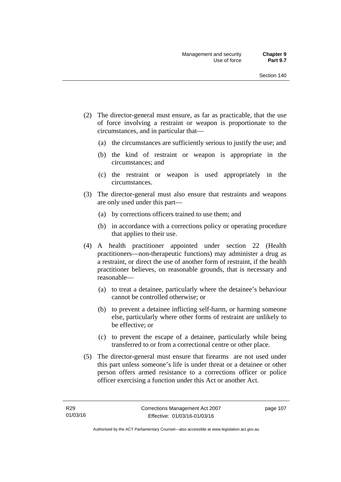- (2) The director-general must ensure, as far as practicable, that the use of force involving a restraint or weapon is proportionate to the circumstances, and in particular that—
	- (a) the circumstances are sufficiently serious to justify the use; and
	- (b) the kind of restraint or weapon is appropriate in the circumstances; and
	- (c) the restraint or weapon is used appropriately in the circumstances.
- (3) The director-general must also ensure that restraints and weapons are only used under this part—
	- (a) by corrections officers trained to use them; and
	- (b) in accordance with a corrections policy or operating procedure that applies to their use.
- (4) A health practitioner appointed under section 22 (Health practitioners—non-therapeutic functions) may administer a drug as a restraint, or direct the use of another form of restraint, if the health practitioner believes, on reasonable grounds, that is necessary and reasonable—
	- (a) to treat a detainee, particularly where the detainee's behaviour cannot be controlled otherwise; or
	- (b) to prevent a detainee inflicting self-harm, or harming someone else, particularly where other forms of restraint are unlikely to be effective; or
	- (c) to prevent the escape of a detainee, particularly while being transferred to or from a correctional centre or other place.
- (5) The director-general must ensure that firearms are not used under this part unless someone's life is under threat or a detainee or other person offers armed resistance to a corrections officer or police officer exercising a function under this Act or another Act.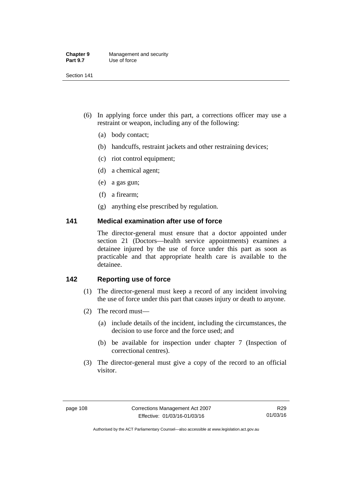| <b>Chapter 9</b> | Management and security |
|------------------|-------------------------|
| <b>Part 9.7</b>  | Use of force            |

- (6) In applying force under this part, a corrections officer may use a restraint or weapon, including any of the following:
	- (a) body contact;
	- (b) handcuffs, restraint jackets and other restraining devices;
	- (c) riot control equipment;
	- (d) a chemical agent;
	- (e) a gas gun;
	- (f) a firearm;
	- (g) anything else prescribed by regulation.

# **141 Medical examination after use of force**

The director-general must ensure that a doctor appointed under section 21 (Doctors—health service appointments) examines a detainee injured by the use of force under this part as soon as practicable and that appropriate health care is available to the detainee.

# **142 Reporting use of force**

- (1) The director-general must keep a record of any incident involving the use of force under this part that causes injury or death to anyone.
- (2) The record must—
	- (a) include details of the incident, including the circumstances, the decision to use force and the force used; and
	- (b) be available for inspection under chapter 7 (Inspection of correctional centres).
- (3) The director-general must give a copy of the record to an official visitor.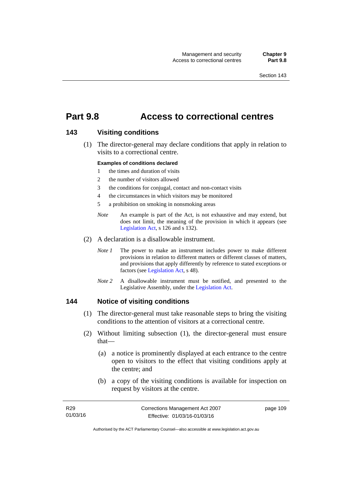# **Part 9.8 Access to correctional centres**

### **143 Visiting conditions**

 (1) The director-general may declare conditions that apply in relation to visits to a correctional centre.

#### **Examples of conditions declared**

- 1 the times and duration of visits
- 2 the number of visitors allowed
- 3 the conditions for conjugal, contact and non-contact visits
- 4 the circumstances in which visitors may be monitored
- 5 a prohibition on smoking in nonsmoking areas
- *Note* An example is part of the Act, is not exhaustive and may extend, but does not limit, the meaning of the provision in which it appears (see [Legislation Act,](http://www.legislation.act.gov.au/a/2001-14) s 126 and s 132).
- (2) A declaration is a disallowable instrument.
	- *Note I* The power to make an instrument includes power to make different provisions in relation to different matters or different classes of matters, and provisions that apply differently by reference to stated exceptions or factors (see [Legislation Act](http://www.legislation.act.gov.au/a/2001-14), s 48).
	- *Note 2* A disallowable instrument must be notified, and presented to the Legislative Assembly, under the [Legislation Act.](http://www.legislation.act.gov.au/a/2001-14)

#### **144 Notice of visiting conditions**

- (1) The director-general must take reasonable steps to bring the visiting conditions to the attention of visitors at a correctional centre.
- (2) Without limiting subsection (1), the director-general must ensure that—
	- (a) a notice is prominently displayed at each entrance to the centre open to visitors to the effect that visiting conditions apply at the centre; and
	- (b) a copy of the visiting conditions is available for inspection on request by visitors at the centre.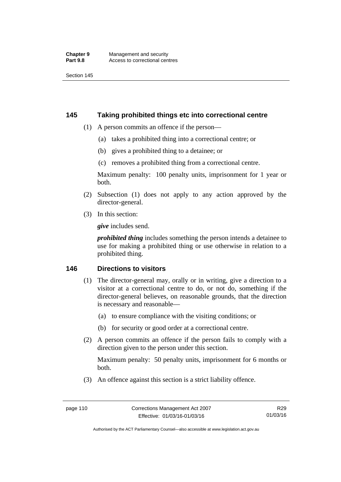### **145 Taking prohibited things etc into correctional centre**

- (1) A person commits an offence if the person—
	- (a) takes a prohibited thing into a correctional centre; or
	- (b) gives a prohibited thing to a detainee; or
	- (c) removes a prohibited thing from a correctional centre.

Maximum penalty: 100 penalty units, imprisonment for 1 year or both.

- (2) Subsection (1) does not apply to any action approved by the director-general.
- (3) In this section:

*give* includes send.

*prohibited thing* includes something the person intends a detainee to use for making a prohibited thing or use otherwise in relation to a prohibited thing.

# **146 Directions to visitors**

- (1) The director-general may, orally or in writing, give a direction to a visitor at a correctional centre to do, or not do, something if the director-general believes, on reasonable grounds, that the direction is necessary and reasonable—
	- (a) to ensure compliance with the visiting conditions; or
	- (b) for security or good order at a correctional centre.
- (2) A person commits an offence if the person fails to comply with a direction given to the person under this section.

Maximum penalty: 50 penalty units, imprisonment for 6 months or both.

(3) An offence against this section is a strict liability offence.

Authorised by the ACT Parliamentary Counsel—also accessible at www.legislation.act.gov.au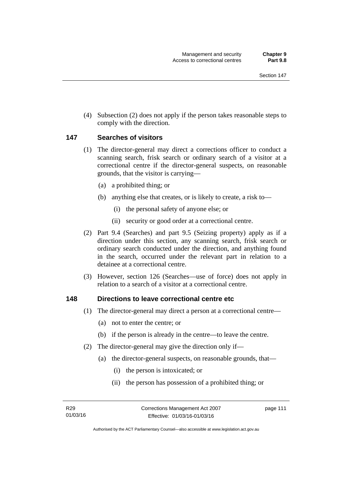(4) Subsection (2) does not apply if the person takes reasonable steps to comply with the direction.

#### **147 Searches of visitors**

- (1) The director-general may direct a corrections officer to conduct a scanning search, frisk search or ordinary search of a visitor at a correctional centre if the director-general suspects, on reasonable grounds, that the visitor is carrying—
	- (a) a prohibited thing; or
	- (b) anything else that creates, or is likely to create, a risk to—
		- (i) the personal safety of anyone else; or
		- (ii) security or good order at a correctional centre.
- (2) Part 9.4 (Searches) and part 9.5 (Seizing property) apply as if a direction under this section, any scanning search, frisk search or ordinary search conducted under the direction, and anything found in the search, occurred under the relevant part in relation to a detainee at a correctional centre.
- (3) However, section 126 (Searches—use of force) does not apply in relation to a search of a visitor at a correctional centre.

#### **148 Directions to leave correctional centre etc**

- (1) The director-general may direct a person at a correctional centre—
	- (a) not to enter the centre; or
	- (b) if the person is already in the centre—to leave the centre.
- (2) The director-general may give the direction only if—
	- (a) the director-general suspects, on reasonable grounds, that—
		- (i) the person is intoxicated; or
		- (ii) the person has possession of a prohibited thing; or

page 111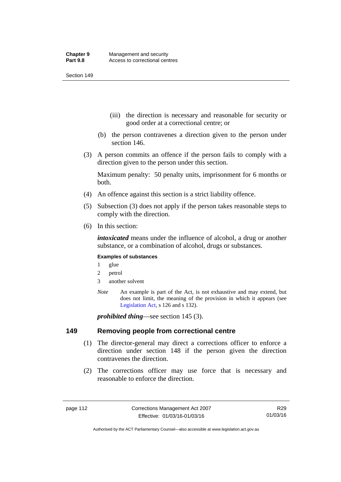- (iii) the direction is necessary and reasonable for security or good order at a correctional centre; or
- (b) the person contravenes a direction given to the person under section 146.
- (3) A person commits an offence if the person fails to comply with a direction given to the person under this section.

Maximum penalty: 50 penalty units, imprisonment for 6 months or both.

- (4) An offence against this section is a strict liability offence.
- (5) Subsection (3) does not apply if the person takes reasonable steps to comply with the direction.
- (6) In this section:

*intoxicated* means under the influence of alcohol, a drug or another substance, or a combination of alcohol, drugs or substances.

#### **Examples of substances**

- 1 glue
- 2 petrol
- 3 another solvent
- *Note* An example is part of the Act, is not exhaustive and may extend, but does not limit, the meaning of the provision in which it appears (see [Legislation Act,](http://www.legislation.act.gov.au/a/2001-14) s 126 and s 132).

*prohibited thing*—see section 145 (3).

# **149 Removing people from correctional centre**

- (1) The director-general may direct a corrections officer to enforce a direction under section 148 if the person given the direction contravenes the direction.
- (2) The corrections officer may use force that is necessary and reasonable to enforce the direction.

Authorised by the ACT Parliamentary Counsel—also accessible at www.legislation.act.gov.au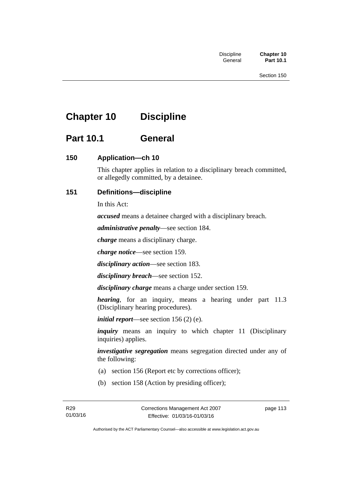# **Chapter 10 Discipline**

# **Part 10.1 General**

# **150 Application—ch 10**

This chapter applies in relation to a disciplinary breach committed, or allegedly committed, by a detainee.

# **151 Definitions—discipline**

In this Act:

*accused* means a detainee charged with a disciplinary breach.

*administrative penalty*—see section 184.

*charge* means a disciplinary charge.

*charge notice*—see section 159.

*disciplinary action*—see section 183.

*disciplinary breach*—see section 152.

*disciplinary charge* means a charge under section 159.

*hearing*, for an inquiry, means a hearing under part 11.3 (Disciplinary hearing procedures).

*initial report*—see section 156 (2) (e).

*inquiry* means an inquiry to which chapter 11 (Disciplinary inquiries) applies.

*investigative segregation* means segregation directed under any of the following:

- (a) section 156 (Report etc by corrections officer);
- (b) section 158 (Action by presiding officer);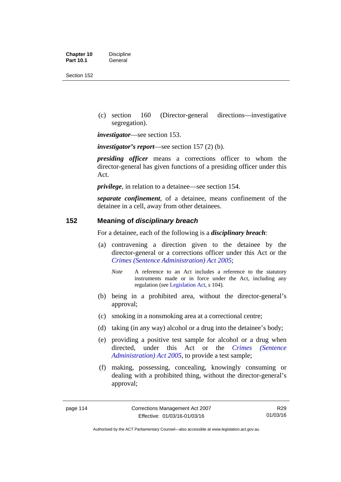| <b>Chapter 10</b> | <b>Discipline</b> |
|-------------------|-------------------|
| <b>Part 10.1</b>  | General           |

 (c) section 160 (Director-general directions—investigative segregation).

*investigator*—see section 153.

*investigator's report*—see section 157 (2) (b).

*presiding officer* means a corrections officer to whom the director-general has given functions of a presiding officer under this Act.

*privilege*, in relation to a detainee—see section 154.

*separate confinement*, of a detainee, means confinement of the detainee in a cell, away from other detainees.

### **152 Meaning of** *disciplinary breach*

For a detainee, each of the following is a *disciplinary breach*:

- (a) contravening a direction given to the detainee by the director-general or a corrections officer under this Act or the *[Crimes \(Sentence Administration\) Act 2005](http://www.legislation.act.gov.au/a/2005-59)*;
	- *Note* A reference to an Act includes a reference to the statutory instruments made or in force under the Act, including any regulation (see [Legislation Act,](http://www.legislation.act.gov.au/a/2001-14) s 104).
- (b) being in a prohibited area, without the director-general's approval;
- (c) smoking in a nonsmoking area at a correctional centre;
- (d) taking (in any way) alcohol or a drug into the detainee's body;
- (e) providing a positive test sample for alcohol or a drug when directed, under this Act or the *[Crimes \(Sentence](http://www.legislation.act.gov.au/a/2005-59)  [Administration\) Act 2005](http://www.legislation.act.gov.au/a/2005-59)*, to provide a test sample;
- (f) making, possessing, concealing, knowingly consuming or dealing with a prohibited thing, without the director-general's approval;

Authorised by the ACT Parliamentary Counsel—also accessible at www.legislation.act.gov.au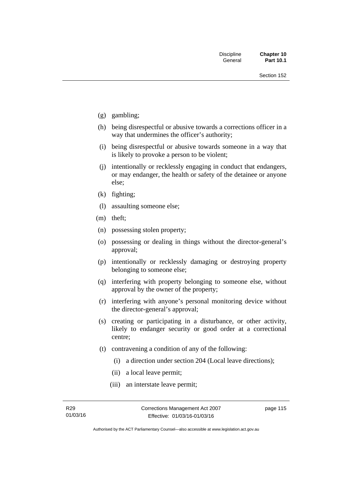- (g) gambling;
- (h) being disrespectful or abusive towards a corrections officer in a way that undermines the officer's authority;
- (i) being disrespectful or abusive towards someone in a way that is likely to provoke a person to be violent;
- (j) intentionally or recklessly engaging in conduct that endangers, or may endanger, the health or safety of the detainee or anyone else;
- (k) fighting;
- (l) assaulting someone else;
- (m) theft;
- (n) possessing stolen property;
- (o) possessing or dealing in things without the director-general's approval;
- (p) intentionally or recklessly damaging or destroying property belonging to someone else;
- (q) interfering with property belonging to someone else, without approval by the owner of the property;
- (r) interfering with anyone's personal monitoring device without the director-general's approval;
- (s) creating or participating in a disturbance, or other activity, likely to endanger security or good order at a correctional centre;
- (t) contravening a condition of any of the following:
	- (i) a direction under section 204 (Local leave directions);
	- (ii) a local leave permit;
	- (iii) an interstate leave permit;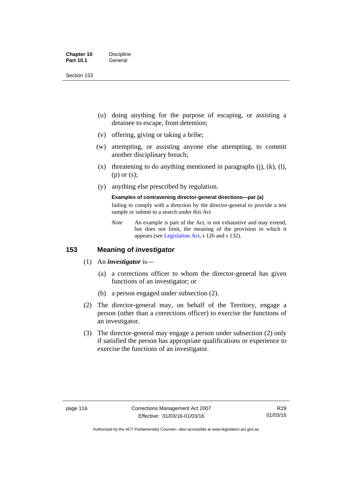| <b>Chapter 10</b> | <b>Discipline</b> |
|-------------------|-------------------|
| <b>Part 10.1</b>  | General           |

- (u) doing anything for the purpose of escaping, or assisting a detainee to escape, from detention;
- (v) offering, giving or taking a bribe;
- (w) attempting, or assisting anyone else attempting, to commit another disciplinary breach;
- $(x)$  threatening to do anything mentioned in paragraphs (j), (k), (l), (p) or (s);
- (y) anything else prescribed by regulation.

# **Examples of contravening director-general directions—par (a)**

failing to comply with a direction by the director-general to provide a test sample or submit to a search under this Act

*Note* An example is part of the Act, is not exhaustive and may extend, but does not limit, the meaning of the provision in which it appears (see [Legislation Act,](http://www.legislation.act.gov.au/a/2001-14) s 126 and s 132).

# **153 Meaning of** *investigator*

- (1) An *investigator* is—
	- (a) a corrections officer to whom the director-general has given functions of an investigator; or
	- (b) a person engaged under subsection (2).
- (2) The director-general may, on behalf of the Territory, engage a person (other than a corrections officer) to exercise the functions of an investigator.
- (3) The director-general may engage a person under subsection (2) only if satisfied the person has appropriate qualifications or experience to exercise the functions of an investigator.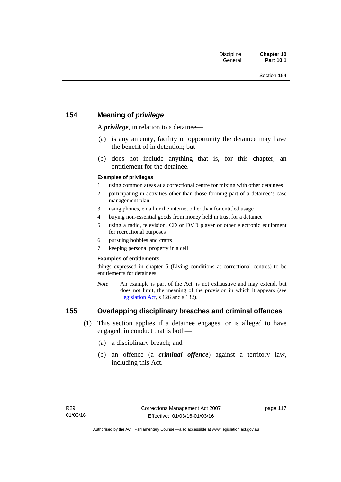# **154 Meaning of** *privilege*

A *privilege*, in relation to a detainee*—*

- (a) is any amenity, facility or opportunity the detainee may have the benefit of in detention; but
- (b) does not include anything that is, for this chapter, an entitlement for the detainee.

#### **Examples of privileges**

- 1 using common areas at a correctional centre for mixing with other detainees
- 2 participating in activities other than those forming part of a detainee's case management plan
- 3 using phones, email or the internet other than for entitled usage
- 4 buying non-essential goods from money held in trust for a detainee
- 5 using a radio, television, CD or DVD player or other electronic equipment for recreational purposes
- 6 pursuing hobbies and crafts
- 7 keeping personal property in a cell

#### **Examples of entitlements**

things expressed in chapter 6 (Living conditions at correctional centres) to be entitlements for detainees

*Note* An example is part of the Act, is not exhaustive and may extend, but does not limit, the meaning of the provision in which it appears (see [Legislation Act,](http://www.legislation.act.gov.au/a/2001-14) s 126 and s 132).

# **155 Overlapping disciplinary breaches and criminal offences**

- (1) This section applies if a detainee engages, or is alleged to have engaged, in conduct that is both—
	- (a) a disciplinary breach; and
	- (b) an offence (a *criminal offence*) against a territory law, including this Act.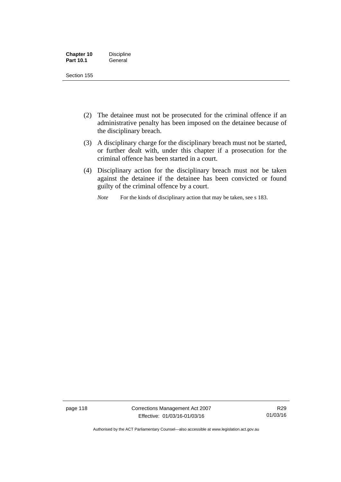| <b>Chapter 10</b> | <b>Discipline</b> |
|-------------------|-------------------|
| <b>Part 10.1</b>  | General           |

- (2) The detainee must not be prosecuted for the criminal offence if an administrative penalty has been imposed on the detainee because of the disciplinary breach.
- (3) A disciplinary charge for the disciplinary breach must not be started, or further dealt with, under this chapter if a prosecution for the criminal offence has been started in a court.
- (4) Disciplinary action for the disciplinary breach must not be taken against the detainee if the detainee has been convicted or found guilty of the criminal offence by a court.

*Note* For the kinds of disciplinary action that may be taken, see s 183.

page 118 Corrections Management Act 2007 Effective: 01/03/16-01/03/16

R29 01/03/16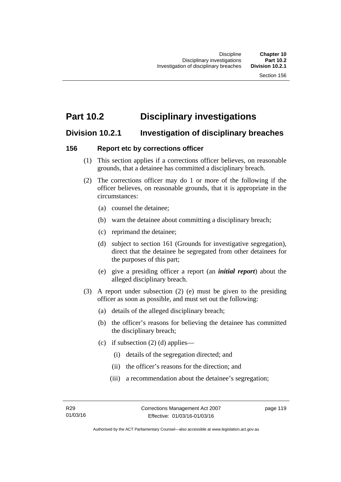# **Part 10.2 Disciplinary investigations**

# **Division 10.2.1 Investigation of disciplinary breaches**

# **156 Report etc by corrections officer**

- (1) This section applies if a corrections officer believes, on reasonable grounds, that a detainee has committed a disciplinary breach.
- (2) The corrections officer may do 1 or more of the following if the officer believes, on reasonable grounds, that it is appropriate in the circumstances:
	- (a) counsel the detainee;
	- (b) warn the detainee about committing a disciplinary breach;
	- (c) reprimand the detainee;
	- (d) subject to section 161 (Grounds for investigative segregation), direct that the detainee be segregated from other detainees for the purposes of this part;
	- (e) give a presiding officer a report (an *initial report*) about the alleged disciplinary breach.
- (3) A report under subsection (2) (e) must be given to the presiding officer as soon as possible, and must set out the following:
	- (a) details of the alleged disciplinary breach;
	- (b) the officer's reasons for believing the detainee has committed the disciplinary breach;
	- (c) if subsection  $(2)$  (d) applies—
		- (i) details of the segregation directed; and
		- (ii) the officer's reasons for the direction; and
		- (iii) a recommendation about the detainee's segregation;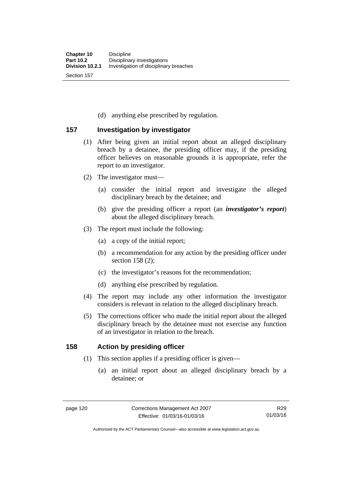(d) anything else prescribed by regulation.

# **157 Investigation by investigator**

- (1) After being given an initial report about an alleged disciplinary breach by a detainee, the presiding officer may, if the presiding officer believes on reasonable grounds it is appropriate, refer the report to an investigator.
- (2) The investigator must—
	- (a) consider the initial report and investigate the alleged disciplinary breach by the detainee; and
	- (b) give the presiding officer a report (an *investigator's report*) about the alleged disciplinary breach.
- (3) The report must include the following:
	- (a) a copy of the initial report;
	- (b) a recommendation for any action by the presiding officer under section 158 (2):
	- (c) the investigator's reasons for the recommendation;
	- (d) anything else prescribed by regulation.
- (4) The report may include any other information the investigator considers is relevant in relation to the alleged disciplinary breach.
- (5) The corrections officer who made the initial report about the alleged disciplinary breach by the detainee must not exercise any function of an investigator in relation to the breach.

# **158 Action by presiding officer**

- (1) This section applies if a presiding officer is given—
	- (a) an initial report about an alleged disciplinary breach by a detainee; or

Authorised by the ACT Parliamentary Counsel—also accessible at www.legislation.act.gov.au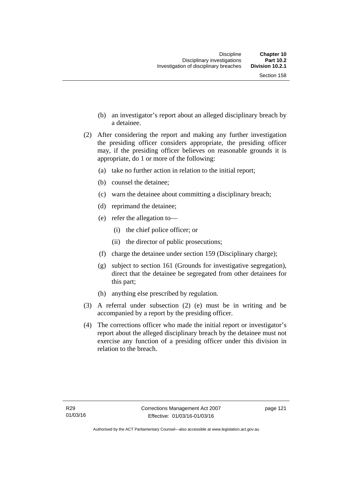- (b) an investigator's report about an alleged disciplinary breach by a detainee.
- (2) After considering the report and making any further investigation the presiding officer considers appropriate, the presiding officer may, if the presiding officer believes on reasonable grounds it is appropriate, do 1 or more of the following:
	- (a) take no further action in relation to the initial report;
	- (b) counsel the detainee;
	- (c) warn the detainee about committing a disciplinary breach;
	- (d) reprimand the detainee;
	- (e) refer the allegation to—
		- (i) the chief police officer; or
		- (ii) the director of public prosecutions;
	- (f) charge the detainee under section 159 (Disciplinary charge);
	- (g) subject to section 161 (Grounds for investigative segregation), direct that the detainee be segregated from other detainees for this part;
	- (h) anything else prescribed by regulation.
- (3) A referral under subsection (2) (e) must be in writing and be accompanied by a report by the presiding officer.
- (4) The corrections officer who made the initial report or investigator's report about the alleged disciplinary breach by the detainee must not exercise any function of a presiding officer under this division in relation to the breach.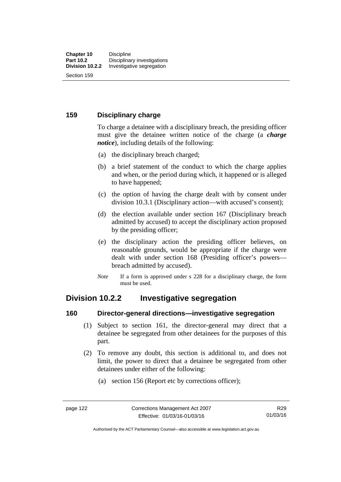# **159 Disciplinary charge**

To charge a detainee with a disciplinary breach, the presiding officer must give the detainee written notice of the charge (a *charge notice*), including details of the following:

- (a) the disciplinary breach charged;
- (b) a brief statement of the conduct to which the charge applies and when, or the period during which, it happened or is alleged to have happened;
- (c) the option of having the charge dealt with by consent under division 10.3.1 (Disciplinary action—with accused's consent);
- (d) the election available under section 167 (Disciplinary breach admitted by accused) to accept the disciplinary action proposed by the presiding officer;
- (e) the disciplinary action the presiding officer believes, on reasonable grounds, would be appropriate if the charge were dealt with under section 168 (Presiding officer's powers breach admitted by accused).
- *Note* If a form is approved under s 228 for a disciplinary charge, the form must be used.

# **Division 10.2.2 Investigative segregation**

# **160 Director-general directions—investigative segregation**

- (1) Subject to section 161, the director-general may direct that a detainee be segregated from other detainees for the purposes of this part.
- (2) To remove any doubt, this section is additional to, and does not limit, the power to direct that a detainee be segregated from other detainees under either of the following:
	- (a) section 156 (Report etc by corrections officer);

Authorised by the ACT Parliamentary Counsel—also accessible at www.legislation.act.gov.au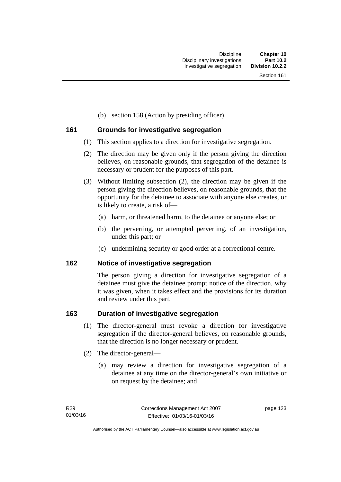(b) section 158 (Action by presiding officer).

# **161 Grounds for investigative segregation**

- (1) This section applies to a direction for investigative segregation.
- (2) The direction may be given only if the person giving the direction believes, on reasonable grounds, that segregation of the detainee is necessary or prudent for the purposes of this part.
- (3) Without limiting subsection (2), the direction may be given if the person giving the direction believes, on reasonable grounds, that the opportunity for the detainee to associate with anyone else creates, or is likely to create, a risk of—
	- (a) harm, or threatened harm, to the detainee or anyone else; or
	- (b) the perverting, or attempted perverting, of an investigation, under this part; or
	- (c) undermining security or good order at a correctional centre.

# **162 Notice of investigative segregation**

The person giving a direction for investigative segregation of a detainee must give the detainee prompt notice of the direction, why it was given, when it takes effect and the provisions for its duration and review under this part.

# **163 Duration of investigative segregation**

- (1) The director-general must revoke a direction for investigative segregation if the director-general believes, on reasonable grounds, that the direction is no longer necessary or prudent.
- (2) The director-general—
	- (a) may review a direction for investigative segregation of a detainee at any time on the director-general's own initiative or on request by the detainee; and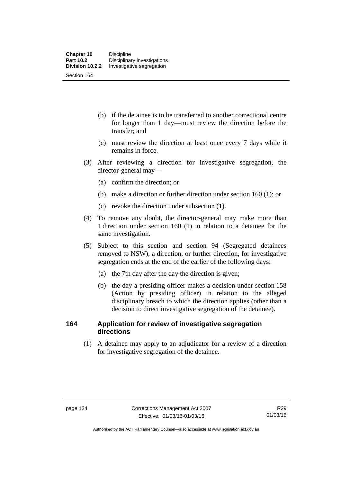- (b) if the detainee is to be transferred to another correctional centre for longer than 1 day—must review the direction before the transfer; and
- (c) must review the direction at least once every 7 days while it remains in force.
- (3) After reviewing a direction for investigative segregation, the director-general may—
	- (a) confirm the direction; or
	- (b) make a direction or further direction under section 160 (1); or
	- (c) revoke the direction under subsection (1).
- (4) To remove any doubt, the director-general may make more than 1 direction under section 160 (1) in relation to a detainee for the same investigation.
- (5) Subject to this section and section 94 (Segregated detainees removed to NSW), a direction, or further direction, for investigative segregation ends at the end of the earlier of the following days:
	- (a) the 7th day after the day the direction is given;
	- (b) the day a presiding officer makes a decision under section 158 (Action by presiding officer) in relation to the alleged disciplinary breach to which the direction applies (other than a decision to direct investigative segregation of the detainee).

# **164 Application for review of investigative segregation directions**

(1) A detainee may apply to an adjudicator for a review of a direction for investigative segregation of the detainee.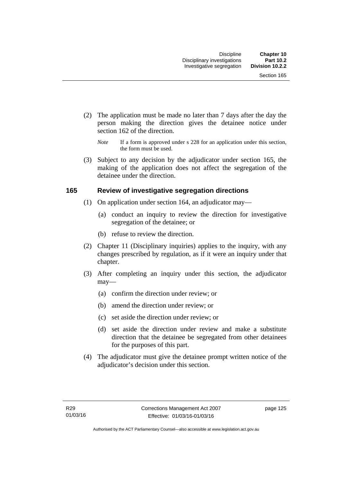- (2) The application must be made no later than 7 days after the day the person making the direction gives the detainee notice under section 162 of the direction.
	- *Note* If a form is approved under s 228 for an application under this section, the form must be used.
- (3) Subject to any decision by the adjudicator under section 165, the making of the application does not affect the segregation of the detainee under the direction.

# **165 Review of investigative segregation directions**

- (1) On application under section 164, an adjudicator may—
	- (a) conduct an inquiry to review the direction for investigative segregation of the detainee; or
	- (b) refuse to review the direction.
- (2) Chapter 11 (Disciplinary inquiries) applies to the inquiry, with any changes prescribed by regulation, as if it were an inquiry under that chapter.
- (3) After completing an inquiry under this section, the adjudicator may—
	- (a) confirm the direction under review; or
	- (b) amend the direction under review; or
	- (c) set aside the direction under review; or
	- (d) set aside the direction under review and make a substitute direction that the detainee be segregated from other detainees for the purposes of this part.
- (4) The adjudicator must give the detainee prompt written notice of the adjudicator's decision under this section.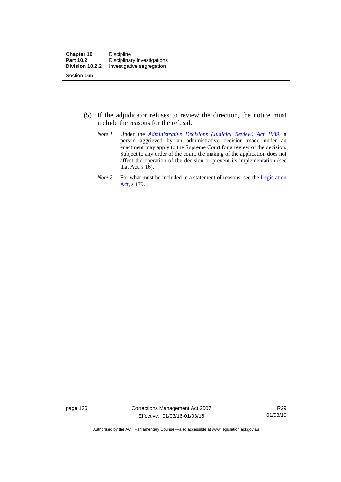- (5) If the adjudicator refuses to review the direction, the notice must include the reasons for the refusal.
	- *Note 1* Under the *[Administrative Decisions \(Judicial Review\) Act 1989](http://www.legislation.act.gov.au/a/alt_a1989-33co)*, a person aggrieved by an administrative decision made under an enactment may apply to the Supreme Court for a review of the decision. Subject to any order of the court, the making of the application does not affect the operation of the decision or prevent its implementation (see that Act, s 16).
	- *Note 2* For what must be included in a statement of reasons, see the Legislation [Act,](http://www.legislation.act.gov.au/a/2001-14) s 179.

page 126 Corrections Management Act 2007 Effective: 01/03/16-01/03/16

R29 01/03/16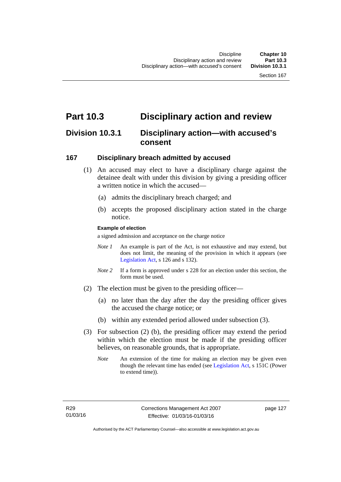# **Part 10.3 Disciplinary action and review**

# **Division 10.3.1 Disciplinary action—with accused's consent**

# **167 Disciplinary breach admitted by accused**

- (1) An accused may elect to have a disciplinary charge against the detainee dealt with under this division by giving a presiding officer a written notice in which the accused—
	- (a) admits the disciplinary breach charged; and
	- (b) accepts the proposed disciplinary action stated in the charge notice.

#### **Example of election**

a signed admission and acceptance on the charge notice

- *Note 1* An example is part of the Act, is not exhaustive and may extend, but does not limit, the meaning of the provision in which it appears (see [Legislation Act,](http://www.legislation.act.gov.au/a/2001-14) s 126 and s 132).
- *Note* 2 If a form is approved under s 228 for an election under this section, the form must be used.
- (2) The election must be given to the presiding officer—
	- (a) no later than the day after the day the presiding officer gives the accused the charge notice; or
	- (b) within any extended period allowed under subsection (3).
- (3) For subsection (2) (b), the presiding officer may extend the period within which the election must be made if the presiding officer believes, on reasonable grounds, that is appropriate.
	- *Note* An extension of the time for making an election may be given even though the relevant time has ended (see [Legislation Act](http://www.legislation.act.gov.au/a/2001-14), s 151C (Power to extend time)).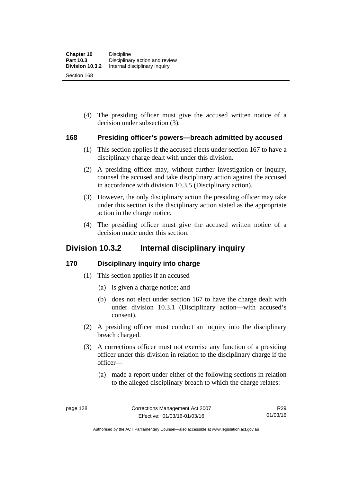(4) The presiding officer must give the accused written notice of a decision under subsection (3).

### **168 Presiding officer's powers—breach admitted by accused**

- (1) This section applies if the accused elects under section 167 to have a disciplinary charge dealt with under this division.
- (2) A presiding officer may, without further investigation or inquiry, counsel the accused and take disciplinary action against the accused in accordance with division 10.3.5 (Disciplinary action).
- (3) However, the only disciplinary action the presiding officer may take under this section is the disciplinary action stated as the appropriate action in the charge notice.
- (4) The presiding officer must give the accused written notice of a decision made under this section.

# **Division 10.3.2 Internal disciplinary inquiry**

# **170 Disciplinary inquiry into charge**

- (1) This section applies if an accused—
	- (a) is given a charge notice; and
	- (b) does not elect under section 167 to have the charge dealt with under division 10.3.1 (Disciplinary action—with accused's consent).
- (2) A presiding officer must conduct an inquiry into the disciplinary breach charged.
- (3) A corrections officer must not exercise any function of a presiding officer under this division in relation to the disciplinary charge if the officer—
	- (a) made a report under either of the following sections in relation to the alleged disciplinary breach to which the charge relates: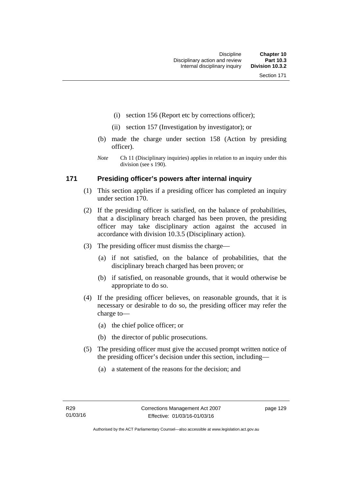- (i) section 156 (Report etc by corrections officer);
- (ii) section 157 (Investigation by investigator); or
- (b) made the charge under section 158 (Action by presiding officer).
- *Note* Ch 11 (Disciplinary inquiries) applies in relation to an inquiry under this division (see s 190).

# **171 Presiding officer's powers after internal inquiry**

- (1) This section applies if a presiding officer has completed an inquiry under section 170.
- (2) If the presiding officer is satisfied, on the balance of probabilities, that a disciplinary breach charged has been proven, the presiding officer may take disciplinary action against the accused in accordance with division 10.3.5 (Disciplinary action).
- (3) The presiding officer must dismiss the charge—
	- (a) if not satisfied, on the balance of probabilities, that the disciplinary breach charged has been proven; or
	- (b) if satisfied, on reasonable grounds, that it would otherwise be appropriate to do so.
- (4) If the presiding officer believes, on reasonable grounds, that it is necessary or desirable to do so, the presiding officer may refer the charge to—
	- (a) the chief police officer; or
	- (b) the director of public prosecutions.
- (5) The presiding officer must give the accused prompt written notice of the presiding officer's decision under this section, including—
	- (a) a statement of the reasons for the decision; and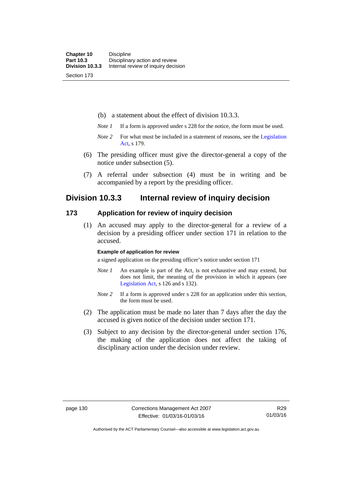(b) a statement about the effect of division 10.3.3.

- *Note 1* If a form is approved under s 228 for the notice, the form must be used.
- *Note 2* For what must be included in a statement of reasons, see the Legislation [Act,](http://www.legislation.act.gov.au/a/2001-14) s 179.
- (6) The presiding officer must give the director-general a copy of the notice under subsection (5).
- (7) A referral under subsection (4) must be in writing and be accompanied by a report by the presiding officer.

# **Division 10.3.3 Internal review of inquiry decision**

### **173 Application for review of inquiry decision**

 (1) An accused may apply to the director-general for a review of a decision by a presiding officer under section 171 in relation to the accused.

#### **Example of application for review**

a signed application on the presiding officer's notice under section 171

- *Note 1* An example is part of the Act, is not exhaustive and may extend, but does not limit, the meaning of the provision in which it appears (see [Legislation Act,](http://www.legislation.act.gov.au/a/2001-14) s 126 and s 132).
- *Note 2* If a form is approved under s 228 for an application under this section, the form must be used.
- (2) The application must be made no later than 7 days after the day the accused is given notice of the decision under section 171.
- (3) Subject to any decision by the director-general under section 176, the making of the application does not affect the taking of disciplinary action under the decision under review.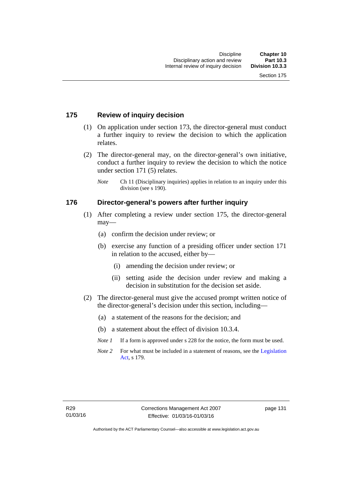## **175 Review of inquiry decision**

- (1) On application under section 173, the director-general must conduct a further inquiry to review the decision to which the application relates.
- (2) The director-general may, on the director-general's own initiative, conduct a further inquiry to review the decision to which the notice under section 171 (5) relates.
	- *Note* Ch 11 (Disciplinary inquiries) applies in relation to an inquiry under this division (see s 190).

#### **176 Director-general's powers after further inquiry**

- (1) After completing a review under section 175, the director-general may—
	- (a) confirm the decision under review; or
	- (b) exercise any function of a presiding officer under section 171 in relation to the accused, either by—
		- (i) amending the decision under review; or
		- (ii) setting aside the decision under review and making a decision in substitution for the decision set aside.
- (2) The director-general must give the accused prompt written notice of the director-general's decision under this section, including—
	- (a) a statement of the reasons for the decision; and
	- (b) a statement about the effect of division 10.3.4.
	- *Note 1* If a form is approved under s 228 for the notice, the form must be used.
	- *Note* 2 For what must be included in a statement of reasons, see the Legislation [Act,](http://www.legislation.act.gov.au/a/2001-14) s 179.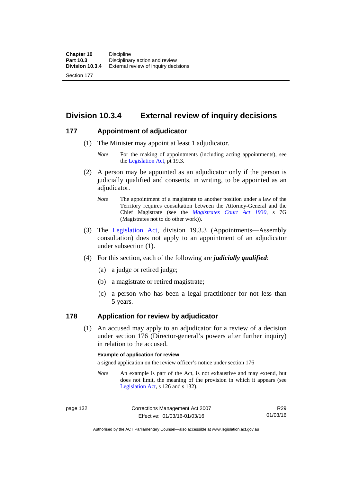Section 177

**Division 10.3.4 External review of inquiry decisions** 

# **177 Appointment of adjudicator**

- (1) The Minister may appoint at least 1 adjudicator.
	- *Note* For the making of appointments (including acting appointments), see the [Legislation Act,](http://www.legislation.act.gov.au/a/2001-14) pt 19.3.
- (2) A person may be appointed as an adjudicator only if the person is judicially qualified and consents, in writing, to be appointed as an adjudicator.
	- *Note* The appointment of a magistrate to another position under a law of the Territory requires consultation between the Attorney-General and the Chief Magistrate (see the *[Magistrates Court Act 1930](http://www.legislation.act.gov.au/a/1930-21)*, s 7G (Magistrates not to do other work)).
- (3) The [Legislation Act,](http://www.legislation.act.gov.au/a/2001-14) division 19.3.3 (Appointments—Assembly consultation) does not apply to an appointment of an adjudicator under subsection (1).
- (4) For this section, each of the following are *judicially qualified*:
	- (a) a judge or retired judge;
	- (b) a magistrate or retired magistrate;
	- (c) a person who has been a legal practitioner for not less than 5 years.

# **178 Application for review by adjudicator**

 (1) An accused may apply to an adjudicator for a review of a decision under section 176 (Director-general's powers after further inquiry) in relation to the accused.

#### **Example of application for review**

a signed application on the review officer's notice under section 176

*Note* An example is part of the Act, is not exhaustive and may extend, but does not limit, the meaning of the provision in which it appears (see [Legislation Act,](http://www.legislation.act.gov.au/a/2001-14) s 126 and s 132).

Authorised by the ACT Parliamentary Counsel—also accessible at www.legislation.act.gov.au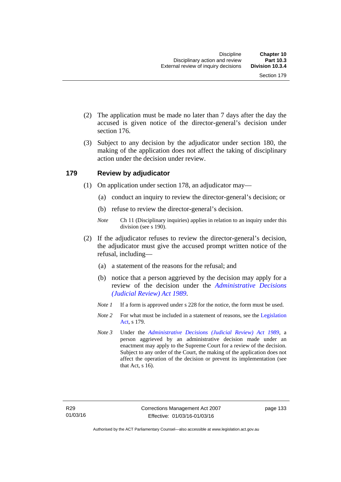- (2) The application must be made no later than 7 days after the day the accused is given notice of the director-general's decision under section 176.
- (3) Subject to any decision by the adjudicator under section 180, the making of the application does not affect the taking of disciplinary action under the decision under review.

#### **179 Review by adjudicator**

- (1) On application under section 178, an adjudicator may—
	- (a) conduct an inquiry to review the director-general's decision; or
	- (b) refuse to review the director-general's decision.
	- *Note* Ch 11 (Disciplinary inquiries) applies in relation to an inquiry under this division (see s 190).
- (2) If the adjudicator refuses to review the director-general's decision, the adjudicator must give the accused prompt written notice of the refusal, including—
	- (a) a statement of the reasons for the refusal; and
	- (b) notice that a person aggrieved by the decision may apply for a review of the decision under the *[Administrative Decisions](http://www.legislation.act.gov.au/a/alt_a1989-33co)  [\(Judicial Review\) Act 1989](http://www.legislation.act.gov.au/a/alt_a1989-33co)*.
	- *Note 1* If a form is approved under s 228 for the notice, the form must be used.
	- *Note 2* For what must be included in a statement of reasons, see the Legislation [Act,](http://www.legislation.act.gov.au/a/2001-14) s 179.
	- *Note 3* Under the *[Administrative Decisions \(Judicial Review\) Act 1989](http://www.legislation.act.gov.au/a/alt_a1989-33co)*, a person aggrieved by an administrative decision made under an enactment may apply to the Supreme Court for a review of the decision. Subject to any order of the Court, the making of the application does not affect the operation of the decision or prevent its implementation (see that Act, s 16).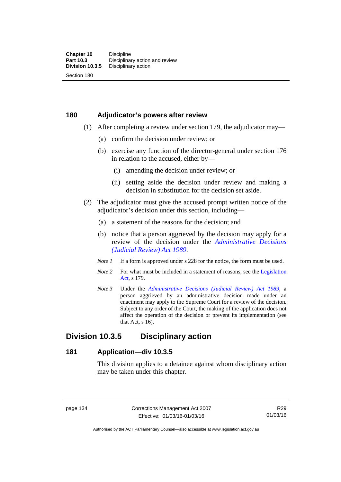# **180 Adjudicator's powers after review**

- (1) After completing a review under section 179, the adjudicator may—
	- (a) confirm the decision under review; or
	- (b) exercise any function of the director-general under section 176 in relation to the accused, either by—
		- (i) amending the decision under review; or
		- (ii) setting aside the decision under review and making a decision in substitution for the decision set aside.
- (2) The adjudicator must give the accused prompt written notice of the adjudicator's decision under this section, including—
	- (a) a statement of the reasons for the decision; and
	- (b) notice that a person aggrieved by the decision may apply for a review of the decision under the *[Administrative Decisions](http://www.legislation.act.gov.au/a/alt_a1989-33co)  [\(Judicial Review\) Act 1989](http://www.legislation.act.gov.au/a/alt_a1989-33co)*.
	- *Note 1* If a form is approved under s 228 for the notice, the form must be used.
	- *Note* 2 For what must be included in a statement of reasons, see the Legislation [Act,](http://www.legislation.act.gov.au/a/2001-14) s 179.
	- *Note 3* Under the *[Administrative Decisions \(Judicial Review\) Act 1989](http://www.legislation.act.gov.au/a/alt_a1989-33co)*, a person aggrieved by an administrative decision made under an enactment may apply to the Supreme Court for a review of the decision. Subject to any order of the Court, the making of the application does not affect the operation of the decision or prevent its implementation (see that Act, s 16).

# **Division 10.3.5 Disciplinary action**

#### **181 Application—div 10.3.5**

This division applies to a detainee against whom disciplinary action may be taken under this chapter.

page 134 Corrections Management Act 2007 Effective: 01/03/16-01/03/16

R29 01/03/16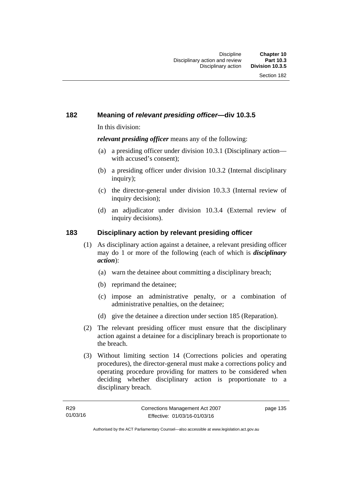# **182 Meaning of** *relevant presiding officer***—div 10.3.5**

In this division:

*relevant presiding officer* means any of the following:

- (a) a presiding officer under division 10.3.1 (Disciplinary action with accused's consent);
- (b) a presiding officer under division 10.3.2 (Internal disciplinary inquiry);
- (c) the director-general under division 10.3.3 (Internal review of inquiry decision):
- (d) an adjudicator under division 10.3.4 (External review of inquiry decisions).

#### **183 Disciplinary action by relevant presiding officer**

- (1) As disciplinary action against a detainee, a relevant presiding officer may do 1 or more of the following (each of which is *disciplinary action*):
	- (a) warn the detainee about committing a disciplinary breach;
	- (b) reprimand the detainee;
	- (c) impose an administrative penalty, or a combination of administrative penalties, on the detainee;
	- (d) give the detainee a direction under section 185 (Reparation).
- (2) The relevant presiding officer must ensure that the disciplinary action against a detainee for a disciplinary breach is proportionate to the breach.
- (3) Without limiting section 14 (Corrections policies and operating procedures), the director-general must make a corrections policy and operating procedure providing for matters to be considered when deciding whether disciplinary action is proportionate to a disciplinary breach.

page 135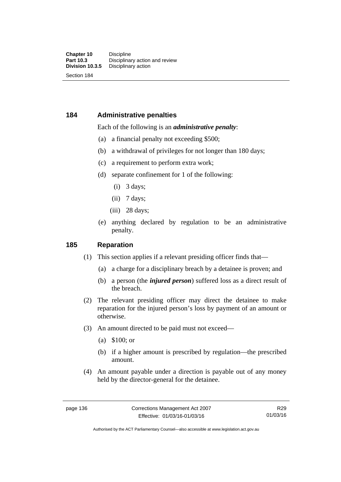## **184 Administrative penalties**

#### Each of the following is an *administrative penalty*:

- (a) a financial penalty not exceeding \$500;
- (b) a withdrawal of privileges for not longer than 180 days;
- (c) a requirement to perform extra work;
- (d) separate confinement for 1 of the following:
	- (i) 3 days;
	- $(ii)$  7 days;
	- (iii) 28 days:
- (e) anything declared by regulation to be an administrative penalty.

#### **185 Reparation**

- (1) This section applies if a relevant presiding officer finds that—
	- (a) a charge for a disciplinary breach by a detainee is proven; and
	- (b) a person (the *injured person*) suffered loss as a direct result of the breach.
- (2) The relevant presiding officer may direct the detainee to make reparation for the injured person's loss by payment of an amount or otherwise.
- (3) An amount directed to be paid must not exceed—
	- (a) \$100; or
	- (b) if a higher amount is prescribed by regulation—the prescribed amount.
- (4) An amount payable under a direction is payable out of any money held by the director-general for the detainee.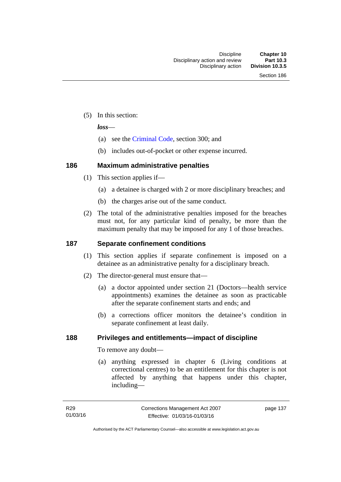(5) In this section:

*loss*—

- (a) see the [Criminal Code](http://www.legislation.act.gov.au/a/2002-51), section 300; and
- (b) includes out-of-pocket or other expense incurred.

# **186 Maximum administrative penalties**

- (1) This section applies if—
	- (a) a detainee is charged with 2 or more disciplinary breaches; and
	- (b) the charges arise out of the same conduct.
- (2) The total of the administrative penalties imposed for the breaches must not, for any particular kind of penalty, be more than the maximum penalty that may be imposed for any 1 of those breaches.

# **187 Separate confinement conditions**

- (1) This section applies if separate confinement is imposed on a detainee as an administrative penalty for a disciplinary breach.
- (2) The director-general must ensure that—
	- (a) a doctor appointed under section 21 (Doctors—health service appointments) examines the detainee as soon as practicable after the separate confinement starts and ends; and
	- (b) a corrections officer monitors the detainee's condition in separate confinement at least daily.

# **188 Privileges and entitlements—impact of discipline**

To remove any doubt—

 (a) anything expressed in chapter 6 (Living conditions at correctional centres) to be an entitlement for this chapter is not affected by anything that happens under this chapter, including—

page 137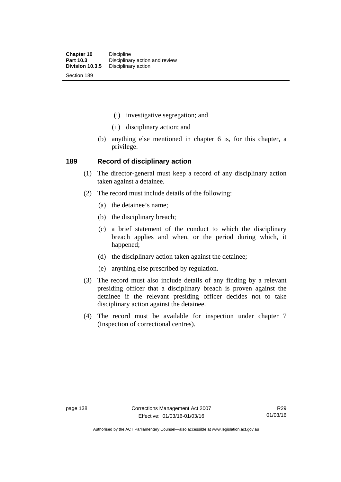- (i) investigative segregation; and
- (ii) disciplinary action; and
- (b) anything else mentioned in chapter 6 is, for this chapter, a privilege.

#### **189 Record of disciplinary action**

- (1) The director-general must keep a record of any disciplinary action taken against a detainee.
- (2) The record must include details of the following:
	- (a) the detainee's name;
	- (b) the disciplinary breach;
	- (c) a brief statement of the conduct to which the disciplinary breach applies and when, or the period during which, it happened;
	- (d) the disciplinary action taken against the detainee;
	- (e) anything else prescribed by regulation.
- (3) The record must also include details of any finding by a relevant presiding officer that a disciplinary breach is proven against the detainee if the relevant presiding officer decides not to take disciplinary action against the detainee.
- (4) The record must be available for inspection under chapter 7 (Inspection of correctional centres).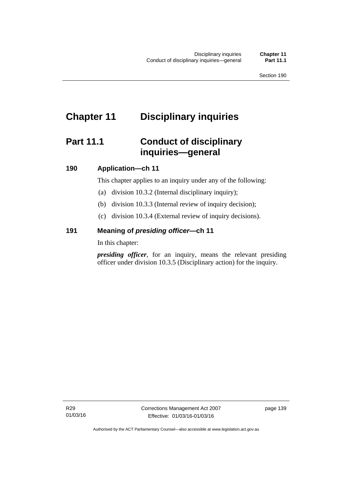# **Chapter 11 Disciplinary inquiries**

# **Part 11.1 Conduct of disciplinary inquiries—general**

# **190 Application—ch 11**

This chapter applies to an inquiry under any of the following:

- (a) division 10.3.2 (Internal disciplinary inquiry);
- (b) division 10.3.3 (Internal review of inquiry decision);
- (c) division 10.3.4 (External review of inquiry decisions).

# **191 Meaning of** *presiding officer—***ch 11**

In this chapter:

*presiding officer*, for an inquiry, means the relevant presiding officer under division 10.3.5 (Disciplinary action) for the inquiry.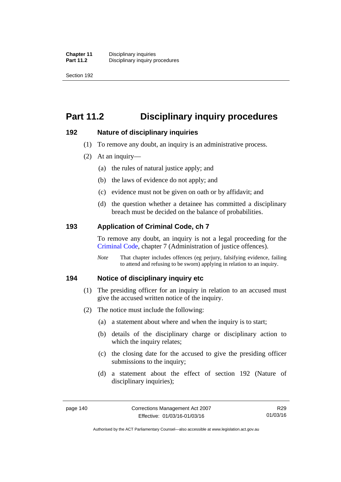Section 192

# **Part 11.2 Disciplinary inquiry procedures**

## **192 Nature of disciplinary inquiries**

- (1) To remove any doubt, an inquiry is an administrative process.
- (2) At an inquiry—
	- (a) the rules of natural justice apply; and
	- (b) the laws of evidence do not apply; and
	- (c) evidence must not be given on oath or by affidavit; and
	- (d) the question whether a detainee has committed a disciplinary breach must be decided on the balance of probabilities.

## **193 Application of Criminal Code, ch 7**

To remove any doubt, an inquiry is not a legal proceeding for the [Criminal Code](http://www.legislation.act.gov.au/a/2002-51), chapter 7 (Administration of justice offences).

*Note* That chapter includes offences (eg perjury, falsifying evidence, failing to attend and refusing to be sworn) applying in relation to an inquiry.

#### **194 Notice of disciplinary inquiry etc**

- (1) The presiding officer for an inquiry in relation to an accused must give the accused written notice of the inquiry.
- (2) The notice must include the following:
	- (a) a statement about where and when the inquiry is to start;
	- (b) details of the disciplinary charge or disciplinary action to which the inquiry relates:
	- (c) the closing date for the accused to give the presiding officer submissions to the inquiry;
	- (d) a statement about the effect of section 192 (Nature of disciplinary inquiries);

R29 01/03/16

Authorised by the ACT Parliamentary Counsel—also accessible at www.legislation.act.gov.au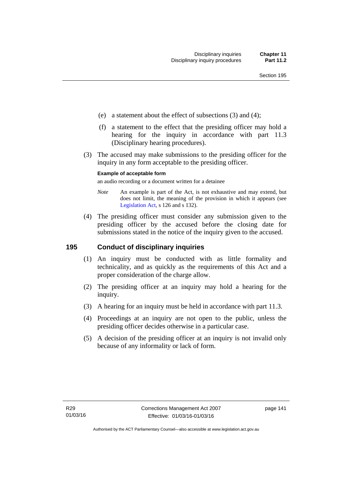- (e) a statement about the effect of subsections (3) and (4);
- (f) a statement to the effect that the presiding officer may hold a hearing for the inquiry in accordance with part 11.3 (Disciplinary hearing procedures).
- (3) The accused may make submissions to the presiding officer for the inquiry in any form acceptable to the presiding officer.

#### **Example of acceptable form**

an audio recording or a document written for a detainee

- *Note* An example is part of the Act, is not exhaustive and may extend, but does not limit, the meaning of the provision in which it appears (see [Legislation Act,](http://www.legislation.act.gov.au/a/2001-14) s 126 and s 132).
- (4) The presiding officer must consider any submission given to the presiding officer by the accused before the closing date for submissions stated in the notice of the inquiry given to the accused.

#### **195 Conduct of disciplinary inquiries**

- (1) An inquiry must be conducted with as little formality and technicality, and as quickly as the requirements of this Act and a proper consideration of the charge allow.
- (2) The presiding officer at an inquiry may hold a hearing for the inquiry.
- (3) A hearing for an inquiry must be held in accordance with part 11.3.
- (4) Proceedings at an inquiry are not open to the public, unless the presiding officer decides otherwise in a particular case.
- (5) A decision of the presiding officer at an inquiry is not invalid only because of any informality or lack of form.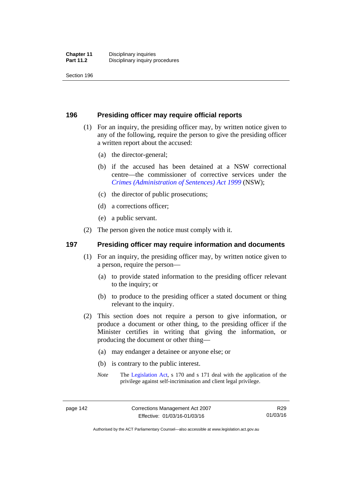Section 196

### **196 Presiding officer may require official reports**

- (1) For an inquiry, the presiding officer may, by written notice given to any of the following, require the person to give the presiding officer a written report about the accused:
	- (a) the director-general;
	- (b) if the accused has been detained at a NSW correctional centre—the commissioner of corrective services under the *[Crimes \(Administration of Sentences\) Act 1999](http://www.legislation.nsw.gov.au/maintop/view/inforce/act+93+1999+cd+0+N)* (NSW);
	- (c) the director of public prosecutions;
	- (d) a corrections officer;
	- (e) a public servant.
- (2) The person given the notice must comply with it.

## **197 Presiding officer may require information and documents**

- (1) For an inquiry, the presiding officer may, by written notice given to a person, require the person—
	- (a) to provide stated information to the presiding officer relevant to the inquiry; or
	- (b) to produce to the presiding officer a stated document or thing relevant to the inquiry.
- (2) This section does not require a person to give information, or produce a document or other thing, to the presiding officer if the Minister certifies in writing that giving the information, or producing the document or other thing—
	- (a) may endanger a detainee or anyone else; or
	- (b) is contrary to the public interest.
	- *Note* The [Legislation Act,](http://www.legislation.act.gov.au/a/2001-14) s 170 and s 171 deal with the application of the privilege against self-incrimination and client legal privilege.

Authorised by the ACT Parliamentary Counsel—also accessible at www.legislation.act.gov.au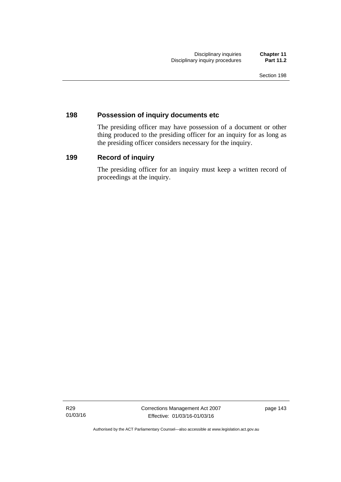### **198 Possession of inquiry documents etc**

The presiding officer may have possession of a document or other thing produced to the presiding officer for an inquiry for as long as the presiding officer considers necessary for the inquiry.

# **199 Record of inquiry**

The presiding officer for an inquiry must keep a written record of proceedings at the inquiry.

R29 01/03/16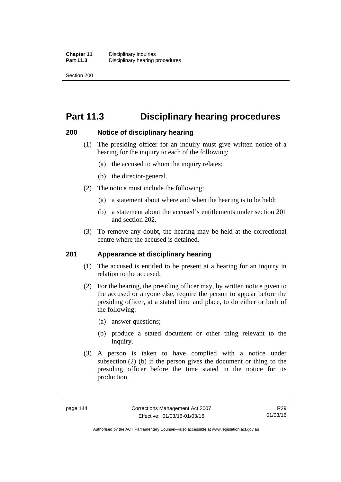Section 200

# **Part 11.3 Disciplinary hearing procedures**

#### **200 Notice of disciplinary hearing**

- (1) The presiding officer for an inquiry must give written notice of a hearing for the inquiry to each of the following:
	- (a) the accused to whom the inquiry relates;
	- (b) the director-general.
- (2) The notice must include the following:
	- (a) a statement about where and when the hearing is to be held;
	- (b) a statement about the accused's entitlements under section 201 and section 202.
- (3) To remove any doubt, the hearing may be held at the correctional centre where the accused is detained.

#### **201 Appearance at disciplinary hearing**

- (1) The accused is entitled to be present at a hearing for an inquiry in relation to the accused.
- (2) For the hearing, the presiding officer may, by written notice given to the accused or anyone else, require the person to appear before the presiding officer, at a stated time and place, to do either or both of the following:
	- (a) answer questions;
	- (b) produce a stated document or other thing relevant to the inquiry.
- (3) A person is taken to have complied with a notice under subsection (2) (b) if the person gives the document or thing to the presiding officer before the time stated in the notice for its production.

Authorised by the ACT Parliamentary Counsel—also accessible at www.legislation.act.gov.au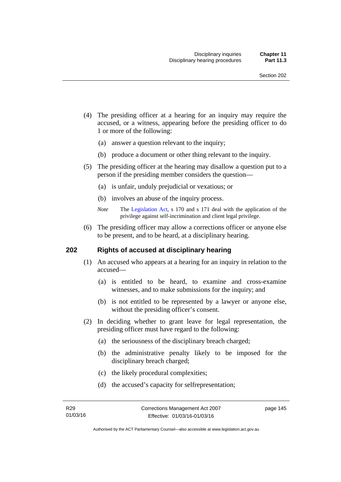- (4) The presiding officer at a hearing for an inquiry may require the accused, or a witness, appearing before the presiding officer to do 1 or more of the following:
	- (a) answer a question relevant to the inquiry;
	- (b) produce a document or other thing relevant to the inquiry.
- (5) The presiding officer at the hearing may disallow a question put to a person if the presiding member considers the question—
	- (a) is unfair, unduly prejudicial or vexatious; or
	- (b) involves an abuse of the inquiry process.
	- *Note* The [Legislation Act,](http://www.legislation.act.gov.au/a/2001-14) s 170 and s 171 deal with the application of the privilege against self-incrimination and client legal privilege.
- (6) The presiding officer may allow a corrections officer or anyone else to be present, and to be heard, at a disciplinary hearing.

#### **202 Rights of accused at disciplinary hearing**

- (1) An accused who appears at a hearing for an inquiry in relation to the accused—
	- (a) is entitled to be heard, to examine and cross-examine witnesses, and to make submissions for the inquiry; and
	- (b) is not entitled to be represented by a lawyer or anyone else, without the presiding officer's consent.
- (2) In deciding whether to grant leave for legal representation, the presiding officer must have regard to the following:
	- (a) the seriousness of the disciplinary breach charged;
	- (b) the administrative penalty likely to be imposed for the disciplinary breach charged;
	- (c) the likely procedural complexities;
	- (d) the accused's capacity for selfrepresentation;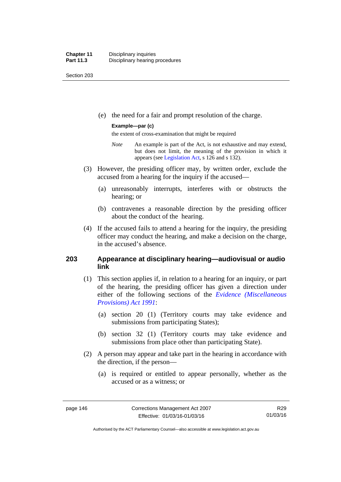Section 203

(e) the need for a fair and prompt resolution of the charge.

#### **Example—par (c)**

the extent of cross-examination that might be required

- *Note* An example is part of the Act, is not exhaustive and may extend, but does not limit, the meaning of the provision in which it appears (see [Legislation Act,](http://www.legislation.act.gov.au/a/2001-14) s 126 and s 132).
- (3) However, the presiding officer may, by written order, exclude the accused from a hearing for the inquiry if the accused—
	- (a) unreasonably interrupts, interferes with or obstructs the hearing; or
	- (b) contravenes a reasonable direction by the presiding officer about the conduct of the hearing.
- (4) If the accused fails to attend a hearing for the inquiry, the presiding officer may conduct the hearing, and make a decision on the charge, in the accused's absence.

## **203 Appearance at disciplinary hearing—audiovisual or audio link**

- (1) This section applies if, in relation to a hearing for an inquiry, or part of the hearing, the presiding officer has given a direction under either of the following sections of the *[Evidence \(Miscellaneous](http://www.legislation.act.gov.au/a/1991-34)  [Provisions\) Act 1991](http://www.legislation.act.gov.au/a/1991-34)*:
	- (a) section 20 (1) (Territory courts may take evidence and submissions from participating States);
	- (b) section 32 (1) (Territory courts may take evidence and submissions from place other than participating State).
- (2) A person may appear and take part in the hearing in accordance with the direction, if the person—
	- (a) is required or entitled to appear personally, whether as the accused or as a witness; or

Authorised by the ACT Parliamentary Counsel—also accessible at www.legislation.act.gov.au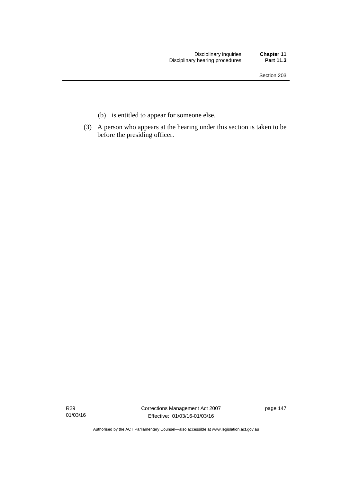- (b) is entitled to appear for someone else.
- (3) A person who appears at the hearing under this section is taken to be before the presiding officer.

R29 01/03/16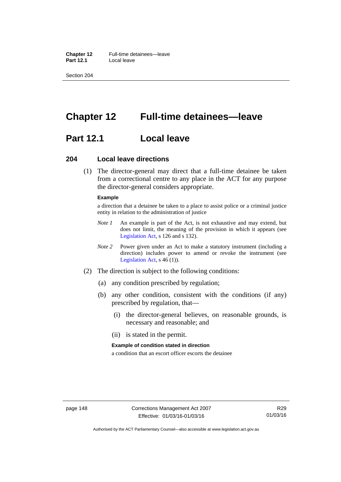**Chapter 12** Full-time detainees—leave **Part 12.1** Local leave

Section 204

# **Chapter 12 Full-time detainees—leave**

# **Part 12.1 Local leave**

#### **204 Local leave directions**

 (1) The director-general may direct that a full-time detainee be taken from a correctional centre to any place in the ACT for any purpose the director-general considers appropriate.

#### **Example**

a direction that a detainee be taken to a place to assist police or a criminal justice entity in relation to the administration of justice

- *Note 1* An example is part of the Act, is not exhaustive and may extend, but does not limit, the meaning of the provision in which it appears (see [Legislation Act,](http://www.legislation.act.gov.au/a/2001-14) s 126 and s 132).
- *Note 2* Power given under an Act to make a statutory instrument (including a direction) includes power to amend or revoke the instrument (see [Legislation Act,](http://www.legislation.act.gov.au/a/2001-14) s 46 (1)).
- (2) The direction is subject to the following conditions:
	- (a) any condition prescribed by regulation;
	- (b) any other condition, consistent with the conditions (if any) prescribed by regulation, that—
		- (i) the director-general believes, on reasonable grounds, is necessary and reasonable; and
		- (ii) is stated in the permit.

#### **Example of condition stated in direction**

a condition that an escort officer escorts the detainee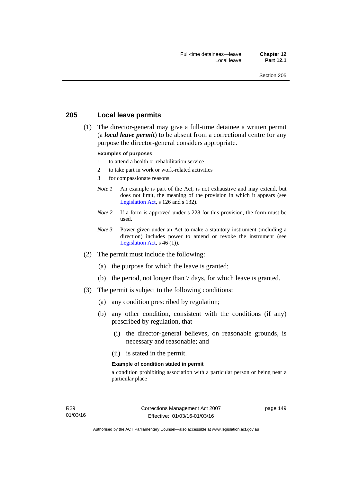### **205 Local leave permits**

 (1) The director-general may give a full-time detainee a written permit (a *local leave permit*) to be absent from a correctional centre for any purpose the director-general considers appropriate.

#### **Examples of purposes**

- 1 to attend a health or rehabilitation service
- 2 to take part in work or work-related activities
- 3 for compassionate reasons
- *Note 1* An example is part of the Act, is not exhaustive and may extend, but does not limit, the meaning of the provision in which it appears (see [Legislation Act,](http://www.legislation.act.gov.au/a/2001-14) s 126 and s 132).
- *Note* 2 If a form is approved under s 228 for this provision, the form must be used.
- *Note 3* Power given under an Act to make a statutory instrument (including a direction) includes power to amend or revoke the instrument (see [Legislation Act,](http://www.legislation.act.gov.au/a/2001-14)  $s$  46 (1)).
- (2) The permit must include the following:
	- (a) the purpose for which the leave is granted;
	- (b) the period, not longer than 7 days, for which leave is granted.
- (3) The permit is subject to the following conditions:
	- (a) any condition prescribed by regulation;
	- (b) any other condition, consistent with the conditions (if any) prescribed by regulation, that—
		- (i) the director-general believes, on reasonable grounds, is necessary and reasonable; and
		- (ii) is stated in the permit.

#### **Example of condition stated in permit**

a condition prohibiting association with a particular person or being near a particular place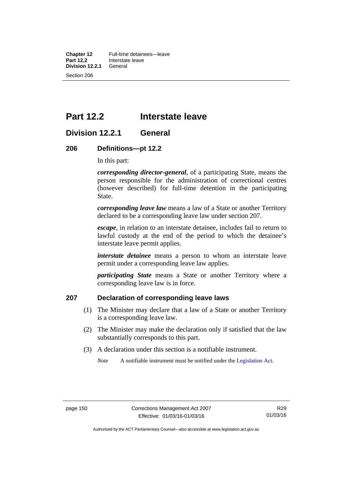**Chapter 12** Full-time detainees—leave<br>**Part 12.2** Interstate leave **Interstate leave**<br>General **Division 12.2.1** Section 206

# **Part 12.2 Interstate leave**

# **Division 12.2.1 General**

#### **206 Definitions—pt 12.2**

In this part:

*corresponding director-general*, of a participating State, means the person responsible for the administration of correctional centres (however described) for full-time detention in the participating State.

*corresponding leave law* means a law of a State or another Territory declared to be a corresponding leave law under section 207.

*escape*, in relation to an interstate detainee, includes fail to return to lawful custody at the end of the period to which the detainee's interstate leave permit applies.

*interstate detainee* means a person to whom an interstate leave permit under a corresponding leave law applies.

*participating State* means a State or another Territory where a corresponding leave law is in force.

## **207 Declaration of corresponding leave laws**

- (1) The Minister may declare that a law of a State or another Territory is a corresponding leave law.
- (2) The Minister may make the declaration only if satisfied that the law substantially corresponds to this part.
- (3) A declaration under this section is a notifiable instrument.

*Note* A notifiable instrument must be notified under the [Legislation Act](http://www.legislation.act.gov.au/a/2001-14).

Authorised by the ACT Parliamentary Counsel—also accessible at www.legislation.act.gov.au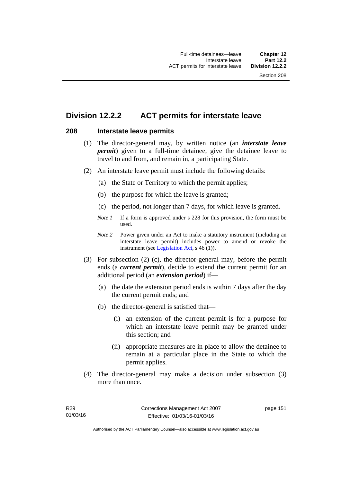# **Division 12.2.2 ACT permits for interstate leave**

#### **208 Interstate leave permits**

- (1) The director-general may, by written notice (an *interstate leave permit*) given to a full-time detainee, give the detainee leave to travel to and from, and remain in, a participating State.
- (2) An interstate leave permit must include the following details:
	- (a) the State or Territory to which the permit applies;
	- (b) the purpose for which the leave is granted;
	- (c) the period, not longer than 7 days, for which leave is granted.
	- *Note 1* If a form is approved under s 228 for this provision, the form must be used.
	- *Note 2* Power given under an Act to make a statutory instrument (including an interstate leave permit) includes power to amend or revoke the instrument (see [Legislation Act,](http://www.legislation.act.gov.au/a/2001-14) s 46 (1)).
- (3) For subsection (2) (c), the director-general may, before the permit ends (a *current permit*), decide to extend the current permit for an additional period (an *extension period*) if—
	- (a) the date the extension period ends is within 7 days after the day the current permit ends; and
	- (b) the director-general is satisfied that—
		- (i) an extension of the current permit is for a purpose for which an interstate leave permit may be granted under this section; and
		- (ii) appropriate measures are in place to allow the detainee to remain at a particular place in the State to which the permit applies.
- (4) The director-general may make a decision under subsection (3) more than once.

page 151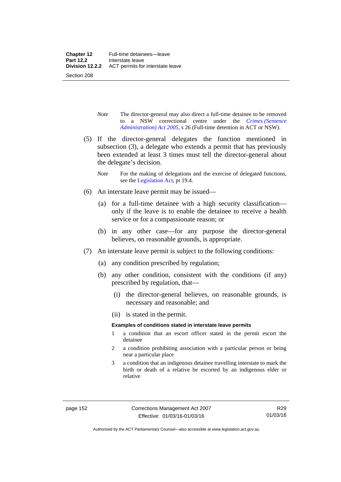- *Note* The director-general may also direct a full-time detainee to be removed to a NSW correctional centre under the *[Crimes \(Sentence](http://www.legislation.act.gov.au/a/2005-59)  [Administration\) Act 2005](http://www.legislation.act.gov.au/a/2005-59)*, s 26 (Full-time detention in ACT or NSW).
- (5) If the director-general delegates the function mentioned in subsection (3), a delegate who extends a permit that has previously been extended at least 3 times must tell the director-general about the delegate's decision.
	- *Note* For the making of delegations and the exercise of delegated functions, see the [Legislation Act,](http://www.legislation.act.gov.au/a/2001-14) pt 19.4.
- (6) An interstate leave permit may be issued—
	- (a) for a full-time detainee with a high security classification only if the leave is to enable the detainee to receive a health service or for a compassionate reason; or
	- (b) in any other case—for any purpose the director-general believes, on reasonable grounds, is appropriate.
- (7) An interstate leave permit is subject to the following conditions:
	- (a) any condition prescribed by regulation;
	- (b) any other condition, consistent with the conditions (if any) prescribed by regulation, that—
		- (i) the director-general believes, on reasonable grounds, is necessary and reasonable; and
		- (ii) is stated in the permit.

#### **Examples of conditions stated in interstate leave permits**

- 1 a condition that an escort officer stated in the permit escort the detainee
- 2 a condition prohibiting association with a particular person or being near a particular place
- 3 a condition that an indigenous detainee travelling interstate to mark the birth or death of a relative be escorted by an indigenous elder or relative

Authorised by the ACT Parliamentary Counsel—also accessible at www.legislation.act.gov.au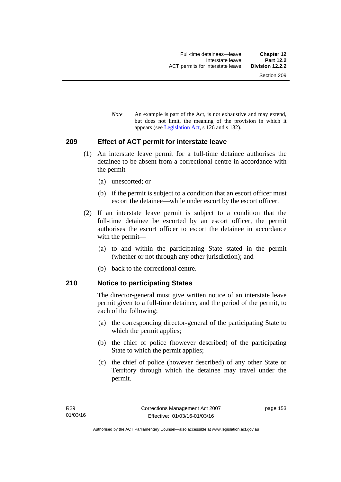*Note* An example is part of the Act, is not exhaustive and may extend, but does not limit, the meaning of the provision in which it appears (see [Legislation Act,](http://www.legislation.act.gov.au/a/2001-14) s 126 and s 132).

#### **209 Effect of ACT permit for interstate leave**

- (1) An interstate leave permit for a full-time detainee authorises the detainee to be absent from a correctional centre in accordance with the permit—
	- (a) unescorted; or
	- (b) if the permit is subject to a condition that an escort officer must escort the detainee—while under escort by the escort officer.
- (2) If an interstate leave permit is subject to a condition that the full-time detainee be escorted by an escort officer, the permit authorises the escort officer to escort the detainee in accordance with the permit—
	- (a) to and within the participating State stated in the permit (whether or not through any other jurisdiction); and
	- (b) back to the correctional centre.

#### **210 Notice to participating States**

The director-general must give written notice of an interstate leave permit given to a full-time detainee, and the period of the permit, to each of the following:

- (a) the corresponding director-general of the participating State to which the permit applies;
- (b) the chief of police (however described) of the participating State to which the permit applies;
- (c) the chief of police (however described) of any other State or Territory through which the detainee may travel under the permit.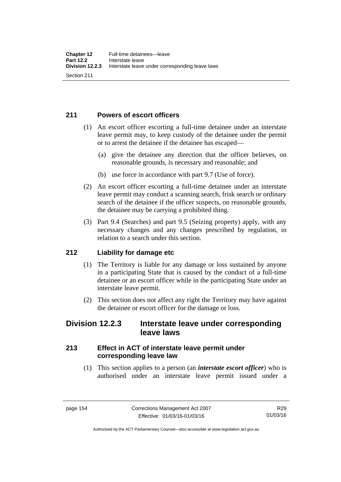# **211 Powers of escort officers**

- (1) An escort officer escorting a full-time detainee under an interstate leave permit may, to keep custody of the detainee under the permit or to arrest the detainee if the detainee has escaped—
	- (a) give the detainee any direction that the officer believes, on reasonable grounds, is necessary and reasonable; and
	- (b) use force in accordance with part 9.7 (Use of force).
- (2) An escort officer escorting a full-time detainee under an interstate leave permit may conduct a scanning search, frisk search or ordinary search of the detainee if the officer suspects, on reasonable grounds, the detainee may be carrying a prohibited thing.
- (3) Part 9.4 (Searches) and part 9.5 (Seizing property) apply, with any necessary changes and any changes prescribed by regulation, in relation to a search under this section.

# **212 Liability for damage etc**

- (1) The Territory is liable for any damage or loss sustained by anyone in a participating State that is caused by the conduct of a full-time detainee or an escort officer while in the participating State under an interstate leave permit.
- (2) This section does not affect any right the Territory may have against the detainee or escort officer for the damage or loss.

# **Division 12.2.3 Interstate leave under corresponding leave laws**

# **213 Effect in ACT of interstate leave permit under corresponding leave law**

 (1) This section applies to a person (an *interstate escort officer*) who is authorised under an interstate leave permit issued under a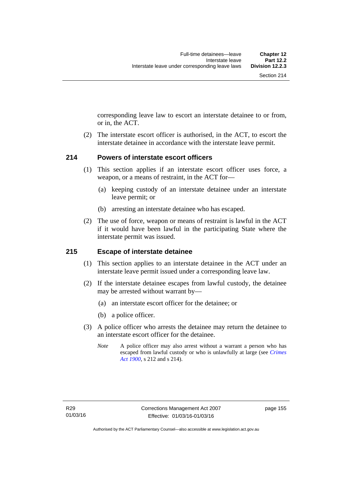corresponding leave law to escort an interstate detainee to or from, or in, the ACT.

 (2) The interstate escort officer is authorised, in the ACT, to escort the interstate detainee in accordance with the interstate leave permit.

#### **214 Powers of interstate escort officers**

- (1) This section applies if an interstate escort officer uses force, a weapon, or a means of restraint, in the ACT for—
	- (a) keeping custody of an interstate detainee under an interstate leave permit; or
	- (b) arresting an interstate detainee who has escaped.
- (2) The use of force, weapon or means of restraint is lawful in the ACT if it would have been lawful in the participating State where the interstate permit was issued.

#### **215 Escape of interstate detainee**

- (1) This section applies to an interstate detainee in the ACT under an interstate leave permit issued under a corresponding leave law.
- (2) If the interstate detainee escapes from lawful custody, the detainee may be arrested without warrant by—
	- (a) an interstate escort officer for the detainee; or
	- (b) a police officer.
- (3) A police officer who arrests the detainee may return the detainee to an interstate escort officer for the detainee.
	- *Note* A police officer may also arrest without a warrant a person who has escaped from lawful custody or who is unlawfully at large (see *[Crimes](http://www.legislation.act.gov.au/a/1900-40)  [Act 1900](http://www.legislation.act.gov.au/a/1900-40)*, s 212 and s 214).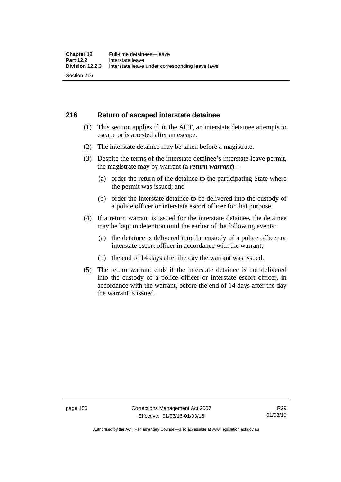### **216 Return of escaped interstate detainee**

- (1) This section applies if, in the ACT, an interstate detainee attempts to escape or is arrested after an escape.
- (2) The interstate detainee may be taken before a magistrate.
- (3) Despite the terms of the interstate detainee's interstate leave permit, the magistrate may by warrant (a *return warrant*)—
	- (a) order the return of the detainee to the participating State where the permit was issued; and
	- (b) order the interstate detainee to be delivered into the custody of a police officer or interstate escort officer for that purpose.
- (4) If a return warrant is issued for the interstate detainee, the detainee may be kept in detention until the earlier of the following events:
	- (a) the detainee is delivered into the custody of a police officer or interstate escort officer in accordance with the warrant;
	- (b) the end of 14 days after the day the warrant was issued.
- (5) The return warrant ends if the interstate detainee is not delivered into the custody of a police officer or interstate escort officer, in accordance with the warrant, before the end of 14 days after the day the warrant is issued.

page 156 Corrections Management Act 2007 Effective: 01/03/16-01/03/16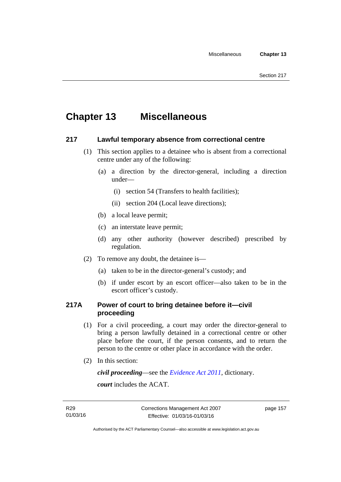# **Chapter 13 Miscellaneous**

## **217 Lawful temporary absence from correctional centre**

- (1) This section applies to a detainee who is absent from a correctional centre under any of the following:
	- (a) a direction by the director-general, including a direction under—
		- (i) section 54 (Transfers to health facilities);
		- (ii) section 204 (Local leave directions);
	- (b) a local leave permit;
	- (c) an interstate leave permit;
	- (d) any other authority (however described) prescribed by regulation.
- (2) To remove any doubt, the detainee is—
	- (a) taken to be in the director-general's custody; and
	- (b) if under escort by an escort officer—also taken to be in the escort officer's custody.

# **217A Power of court to bring detainee before it—civil proceeding**

- (1) For a civil proceeding, a court may order the director-general to bring a person lawfully detained in a correctional centre or other place before the court, if the person consents, and to return the person to the centre or other place in accordance with the order.
- (2) In this section:

*civil proceeding*—see the *[Evidence Act 2011](http://www.legislation.act.gov.au/a/2011-12)*, dictionary.

*court* includes the ACAT.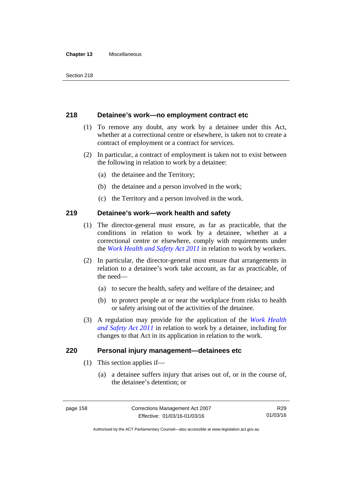#### **Chapter 13** Miscellaneous

#### **218 Detainee's work—no employment contract etc**

- (1) To remove any doubt, any work by a detainee under this Act, whether at a correctional centre or elsewhere, is taken not to create a contract of employment or a contract for services.
- (2) In particular, a contract of employment is taken not to exist between the following in relation to work by a detainee:
	- (a) the detainee and the Territory;
	- (b) the detainee and a person involved in the work;
	- (c) the Territory and a person involved in the work.

#### **219 Detainee's work—work health and safety**

- (1) The director-general must ensure, as far as practicable, that the conditions in relation to work by a detainee, whether at a correctional centre or elsewhere, comply with requirements under the *[Work Health and Safety Act 2011](http://www.legislation.act.gov.au/a/2011-35)* in relation to work by workers.
- (2) In particular, the director-general must ensure that arrangements in relation to a detainee's work take account, as far as practicable, of the need—
	- (a) to secure the health, safety and welfare of the detainee; and
	- (b) to protect people at or near the workplace from risks to health or safety arising out of the activities of the detainee.
- (3) A regulation may provide for the application of the *[Work Health](http://www.legislation.act.gov.au/a/2011-35)  [and Safety Act 2011](http://www.legislation.act.gov.au/a/2011-35)* in relation to work by a detainee, including for changes to that Act in its application in relation to the work.

#### **220 Personal injury management—detainees etc**

- (1) This section applies if—
	- (a) a detainee suffers injury that arises out of, or in the course of, the detainee's detention; or

Authorised by the ACT Parliamentary Counsel—also accessible at www.legislation.act.gov.au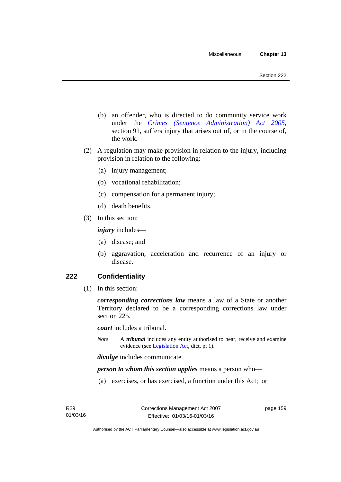- (b) an offender, who is directed to do community service work under the *[Crimes \(Sentence Administration\) Act 2005](http://www.legislation.act.gov.au/a/2005-59)*, section 91, suffers injury that arises out of, or in the course of, the work.
- (2) A regulation may make provision in relation to the injury, including provision in relation to the following:
	- (a) injury management;
	- (b) vocational rehabilitation;
	- (c) compensation for a permanent injury;
	- (d) death benefits.
- (3) In this section:

*injury* includes—

- (a) disease; and
- (b) aggravation, acceleration and recurrence of an injury or disease.

#### **222 Confidentiality**

(1) In this section:

*corresponding corrections law* means a law of a State or another Territory declared to be a corresponding corrections law under section 225.

*court* includes a tribunal.

*Note* A *tribunal* includes any entity authorised to hear, receive and examine evidence (see [Legislation Act,](http://www.legislation.act.gov.au/a/2001-14) dict, pt 1).

*divulge* includes communicate.

*person to whom this section applies* means a person who—

(a) exercises, or has exercised, a function under this Act; or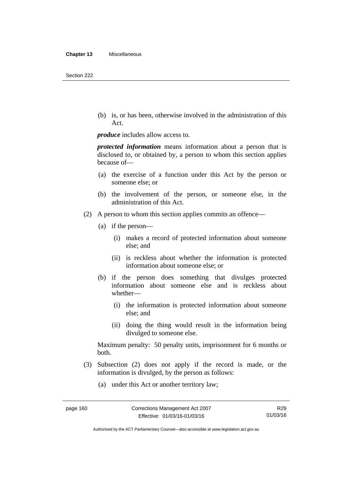(b) is, or has been, otherwise involved in the administration of this Act.

*produce* includes allow access to.

*protected information* means information about a person that is disclosed to, or obtained by, a person to whom this section applies because of—

- (a) the exercise of a function under this Act by the person or someone else; or
- (b) the involvement of the person, or someone else, in the administration of this Act.
- (2) A person to whom this section applies commits an offence—
	- (a) if the person—
		- (i) makes a record of protected information about someone else; and
		- (ii) is reckless about whether the information is protected information about someone else; or
	- (b) if the person does something that divulges protected information about someone else and is reckless about whether—
		- (i) the information is protected information about someone else; and
		- (ii) doing the thing would result in the information being divulged to someone else.

Maximum penalty: 50 penalty units, imprisonment for 6 months or both.

- (3) Subsection (2) does not apply if the record is made, or the information is divulged, by the person as follows:
	- (a) under this Act or another territory law;

Authorised by the ACT Parliamentary Counsel—also accessible at www.legislation.act.gov.au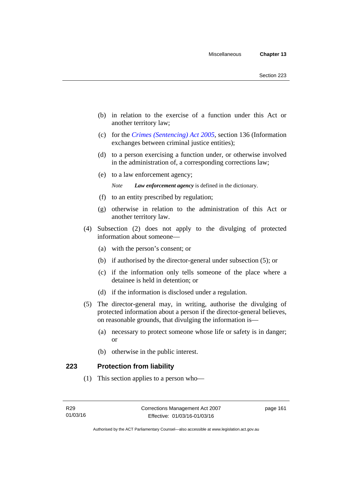- (b) in relation to the exercise of a function under this Act or another territory law;
- (c) for the *[Crimes \(Sentencing\) Act 2005](http://www.legislation.act.gov.au/a/2005-58)*, section 136 (Information exchanges between criminal justice entities);
- (d) to a person exercising a function under, or otherwise involved in the administration of, a corresponding corrections law;
- (e) to a law enforcement agency;

*Note Law enforcement agency* is defined in the dictionary.

- (f) to an entity prescribed by regulation;
- (g) otherwise in relation to the administration of this Act or another territory law.
- (4) Subsection (2) does not apply to the divulging of protected information about someone—
	- (a) with the person's consent; or
	- (b) if authorised by the director-general under subsection (5); or
	- (c) if the information only tells someone of the place where a detainee is held in detention; or
	- (d) if the information is disclosed under a regulation.
- (5) The director-general may, in writing, authorise the divulging of protected information about a person if the director-general believes, on reasonable grounds, that divulging the information is—
	- (a) necessary to protect someone whose life or safety is in danger; or
	- (b) otherwise in the public interest.

#### **223 Protection from liability**

(1) This section applies to a person who—

page 161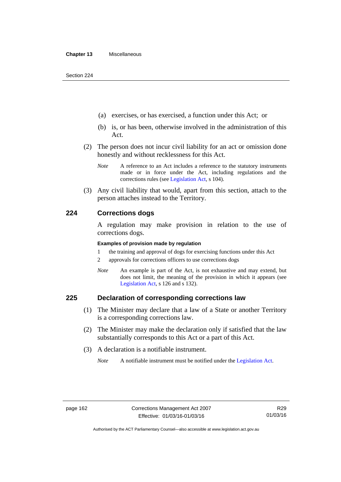- (a) exercises, or has exercised, a function under this Act; or
- (b) is, or has been, otherwise involved in the administration of this Act.
- (2) The person does not incur civil liability for an act or omission done honestly and without recklessness for this Act.
	- *Note* A reference to an Act includes a reference to the statutory instruments made or in force under the Act, including regulations and the corrections rules (see [Legislation Act,](http://www.legislation.act.gov.au/a/2001-14) s 104).
- (3) Any civil liability that would, apart from this section, attach to the person attaches instead to the Territory.

### **224 Corrections dogs**

A regulation may make provision in relation to the use of corrections dogs.

#### **Examples of provision made by regulation**

- 1 the training and approval of dogs for exercising functions under this Act
- 2 approvals for corrections officers to use corrections dogs
- *Note* An example is part of the Act, is not exhaustive and may extend, but does not limit, the meaning of the provision in which it appears (see [Legislation Act,](http://www.legislation.act.gov.au/a/2001-14) s 126 and s 132).

#### **225 Declaration of corresponding corrections law**

- (1) The Minister may declare that a law of a State or another Territory is a corresponding corrections law.
- (2) The Minister may make the declaration only if satisfied that the law substantially corresponds to this Act or a part of this Act.
- (3) A declaration is a notifiable instrument.
	- *Note* A notifiable instrument must be notified under the [Legislation Act](http://www.legislation.act.gov.au/a/2001-14).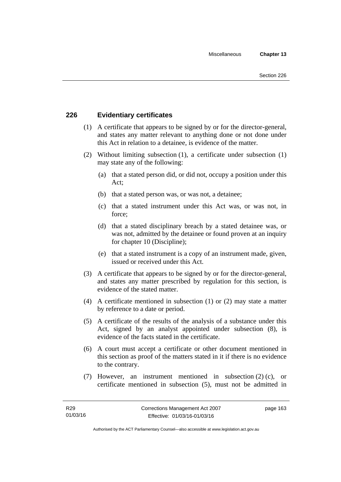# **226 Evidentiary certificates**

- (1) A certificate that appears to be signed by or for the director-general, and states any matter relevant to anything done or not done under this Act in relation to a detainee, is evidence of the matter.
- (2) Without limiting subsection (1), a certificate under subsection (1) may state any of the following:
	- (a) that a stated person did, or did not, occupy a position under this Act;
	- (b) that a stated person was, or was not, a detainee;
	- (c) that a stated instrument under this Act was, or was not, in force;
	- (d) that a stated disciplinary breach by a stated detainee was, or was not, admitted by the detainee or found proven at an inquiry for chapter 10 (Discipline);
	- (e) that a stated instrument is a copy of an instrument made, given, issued or received under this Act.
- (3) A certificate that appears to be signed by or for the director-general, and states any matter prescribed by regulation for this section, is evidence of the stated matter.
- (4) A certificate mentioned in subsection (1) or (2) may state a matter by reference to a date or period.
- (5) A certificate of the results of the analysis of a substance under this Act, signed by an analyst appointed under subsection (8), is evidence of the facts stated in the certificate.
- (6) A court must accept a certificate or other document mentioned in this section as proof of the matters stated in it if there is no evidence to the contrary.
- (7) However, an instrument mentioned in subsection (2) (c), or certificate mentioned in subsection (5), must not be admitted in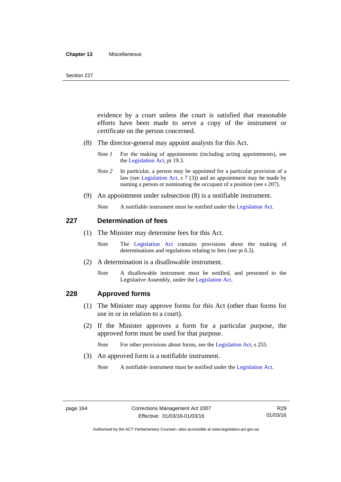#### **Chapter 13** Miscellaneous

evidence by a court unless the court is satisfied that reasonable efforts have been made to serve a copy of the instrument or certificate on the person concerned.

- (8) The director-general may appoint analysts for this Act.
	- *Note 1* For the making of appointments (including acting appointments), see the [Legislation Act,](http://www.legislation.act.gov.au/a/2001-14) pt 19.3.
	- *Note 2* In particular, a person may be appointed for a particular provision of a law (see [Legislation Act,](http://www.legislation.act.gov.au/a/2001-14) s 7 (3)) and an appointment may be made by naming a person or nominating the occupant of a position (see s 207).
- (9) An appointment under subsection (8) is a notifiable instrument.
	- *Note* A notifiable instrument must be notified under the [Legislation Act](http://www.legislation.act.gov.au/a/2001-14).

#### **227 Determination of fees**

- (1) The Minister may determine fees for this Act.
	- *Note* The [Legislation Act](http://www.legislation.act.gov.au/a/2001-14) contains provisions about the making of determinations and regulations relating to fees (see pt 6.3).
- (2) A determination is a disallowable instrument.
	- *Note* A disallowable instrument must be notified, and presented to the Legislative Assembly, under the [Legislation Act.](http://www.legislation.act.gov.au/a/2001-14)

## **228 Approved forms**

- (1) The Minister may approve forms for this Act (other than forms for use in or in relation to a court).
- (2) If the Minister approves a form for a particular purpose, the approved form must be used for that purpose.

*Note* For other provisions about forms, see the [Legislation Act,](http://www.legislation.act.gov.au/a/2001-14) s 255.

(3) An approved form is a notifiable instrument.

*Note* A notifiable instrument must be notified under the [Legislation Act](http://www.legislation.act.gov.au/a/2001-14).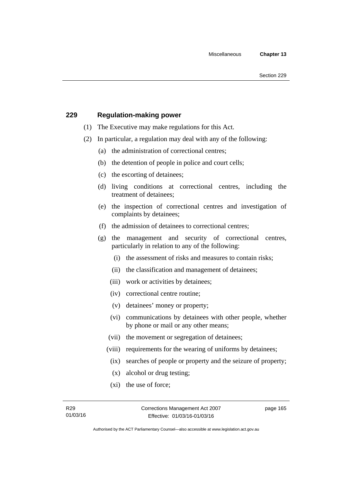### **229 Regulation-making power**

- (1) The Executive may make regulations for this Act.
- (2) In particular, a regulation may deal with any of the following:
	- (a) the administration of correctional centres;
	- (b) the detention of people in police and court cells;
	- (c) the escorting of detainees;
	- (d) living conditions at correctional centres, including the treatment of detainees;
	- (e) the inspection of correctional centres and investigation of complaints by detainees;
	- (f) the admission of detainees to correctional centres;
	- (g) the management and security of correctional centres, particularly in relation to any of the following:
		- (i) the assessment of risks and measures to contain risks;
		- (ii) the classification and management of detainees;
		- (iii) work or activities by detainees;
		- (iv) correctional centre routine;
		- (v) detainees' money or property;
		- (vi) communications by detainees with other people, whether by phone or mail or any other means;
		- (vii) the movement or segregation of detainees;
		- (viii) requirements for the wearing of uniforms by detainees;
		- (ix) searches of people or property and the seizure of property;
		- (x) alcohol or drug testing;
		- (xi) the use of force;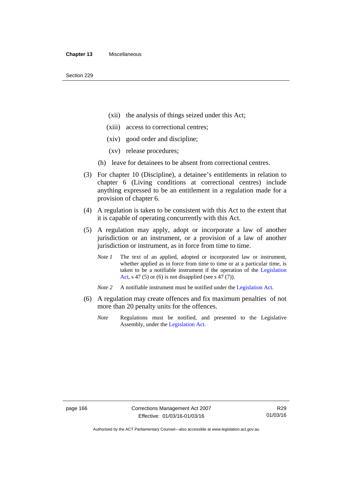- (xii) the analysis of things seized under this Act;
- (xiii) access to correctional centres;
- (xiv) good order and discipline;
- (xv) release procedures;
- (h) leave for detainees to be absent from correctional centres.
- (3) For chapter 10 (Discipline), a detainee's entitlements in relation to chapter 6 (Living conditions at correctional centres) include anything expressed to be an entitlement in a regulation made for a provision of chapter 6.
- (4) A regulation is taken to be consistent with this Act to the extent that it is capable of operating concurrently with this Act.
- (5) A regulation may apply, adopt or incorporate a law of another jurisdiction or an instrument, or a provision of a law of another jurisdiction or instrument, as in force from time to time.
	- *Note 1* The text of an applied, adopted or incorporated law or instrument, whether applied as in force from time to time or at a particular time, is taken to be a notifiable instrument if the operation of the [Legislation](http://www.legislation.act.gov.au/a/2001-14)  [Act,](http://www.legislation.act.gov.au/a/2001-14) s 47 (5) or (6) is not disapplied (see s 47 (7)).
	- *Note 2* A notifiable instrument must be notified under the [Legislation Act](http://www.legislation.act.gov.au/a/2001-14).
- (6) A regulation may create offences and fix maximum penalties of not more than 20 penalty units for the offences.
	- *Note* Regulations must be notified, and presented to the Legislative Assembly, under the [Legislation Act](http://www.legislation.act.gov.au/a/2001-14).

Authorised by the ACT Parliamentary Counsel—also accessible at www.legislation.act.gov.au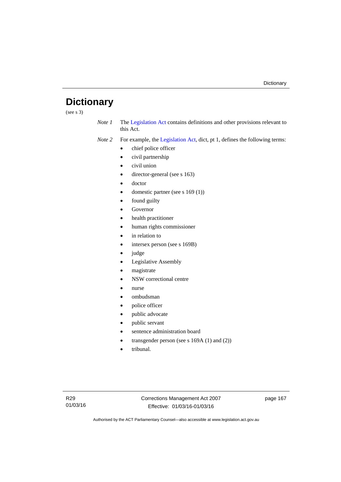# **Dictionary**

(see s 3)

*Note 1* The [Legislation Act](http://www.legislation.act.gov.au/a/2001-14) contains definitions and other provisions relevant to this Act.

*Note 2* For example, the [Legislation Act,](http://www.legislation.act.gov.au/a/2001-14) dict, pt 1, defines the following terms:

- chief police officer
- civil partnership
- civil union
- director-general (see s 163)
- doctor
- domestic partner (see s 169 (1))
- found guilty
- Governor
- health practitioner
- human rights commissioner
- in relation to
- intersex person (see s 169B)
- judge
- Legislative Assembly
- magistrate
- NSW correctional centre
- nurse
- ombudsman
- police officer
- public advocate
- public servant
- sentence administration board
- transgender person (see s 169A (1) and (2))
- tribunal.

page 167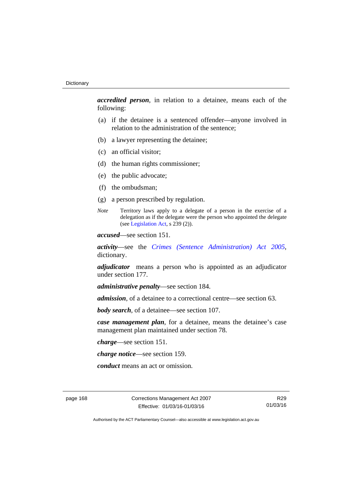*accredited person*, in relation to a detainee, means each of the following:

- (a) if the detainee is a sentenced offender—anyone involved in relation to the administration of the sentence;
- (b) a lawyer representing the detainee;
- (c) an official visitor;
- (d) the human rights commissioner;
- (e) the public advocate;
- (f) the ombudsman;
- (g) a person prescribed by regulation.
- *Note* Territory laws apply to a delegate of a person in the exercise of a delegation as if the delegate were the person who appointed the delegate (see [Legislation Act,](http://www.legislation.act.gov.au/a/2001-14) s 239 (2)).

*accused*—see section 151.

*activity*—see the *[Crimes \(Sentence Administration\) Act 2005](http://www.legislation.act.gov.au/a/2005-59)*, dictionary.

*adjudicator* means a person who is appointed as an adjudicator under section 177.

*administrative penalty*—see section 184.

*admission*, of a detainee to a correctional centre—see section 63.

*body search*, of a detainee—see section 107.

*case management plan*, for a detainee, means the detainee's case management plan maintained under section 78.

*charge*—see section 151.

*charge notice*—see section 159.

*conduct* means an act or omission.

page 168 Corrections Management Act 2007 Effective: 01/03/16-01/03/16

R29 01/03/16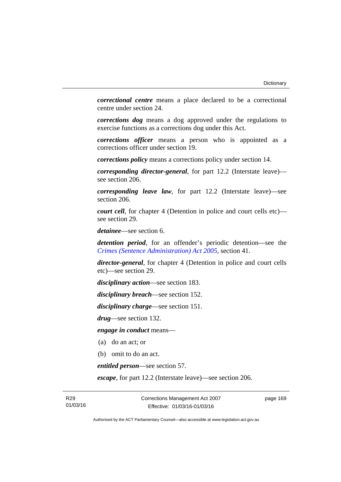*correctional centre* means a place declared to be a correctional centre under section 24.

*corrections dog* means a dog approved under the regulations to exercise functions as a corrections dog under this Act.

*corrections officer* means a person who is appointed as a corrections officer under section 19.

*corrections policy* means a corrections policy under section 14.

*corresponding director-general*, for part 12.2 (Interstate leave) see section 206.

*corresponding leave law*, for part 12.2 (Interstate leave)—see section 206.

*court cell*, for chapter 4 (Detention in police and court cells etc) see section 29.

*detainee*—see section 6.

*detention period*, for an offender's periodic detention—see the *[Crimes \(Sentence Administration\) Act 2005](http://www.legislation.act.gov.au/a/2005-59)*, section 41.

*director-general*, for chapter 4 (Detention in police and court cells etc)—see section 29.

*disciplinary action*—see section 183.

*disciplinary breach*—see section 152.

*disciplinary charge*—see section 151.

*drug*—see section 132.

*engage in conduct* means—

- (a) do an act; or
- (b) omit to do an act.

*entitled person*—see section 57.

*escape*, for part 12.2 (Interstate leave)—see section 206.

Corrections Management Act 2007 Effective: 01/03/16-01/03/16

page 169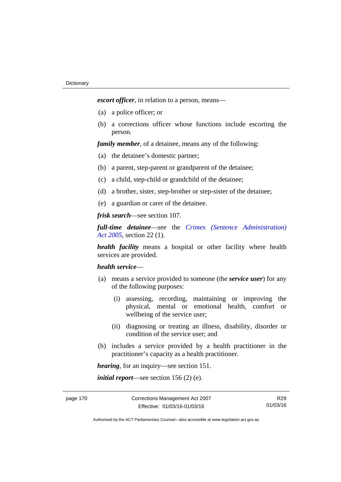*escort officer*, in relation to a person, means—

- (a) a police officer; or
- (b) a corrections officer whose functions include escorting the person.

*family member*, of a detainee, means any of the following:

- (a) the detainee's domestic partner;
- (b) a parent, step-parent or grandparent of the detainee;
- (c) a child, step-child or grandchild of the detainee;
- (d) a brother, sister, step-brother or step-sister of the detainee;
- (e) a guardian or carer of the detainee.

*frisk search*—see section 107.

*full-time detainee*—see the *[Crimes \(Sentence Administration\)](http://www.legislation.act.gov.au/a/2005-59)  [Act 2005](http://www.legislation.act.gov.au/a/2005-59)*, section 22 (1).

*health facility* means a hospital or other facility where health services are provided.

## *health service*—

- (a) means a service provided to someone (the *service user*) for any of the following purposes:
	- (i) assessing, recording, maintaining or improving the physical, mental or emotional health, comfort or wellbeing of the service user;
	- (ii) diagnosing or treating an illness, disability, disorder or condition of the service user; and
- (b) includes a service provided by a health practitioner in the practitioner's capacity as a health practitioner.

*hearing*, for an inquiry—see section 151.

*initial report*—see section 156 (2) (e).

R29 01/03/16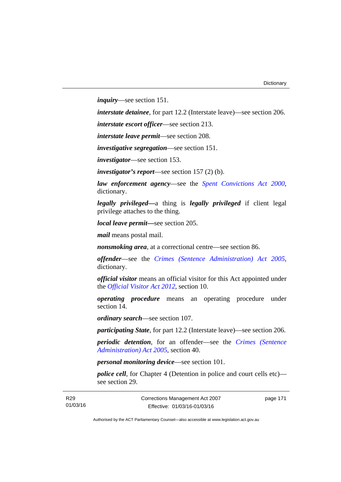*inquiry*—see section 151.

*interstate detainee*, for part 12.2 (Interstate leave)—see section 206.

*interstate escort officer*—see section 213.

*interstate leave permit*—see section 208.

*investigative segregation*—see section 151.

*investigator*—see section 153.

*investigator's report*—see section 157 (2) (b).

*law enforcement agency*—see the *[Spent Convictions Act 2000](http://www.legislation.act.gov.au/a/2000-48)*, dictionary.

*legally privileged—*a thing is *legally privileged* if client legal privilege attaches to the thing.

*local leave permit—*see section 205.

*mail* means postal mail.

*nonsmoking area*, at a correctional centre—see section 86.

*offender*—see the *[Crimes \(Sentence Administration\) Act 2005](http://www.legislation.act.gov.au/a/2005-59)*, dictionary.

*official visitor* means an official visitor for this Act appointed under the *[Official Visitor Act 2012](http://www.legislation.act.gov.au/a/2012-33)*, section 10.

*operating procedure* means an operating procedure under section 14.

*ordinary search*—see section 107.

*participating State*, for part 12.2 (Interstate leave)—see section 206.

*periodic detention*, for an offender—see the *[Crimes \(Sentence](http://www.legislation.act.gov.au/a/2005-59)  [Administration\) Act 2005](http://www.legislation.act.gov.au/a/2005-59)*, section 40.

*personal monitoring device*—see section 101.

*police cell*, for Chapter 4 (Detention in police and court cells etc) see section 29.

R29 01/03/16 page 171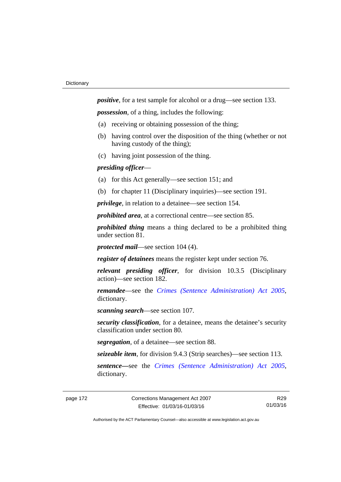*positive*, for a test sample for alcohol or a drug—see section 133.

*possession*, of a thing, includes the following:

- (a) receiving or obtaining possession of the thing;
- (b) having control over the disposition of the thing (whether or not having custody of the thing);
- (c) having joint possession of the thing.

# *presiding officer*—

- (a) for this Act generally—see section 151; and
- (b) for chapter 11 (Disciplinary inquiries)—see section 191.

*privilege*, in relation to a detainee—see section 154.

*prohibited area*, at a correctional centre—see section 85.

*prohibited thing* means a thing declared to be a prohibited thing under section 81.

*protected mail*—see section 104 (4).

*register of detainees* means the register kept under section 76.

*relevant presiding officer*, for division 10.3.5 (Disciplinary action)—see section 182.

*remandee*—see the *[Crimes \(Sentence Administration\) Act 2005](http://www.legislation.act.gov.au/a/2005-59)*, dictionary.

*scanning search*—see section 107.

*security classification*, for a detainee, means the detainee's security classification under section 80.

*segregation*, of a detainee—see section 88.

*seizeable item*, for division 9.4.3 (Strip searches)—see section 113.

*sentence—*see the *[Crimes \(Sentence Administration\) Act 2005](http://www.legislation.act.gov.au/a/2005-59)*, dictionary.

R29 01/03/16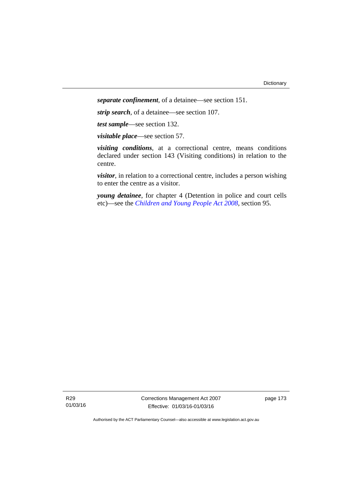*separate confinement*, of a detainee—see section 151.

*strip search*, of a detainee—see section 107.

*test sample*—see section 132.

*visitable place*—see section 57.

*visiting conditions*, at a correctional centre, means conditions declared under section 143 (Visiting conditions) in relation to the centre.

*visitor*, in relation to a correctional centre, includes a person wishing to enter the centre as a visitor.

*young detainee*, for chapter 4 (Detention in police and court cells etc)—see the *[Children and Young People Act 2008](http://www.legislation.act.gov.au/a/2008-19)*, section 95.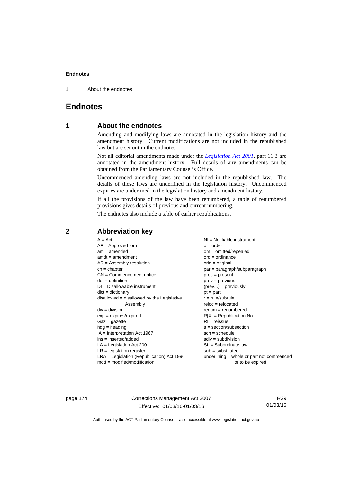1 About the endnotes

# **Endnotes**

# **1 About the endnotes**

Amending and modifying laws are annotated in the legislation history and the amendment history. Current modifications are not included in the republished law but are set out in the endnotes.

Not all editorial amendments made under the *[Legislation Act 2001](http://www.legislation.act.gov.au/a/2001-14)*, part 11.3 are annotated in the amendment history. Full details of any amendments can be obtained from the Parliamentary Counsel's Office.

Uncommenced amending laws are not included in the republished law. The details of these laws are underlined in the legislation history. Uncommenced expiries are underlined in the legislation history and amendment history.

If all the provisions of the law have been renumbered, a table of renumbered provisions gives details of previous and current numbering.

The endnotes also include a table of earlier republications.

|                                                   | $A = Act$<br>$AF =$ Approved form<br>$am = amended$<br>$amdt = amendment$<br>$AR = Assembly resolution$<br>$ch = chapter$<br>$CN =$ Commencement notice<br>$def = definition$<br>$DI = Disallowable instrument$<br>$dict = dictionary$<br>$disallowed = disallowed by the Legislative$<br>Assembly<br>$div = division$<br>$exp = expires/expired$<br>$Gaz = gazette$<br>$hdg = heading$<br>$IA = Interpretation Act 1967$<br>$ins = inserted/added$<br>$LA =$ Legislation Act 2001<br>$LR =$ legislation register | NI = Notifiable instrument<br>$o = order$<br>$om = omitted/repealed$<br>$ord = ordinance$<br>$orig = original$<br>par = paragraph/subparagraph<br>$pres = present$<br>$prev = previous$<br>$(\text{prev}) = \text{previously}$<br>$pt = part$<br>$r = rule/subrule$<br>$reloc = relocated$<br>$remum = renumbered$<br>$R[X]$ = Republication No<br>$RI = reissue$<br>$s = section/subsection$<br>$sch = schedule$<br>$sdiv = subdivision$<br>$SL = Subordinate$ law<br>$sub =$ substituted |
|---------------------------------------------------|-------------------------------------------------------------------------------------------------------------------------------------------------------------------------------------------------------------------------------------------------------------------------------------------------------------------------------------------------------------------------------------------------------------------------------------------------------------------------------------------------------------------|--------------------------------------------------------------------------------------------------------------------------------------------------------------------------------------------------------------------------------------------------------------------------------------------------------------------------------------------------------------------------------------------------------------------------------------------------------------------------------------------|
| $mod = modified/modification$<br>or to be expired | $LRA =$ Legislation (Republication) Act 1996                                                                                                                                                                                                                                                                                                                                                                                                                                                                      | $underlining = whole or part not commenced$                                                                                                                                                                                                                                                                                                                                                                                                                                                |

# **2 Abbreviation key**

page 174 Corrections Management Act 2007 Effective: 01/03/16-01/03/16

R29 01/03/16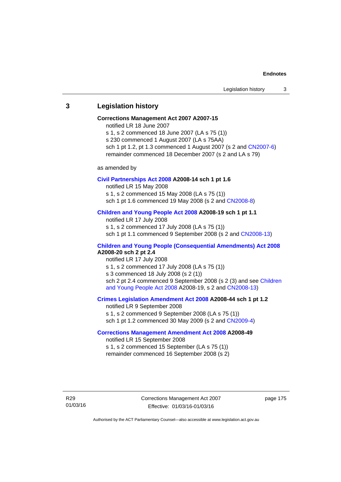# **3 Legislation history**

#### **Corrections Management Act 2007 A2007-15**

notified LR 18 June 2007

s 1, s 2 commenced 18 June 2007 (LA s 75 (1)) s 230 commenced 1 August 2007 (LA s 75AA) sch 1 pt 1.2, pt 1.3 commenced 1 August 2007 (s 2 and [CN2007-6](http://www.legislation.act.gov.au/cn/2007-6/default.asp))

remainder commenced 18 December 2007 (s 2 and LA s 79)

as amended by

## **[Civil Partnerships Act 2008](http://www.legislation.act.gov.au/a/2008-14) A2008-14 sch 1 pt 1.6**

notified LR 15 May 2008

s 1, s 2 commenced 15 May 2008 (LA s 75 (1))

sch 1 pt 1.6 commenced 19 May 2008 (s 2 and [CN2008-8\)](http://www.legislation.act.gov.au/cn/2008-8/default.asp)

## **[Children and Young People Act 2008](http://www.legislation.act.gov.au/a/2008-19) A2008-19 sch 1 pt 1.1**

notified LR 17 July 2008 s 1, s 2 commenced 17 July 2008 (LA s 75 (1)) sch 1 pt 1.1 commenced 9 September 2008 (s 2 and [CN2008-13\)](http://www.legislation.act.gov.au/cn/2008-13/default.asp)

## **[Children and Young People \(Consequential Amendments\) Act 2008](http://www.legislation.act.gov.au/a/2008-20) A2008-20 sch 2 pt 2.4**

notified LR 17 July 2008 s 1, s 2 commenced 17 July 2008 (LA s 75 (1)) s 3 commenced 18 July 2008 (s 2 (1)) sch 2 pt 2.4 commenced 9 September 2008 (s 2 (3) and see Children [and Young People Act 2008](http://www.legislation.act.gov.au/a/2008-19) A2008-19, s 2 and [CN2008-13](http://www.legislation.act.gov.au/cn/2008-13/default.asp))

## **[Crimes Legislation Amendment Act 2008](http://www.legislation.act.gov.au/a/2008-44) A2008-44 sch 1 pt 1.2**

notified LR 9 September 2008 s 1, s 2 commenced 9 September 2008 (LA s 75 (1)) sch 1 pt 1.2 commenced 30 May 2009 (s 2 and [CN2009-4\)](http://www.legislation.act.gov.au/cn/2009-4/default.asp)

# **[Corrections Management Amendment Act 2008](http://www.legislation.act.gov.au/a/2008-49) A2008-49**

notified LR 15 September 2008 s 1, s 2 commenced 15 September (LA s 75 (1)) remainder commenced 16 September 2008 (s 2)

Corrections Management Act 2007 Effective: 01/03/16-01/03/16

page 175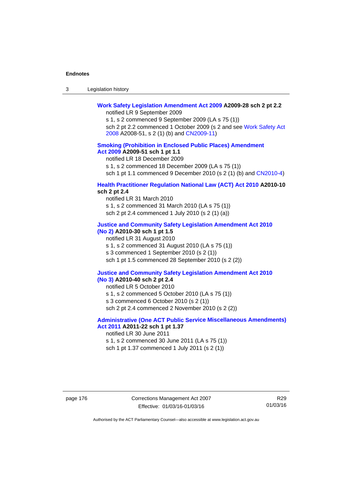| -3 | Legislation history |  |
|----|---------------------|--|
|----|---------------------|--|

## **[Work Safety Legislation Amendment Act 2009](http://www.legislation.act.gov.au/a/2009-28) A2009-28 sch 2 pt 2.2**  notified LR 9 September 2009

s 1, s 2 commenced 9 September 2009 (LA s 75 (1)) sch 2 pt 2.2 commenced 1 October 2009 (s 2 and see [Work Safety Act](http://www.legislation.act.gov.au/a/2008-51)  [2008](http://www.legislation.act.gov.au/a/2008-51) A2008-51, s 2 (1) (b) and [CN2009-11\)](http://www.legislation.act.gov.au/cn/2009-11/default.asp)

## **[Smoking \(Prohibition in Enclosed Public Places\) Amendment](http://www.legislation.act.gov.au/a/2009-51)  [Act 2009](http://www.legislation.act.gov.au/a/2009-51) A2009-51 sch 1 pt 1.1**

notified LR 18 December 2009

s 1, s 2 commenced 18 December 2009 (LA s 75 (1))

sch 1 pt 1.1 commenced 9 December 2010 (s 2 (1) (b) and [CN2010-4\)](http://www.legislation.act.gov.au/cn/2010-4/default.asp)

## **[Health Practitioner Regulation National Law \(ACT\) Act 2010](http://www.legislation.act.gov.au/a/2010-10) A2010-10 sch 2 pt 2.4**

notified LR 31 March 2010 s 1, s 2 commenced 31 March 2010 (LA s 75 (1)) sch 2 pt 2.4 commenced 1 July 2010 (s 2 (1) (a))

## **[Justice and Community Safety Legislation Amendment Act 2010](http://www.legislation.act.gov.au/a/2010-30)**

# **[\(No 2\)](http://www.legislation.act.gov.au/a/2010-30) A2010-30 sch 1 pt 1.5**  notified LR 31 August 2010 s 1, s 2 commenced 31 August 2010 (LA s 75 (1)) s 3 commenced 1 September 2010 (s 2 (1)) sch 1 pt 1.5 commenced 28 September 2010 (s 2 (2))

#### **[Justice and Community Safety Legislation Amendment Act 2010](http://www.legislation.act.gov.au/a/2010-40)  [\(No 3\)](http://www.legislation.act.gov.au/a/2010-40) A2010-40 sch 2 pt 2.4**

notified LR 5 October 2010

s 1, s 2 commenced 5 October 2010 (LA s 75 (1))

s 3 commenced 6 October 2010 (s 2 (1))

sch 2 pt 2.4 commenced 2 November 2010 (s 2 (2))

## **[Administrative \(One ACT Public Service Miscellaneous Amendments\)](http://www.legislation.act.gov.au/a/2011-22)  [Act 2011](http://www.legislation.act.gov.au/a/2011-22) A2011-22 sch 1 pt 1.37**

notified LR 30 June 2011

s 1, s 2 commenced 30 June 2011 (LA s 75 (1)) sch 1 pt 1.37 commenced 1 July 2011 (s 2 (1))

page 176 Corrections Management Act 2007 Effective: 01/03/16-01/03/16

R29 01/03/16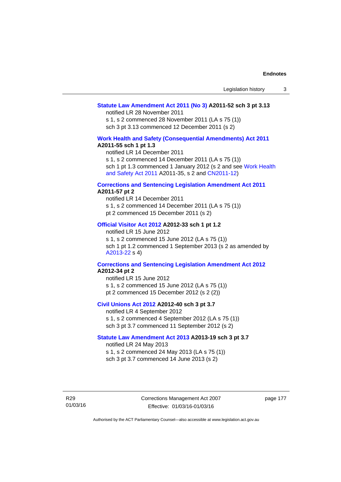## **[Statute Law Amendment Act 2011 \(No 3\)](http://www.legislation.act.gov.au/a/2011-52) A2011-52 sch 3 pt 3.13**

notified LR 28 November 2011

s 1, s 2 commenced 28 November 2011 (LA s 75 (1)) sch 3 pt 3.13 commenced 12 December 2011 (s 2)

## **[Work Health and Safety \(Consequential Amendments\) Act 2011](http://www.legislation.act.gov.au/a/2011-55) A2011-55 sch 1 pt 1.3**

notified LR 14 December 2011

s 1, s 2 commenced 14 December 2011 (LA s 75 (1))

sch 1 pt 1.3 commenced 1 January 2012 (s 2 and see Work Health [and Safety Act 2011](http://www.legislation.act.gov.au/a/2011-35) A2011-35, s 2 and [CN2011-12\)](http://www.legislation.act.gov.au/cn/2011-12/default.asp)

#### **[Corrections and Sentencing Legislation Amendment Act 2011](http://www.legislation.act.gov.au/a/2011-57) A2011-57 pt 2**

notified LR 14 December 2011 s 1, s 2 commenced 14 December 2011 (LA s 75 (1)) pt 2 commenced 15 December 2011 (s 2)

## **[Official Visitor Act 2012](http://www.legislation.act.gov.au/a/2012-33) A2012-33 sch 1 pt 1.2**

notified LR 15 June 2012 s 1, s 2 commenced 15 June 2012 (LA s 75 (1)) sch 1 pt 1.2 commenced 1 September 2013 (s 2 as amended by [A2013-22](http://www.legislation.act.gov.au/a/2013-22) s 4)

## **[Corrections and Sentencing Legislation Amendment Act 2012](http://www.legislation.act.gov.au/a/2012-34) A2012-34 pt 2**

notified LR 15 June 2012 s 1, s 2 commenced 15 June 2012 (LA s 75 (1)) pt 2 commenced 15 December 2012 (s 2 (2))

## **[Civil Unions Act 2012](http://www.legislation.act.gov.au/a/2012-40) A2012-40 sch 3 pt 3.7**

notified LR 4 September 2012 s 1, s 2 commenced 4 September 2012 (LA s 75 (1)) sch 3 pt 3.7 commenced 11 September 2012 (s 2)

## **[Statute Law Amendment Act 2013](http://www.legislation.act.gov.au/a/2013-19) A2013-19 sch 3 pt 3.7**

notified LR 24 May 2013 s 1, s 2 commenced 24 May 2013 (LA s 75 (1)) sch 3 pt 3.7 commenced 14 June 2013 (s 2)

R29 01/03/16 Corrections Management Act 2007 Effective: 01/03/16-01/03/16

page 177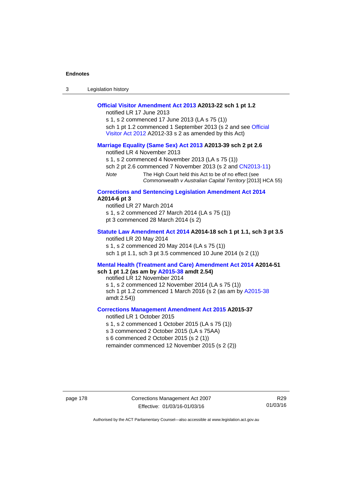| Legislation history<br>3 |  |
|--------------------------|--|
|--------------------------|--|

## **[Official Visitor Amendment Act 2013](http://www.legislation.act.gov.au/a/2013-22) A2013-22 sch 1 pt 1.2**

notified LR 17 June 2013

s 1, s 2 commenced 17 June 2013 (LA s 75 (1)) sch 1 pt 1.2 commenced 1 September 2013 (s 2 and see Official [Visitor Act 2012](http://www.legislation.act.gov.au/a/2012-33) A2012-33 s 2 as amended by this Act)

## **[Marriage Equality \(Same Sex\) Act 2013](http://www.legislation.act.gov.au/a/2013-39) A2013-39 sch 2 pt 2.6**

notified LR 4 November 2013

s 1, s 2 commenced 4 November 2013 (LA s 75 (1))

sch 2 pt 2.6 commenced 7 November 2013 (s 2 and [CN2013-11](http://www.legislation.act.gov.au/cn/2013-11))

*Note* The High Court held this Act to be of no effect (see *Commonwealth v Australian Capital Territory* [2013] HCA 55)

## **[Corrections and Sentencing Legislation Amendment Act 2014](http://www.legislation.act.gov.au/a/2014-6) A2014-6 pt 3**

notified LR 27 March 2014 s 1, s 2 commenced 27 March 2014 (LA s 75 (1)) pt 3 commenced 28 March 2014 (s 2)

## **[Statute Law Amendment Act 2014](http://www.legislation.act.gov.au/a/2014-18) A2014-18 sch 1 pt 1.1, sch 3 pt 3.5**  notified LR 20 May 2014

s 1, s 2 commenced 20 May 2014 (LA s 75 (1)) sch 1 pt 1.1, sch 3 pt 3.5 commenced 10 June 2014 (s 2 (1))

#### **[Mental Health \(Treatment and Care\) Amendment Act 2014](http://www.legislation.act.gov.au/a/2014-51/default.asp) A2014-51 sch 1 pt 1.2 (as am by [A2015-38](http://www.legislation.act.gov.au/a/2015-38) amdt 2.54)**

notified LR 12 November 2014

s 1, s 2 commenced 12 November 2014 (LA s 75 (1)) sch 1 pt 1.2 commenced 1 March 2016 (s 2 (as am by [A2015-38](http://www.legislation.act.gov.au/a/2015-38) amdt 2.54))

## **[Corrections Management Amendment Act 2015](http://www.legislation.act.gov.au/a/2015-37) A2015-37**

notified LR 1 October 2015

s 1, s 2 commenced 1 October 2015 (LA s 75 (1))

s 3 commenced 2 October 2015 (LA s 75AA)

s 6 commenced 2 October 2015 (s 2 (1))

remainder commenced 12 November 2015 (s 2 (2))

page 178 Corrections Management Act 2007 Effective: 01/03/16-01/03/16

R29 01/03/16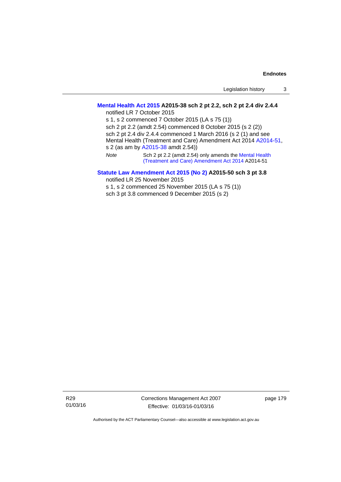## **[Mental Health Act 2015](http://www.legislation.act.gov.au/a/2015-38) A2015-38 sch 2 pt 2.2, sch 2 pt 2.4 div 2.4.4**

notified LR 7 October 2015 s 1, s 2 commenced 7 October 2015 (LA s 75 (1)) sch 2 pt 2.2 (amdt 2.54) commenced 8 October 2015 (s 2 (2)) sch 2 pt 2.4 div 2.4.4 commenced 1 March 2016 (s 2 (1) and see Mental Health (Treatment and Care) Amendment Act 2014 [A2014-51,](http://www.legislation.act.gov.au/a/2014-51/default.asp) s 2 (as am by [A2015-38](http://www.legislation.act.gov.au/a/2015-38) amdt 2.54)) *Note* Sch 2 pt 2.2 (amdt 2.54) only amends the [Mental Health](http://www.legislation.act.gov.au/a/2014-51/default.asp)  [\(Treatment and Care\) Amendment Act 2014](http://www.legislation.act.gov.au/a/2014-51/default.asp) A2014-51

# **[Statute Law Amendment Act 2015 \(No 2\)](http://www.legislation.act.gov.au/a/2015-50) A2015-50 sch 3 pt 3.8**

notified LR 25 November 2015

s 1, s 2 commenced 25 November 2015 (LA s 75 (1))

sch 3 pt 3.8 commenced 9 December 2015 (s 2)

R29 01/03/16 Corrections Management Act 2007 Effective: 01/03/16-01/03/16

page 179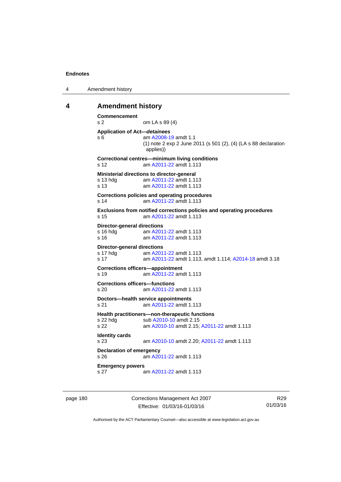```
4 Amendment history
```
## **4 Amendment history**

```
Commencement 
s 2 om LA s 89 (4) 
Application of Act—detainees
s 6 am A2008-19 amdt 1.1
              (1) note 2 exp 2 June 2011 (s 501 (2), (4) (LA s 88 declaration 
               applies)) 
Correctional centres—minimum living conditions 
s 12 am A2011-22 amdt 1.113
Ministerial directions to director-general 
s 13 hdg am A2011-22 amdt 1.113
s 13 am A2011-22 amdt 1.113
Corrections policies and operating procedures 
s 14 am A2011-22 amdt 1.113
Exclusions from notified corrections policies and operating procedures 
s 15 am A2011-22 amdt 1.113
Director-general directions 
 A2011-22 amdt 1.113
 A2011-22 amdt 1.113
Director-general directions 
 A2011-22 amdt 1.113
s 17 am A2011-22 amdt 1.113, amdt 1.114; A2014-18 amdt 3.18 
Corrections officers—appointment 
s 19 am A2011-22 amdt 1.113
Corrections officers—functions 
s 20 am A2011-22 amdt 1.113
Doctors—health service appointments 
s 21 am A2011-22 amdt 1.113
Health practitioners—non-therapeutic functions 
A2010-10 amdt 2.15
s 22 am A2010-10 amdt 2.15; A2011-22 amdt 1.113 
Identity cards 
s 23 am A2010-10 amdt 2.20; A2011-22 amdt 1.113 
Declaration of emergency 
s 26 am A2011-22 amdt 1.113
Emergency powers 
s 27 am A2011-22 amdt 1.113
```
page 180 Corrections Management Act 2007 Effective: 01/03/16-01/03/16

R29 01/03/16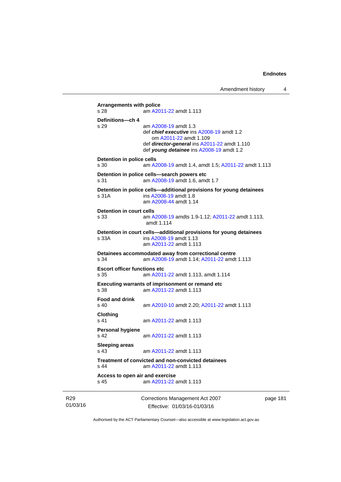```
Arrangements with police 
s 28 am A2011-22 amdt 1.113
Definitions—ch 4 
s 29 am A2008-19 amdt 1.3
                 def chief executive ins A2008-19 amdt 1.2 
                    om A2011-22 amdt 1.109
                 def director-general ins A2011-22 amdt 1.110 
                 def young detainee ins A2008-19 amdt 1.2 
Detention in police cells 
s 30 am A2008-19 amdt 1.4, amdt 1.5; A2011-22 amdt 1.113
Detention in police cells—search powers etc 
s 31 am A2008-19 amdt 1.6, amdt 1.7 
Detention in police cells—additional provisions for young detainees 
s 31A ins A2008-19 amdt 1.8 
                 am A2008-44 amdt 1.14
Detention in court cells 
s 33 am A2008-19 amdts 1.9-1.12; A2011-22 amdt 1.113, 
                 amdt 1.114 
Detention in court cells—additional provisions for young detainees 
s 33A ins A2008-19 amdt 1.13 
                 am A2011-22 amdt 1.113
Detainees accommodated away from correctional centre 
s 34 am A2008-19 amdt 1.14; A2011-22 amdt 1.113 
Escort officer functions etc 
s 35 am A2011-22 amdt 1.113, amdt 1.114 
Executing warrants of imprisonment or remand etc 
s 38 am A2011-22 amdt 1.113
Food and drink 
s 40 am A2010-10 amdt 2.20; A2011-22 amdt 1.113 
Clothing 
s 41 A2011-22 amdt 1.113
Personal hygiene 
s 42  A2011-22 amdt 1.113
Sleeping areas 
                 A2011-22 amdt 1.113
Treatment of convicted and non-convicted detainees 
s 44 am A2011-22 amdt 1.113
Access to open air and exercise 
s 45 am A2011-22 amdt 1.113
```
R29 01/03/16 Corrections Management Act 2007 Effective: 01/03/16-01/03/16

page 181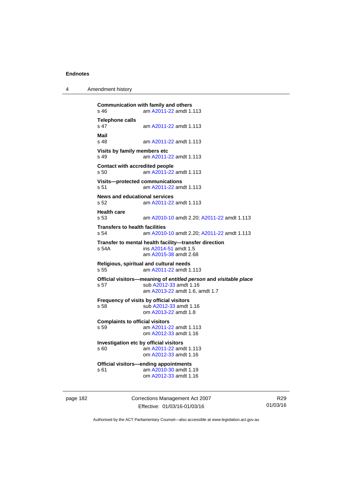4 Amendment history

```
Communication with family and others 
s 46 am A2011-22 amdt 1.113
Telephone calls 
                s 47 am A2011-22 amdt 1.113
Mail 
                 A2011-22 amdt 1.113
Visits by family members etc 
s 49 am A2011-22 amdt 1.113
Contact with accredited people 
s 50 am A2011-22 amdt 1.113
Visits—protected communications 
s 51 am A2011-22 amdt 1.113
News and educational services 
s 52 am A2011-22 amdt 1.113
Health care 
s 53 am A2010-10 amdt 2.20; A2011-22 amdt 1.113 
Transfers to health facilities 
s 54 am A2010-10 amdt 2.20; A2011-22 amdt 1.113 
Transfer to mental health facility—transfer direction 
s 54A ins A2014-51 amdt 1.5 
                am A2015-38 amdt 2.68
Religious, spiritual and cultural needs 
s 55 am A2011-22 amdt 1.113
Official visitors—meaning of entitled person and visitable place 
s 57 sub A2012-33 amdt 1.16 
                 am A2013-22 amdt 1.6, amdt 1.7 
Frequency of visits by official visitors
s 58 sub A2012-33 amdt 1.16 
                 om A2013-22 amdt 1.8
Complaints to official visitors 
s 59 am A2011-22 amdt 1.113
                om A2012-33 amdt 1.16
Investigation etc by official visitors 
s 60 am A2011-22 amdt 1.113
                 om A2012-33 amdt 1.16
Official visitors—ending appointments 
 A2010-30 amdt 1.19
                 om A2012-33 amdt 1.16
```
page 182 Corrections Management Act 2007 Effective: 01/03/16-01/03/16

R29 01/03/16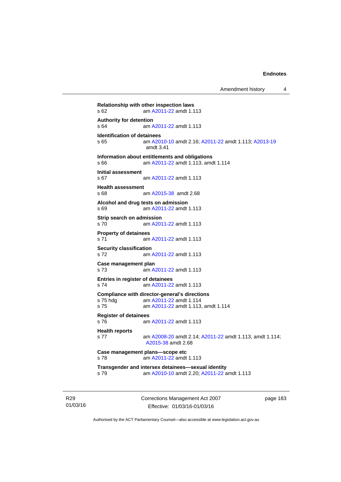```
Relationship with other inspection laws 
s 62 am A2011-22 amdt 1.113
Authority for detention<br>s 64 am/
                A2011-22 amdt 1.113
Identification of detainees 
s 65 am A2010-10 amdt 2.16; A2011-22 amdt 1.113; A2013-19
                amdt 3.41
Information about entitlements and obligations 
s 66 am A2011-22 amdt 1.113, amdt 1.114 
Initial assessment 
s 67 am A2011-22 amdt 1.113
Health assessment 
s 68 am A2015-38 amdt 2.68
Alcohol and drug tests on admission 
s 69 am A2011-22 amdt 1.113
Strip search on admission 
s 70 am A2011-22 amdt 1.113
Property of detainees 
s 71 am A2011-22 amdt 1.113
Security classification 
s 72 am A2011-22 amdt 1.113
Case management plan 
s 73 am A2011-22 amdt 1.113
Entries in register of detainees 
s 74 am A2011-22 amdt 1.113
Compliance with director-general's directions 
s 75 hdg am A2011-22 amdt 1.114
s 75 am A2011-22 amdt 1.113, amdt 1.114 
Register of detainees 
s 76 am A2011-22 amdt 1.113
Health reports 
s 77 am A2008-20 amdt 2.14; A2011-22 amdt 1.113, amdt 1.114; 
                A2015-38 amdt 2.68 
Case management plans—scope etc 
s 78 am A2011-22 amdt 1.113
Transgender and intersex detainees—sexual identity 
s 79 am A2010-10 amdt 2.20; A2011-22 amdt 1.113
```
R29 01/03/16 Corrections Management Act 2007 Effective: 01/03/16-01/03/16

page 183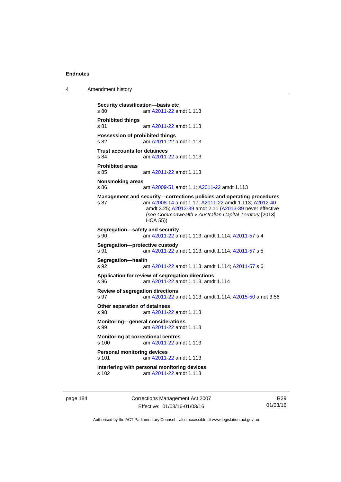4 Amendment history

```
Security classification—basis etc 
s 80 A2011-22 amdt 1.113
Prohibited things 
s 81 am A2011-22 amdt 1.113
Possession of prohibited things 
s 82 am A2011-22 amdt 1.113
Trust accounts for detainees 
s 84 am A2011-22 amdt 1.113
Prohibited areas 
s 85 am A2011-22 amdt 1.113
Nonsmoking areas 
s 86 am A2009-51 amdt 1.1; A2011-22 amdt 1.113 
Management and security—corrections policies and operating procedures 
s 87 am A2008-14 amdt 1.17; A2011-22 amdt 1.113; A2012-40
                 amdt 3.25; A2013-39 amdt 2.11 (A2013-39 never effective 
                 (see Commonwealth v Australian Capital Territory [2013] 
                 HCA 55)) 
Segregation—safety and security 
s 90 am A2011-22 amdt 1.113, amdt 1.114; A2011-57 s 4 
Segregation—protective custody 
s 91 am A2011-22 amdt 1.113, amdt 1.114; A2011-57 s 5 
Segregation—health 
s 92 am A2011-22 amdt 1.113, amdt 1.114; A2011-57 s 6 
Application for review of segregation directions 
s 96 am A2011-22 amdt 1.113, amdt 1.114 
Review of segregation directions 
s 97 am A2011-22 amdt 1.113, amdt 1.114; A2015-50 amdt 3.56 
Other separation of detainees 
s 98 am A2011-22 amdt 1.113
Monitoring—general considerations 
s 99 am A2011-22 amdt 1.113
Monitoring at correctional centres 
s 100 am A2011-22 amdt 1.113
Personal monitoring devices 
s 101 am A2011-22 amdt 1.113
Interfering with personal monitoring devices<br>s 102 am A2011-22 amdt 1.113
                 A2011-22 amdt 1.113
```
page 184 Corrections Management Act 2007 Effective: 01/03/16-01/03/16

R29 01/03/16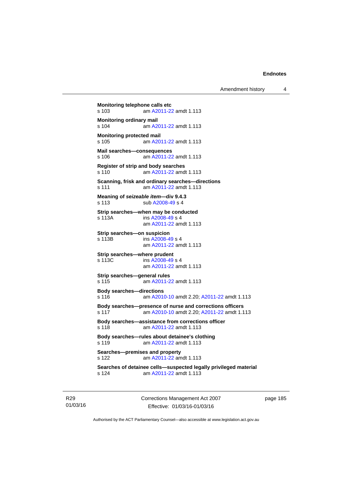Amendment history 4

```
Monitoring telephone calls etc 
s 103 am A2011-22 amdt 1.113
Monitoring ordinary mail 
s 104 am A2011-22 amdt 1.113
Monitoring protected mail 
s 105 am A2011-22 amdt 1.113
Mail searches—consequences 
s 106 am A2011-22 amdt 1.113
Register of strip and body searches 
s 110 am A2011-22 amdt 1.113
Scanning, frisk and ordinary searches—directions 
s 111 am A2011-22 amdt 1.113
Meaning of seizeable item—div 9.4.3 
A2008-49 s 4
Strip searches—when may be conducted 
s 113A ins A2008-49 s 4
                am A2011-22 amdt 1.113
Strip searches—on suspicion 
s 113B ins A2008-49 s 4
                am A2011-22 amdt 1.113
Strip searches—where prudent 
s 113C ins A2008-49 s 4
                am A2011-22 amdt 1.113
Strip searches—general rules 
s 115 am A2011-22 amdt 1.113
Body searches—directions 
s 116 am A2010-10 amdt 2.20; A2011-22 amdt 1.113 
Body searches—presence of nurse and corrections officers 
s 117 am A2010-10 amdt 2.20; A2011-22 amdt 1.113 
Body searches—assistance from corrections officer 
s 118 am A2011-22 amdt 1.113
Body searches—rules about detainee's clothing 
s 119 am A2011-22 amdt 1.113
Searches—premises and property 
s 122 am A2011-22 amdt 1.113
Searches of detainee cells—suspected legally privileged material 
s 124 am A2011-22 amdt 1.113
```
R29 01/03/16 Corrections Management Act 2007 Effective: 01/03/16-01/03/16

page 185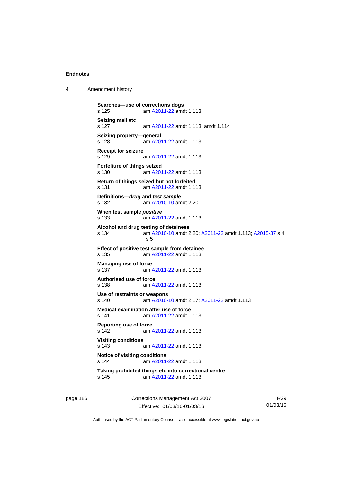4 Amendment history

```
Searches—use of corrections dogs 
s 125 am A2011-22 amdt 1.113
Seizing mail etc 
s 127 am A2011-22 amdt 1.113, amdt 1.114 
Seizing property—general 
s 128  A2011-22 amdt 1.113
Receipt for seizure 
s 129 am A2011-22 amdt 1.113
Forfeiture of things seized 
s 130 am A2011-22 amdt 1.113
Return of things seized but not forfeited 
s 131 am A2011-22 amdt 1.113
Definitions—drug and test sample
s 132 am A2010-10 amdt 2.20
When test sample positive
s 133 am A2011-22 amdt 1.113
Alcohol and drug testing of detainees 
s 134 am A2010-10 amdt 2.20; A2011-22 amdt 1.113; A2015-37 s 4, 
                s 5 
Effect of positive test sample from detainee<br>s 135 am A2011-22 amdt 1.113
               A2011-22 amdt 1.113
Managing use of force 
s 137 am A2011-22 amdt 1.113
Authorised use of force 
s 138 am A2011-22 amdt 1.113
Use of restraints or weapons 
s 140 am A2010-10 amdt 2.17; A2011-22 amdt 1.113 
Medical examination after use of force 
s 141 am A2011-22 amdt 1.113
Reporting use of force 
s 142 am A2011-22 amdt 1.113
Visiting conditions 
s 143 am A2011-22 amdt 1.113
Notice of visiting conditions 
s 144 am A2011-22 amdt 1.113
Taking prohibited things etc into correctional centre 
s 145 am A2011-22 amdt 1.113
```
page 186 Corrections Management Act 2007 Effective: 01/03/16-01/03/16

R29 01/03/16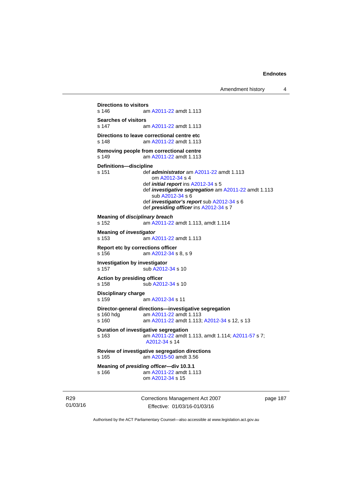**Directions to visitors**<br>s 146 am am [A2011-22](http://www.legislation.act.gov.au/a/2011-22) amdt 1.113 **Searches of visitors**  s 147 am [A2011-22](http://www.legislation.act.gov.au/a/2011-22) amdt 1.113 **Directions to leave correctional centre etc**  s 148 am [A2011-22](http://www.legislation.act.gov.au/a/2011-22) amdt 1.113 **Removing people from correctional centre**  s 149 am [A2011-22](http://www.legislation.act.gov.au/a/2011-22) amdt 1.113 **Definitions—discipline**  s 151 def *administrator* am [A2011-22](http://www.legislation.act.gov.au/a/2011-22) amdt 1.113 om [A2012-34](http://www.legislation.act.gov.au/a/2012-34) s 4 def *initial report* ins [A2012-34](http://www.legislation.act.gov.au/a/2012-34) s 5 def *investigative segregation* am [A2011-22](http://www.legislation.act.gov.au/a/2011-22) amdt 1.113 sub [A2012-34](http://www.legislation.act.gov.au/a/2012-34) s 6 def *investigator's report* sub [A2012-34](http://www.legislation.act.gov.au/a/2012-34) s 6 def *presiding officer* ins [A2012-34](http://www.legislation.act.gov.au/a/2012-34) s 7 **Meaning of** *disciplinary breach* s 152 am [A2011-22](http://www.legislation.act.gov.au/a/2011-22) amdt 1.113, amdt 1.114 **Meaning of** *investigator* s 153 am [A2011-22](http://www.legislation.act.gov.au/a/2011-22) amdt 1.113 **Report etc by corrections officer**  s 156 am [A2012-34](http://www.legislation.act.gov.au/a/2012-34) s 8, s 9 **Investigation by investigator**  s 157 sub [A2012-34](http://www.legislation.act.gov.au/a/2012-34) s 10 **Action by presiding officer**  s 158 sub [A2012-34](http://www.legislation.act.gov.au/a/2012-34) s 10 **Disciplinary charge**  s 159 am [A2012-34](http://www.legislation.act.gov.au/a/2012-34) s 11 **Director-general directions—investigative segregation**  s 160 hdg am [A2011-22](http://www.legislation.act.gov.au/a/2011-22) amdt 1.113 s 160 am [A2011-22](http://www.legislation.act.gov.au/a/2011-22) amdt 1.113; [A2012-34](http://www.legislation.act.gov.au/a/2012-34) s 12, s 13 **Duration of investigative segregation**  s 163 am [A2011-22](http://www.legislation.act.gov.au/a/2011-22) amdt 1.113, amdt 1.114; [A2011-57](http://www.legislation.act.gov.au/a/2011-57) s 7; [A2012-34](http://www.legislation.act.gov.au/a/2012-34) s 14 **Review of investigative segregation directions**  s 165 am [A2015-50](http://www.legislation.act.gov.au/a/2015-50) amdt 3.56 **Meaning of** *presiding officer***—div 10.3.1**  s 166 am [A2011-22](http://www.legislation.act.gov.au/a/2011-22) amdt 1.113 om [A2012-34](http://www.legislation.act.gov.au/a/2012-34) s 15

R29 01/03/16 Corrections Management Act 2007 Effective: 01/03/16-01/03/16

page 187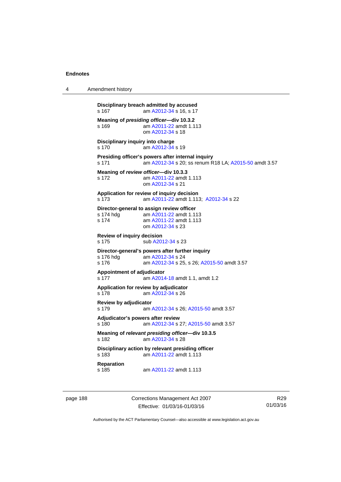```
4 Amendment history 
           Disciplinary breach admitted by accused 
           s 167 A2012-34 s 16, s 17
           Meaning of presiding officer—div 10.3.2 
           s 169 am A2011-22 amdt 1.113
                            om A2012-34 s 18 
           Disciplinary inquiry into charge 
           s 170 am A2012-34 s 19 
           Presiding officer's powers after internal inquiry 
           s 171 am A2012-34 s 20; ss renum R18 LA; A2015-50 amdt 3.57 
           Meaning of review officer—div 10.3.3 
           s 172 am A2011-22 amdt 1.113
                            om A2012-34 s 21 
           Application for review of inquiry decision 
           s 173 am A2011-22 amdt 1.113; A2012-34 s 22 
           Director-general to assign review officer<br>s 174 hdg am A2011-22 amdt 1.11
            A2011-22 amdt 1.113<br>s 174 am A2011-22 amdt 1.113
                            A2011-22 amdt 1.113
                            om A2012-34 s 23 
           Review of inquiry decision 
           A2012-34 s 23
           Director-general's powers after further inquiry 
            A2012-34 s 24
           s 176 am A2012-34 s 25, s 26; A2015-50 amdt 3.57 
           Appointment of adjudicator 
           s 177 am A2014-18 amdt 1.1, amdt 1.2 
           Application for review by adjudicator 
           s 178 am A2012-34 s 26 
           Review by adjudicator 
           s 179 am A2012-34 s 26; A2015-50 amdt 3.57 
           Adjudicator's powers after review 
           s 180 am A2012-34 s 27; A2015-50 amdt 3.57 
           Meaning of relevant presiding officer—div 10.3.5 
           s 182 am A2012-34 s 28 
           Disciplinary action by relevant presiding officer 
           s 183 am A2011-22 amdt 1.113
           Reparation 
           s 185 am A2011-22 amdt 1.113
```
page 188 Corrections Management Act 2007 Effective: 01/03/16-01/03/16

R29 01/03/16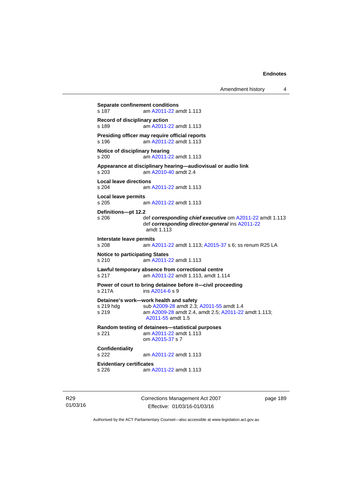Amendment history 4

```
Separate confinement conditions 
s 187 am A2011-22 amdt 1.113
Record of disciplinary action 
s 189 am A2011-22 amdt 1.113
Presiding officer may require official reports 
s 196 am A2011-22 amdt 1.113
Notice of disciplinary hearing 
s 200 am A2011-22 amdt 1.113
Appearance at disciplinary hearing—audiovisual or audio link 
s 203 am A2010-40 amdt 2.4
Local leave directions 
s 204 am A2011-22 amdt 1.113
Local leave permits 
s 205 am A2011-22 amdt 1.113
Definitions—pt 12.2 
s 206 def corresponding chief executive om A2011-22 amdt 1.113 
                 def corresponding director-general ins A2011-22
                 amdt 1.113
Interstate leave permits 
s 208 am A2011-22 amdt 1.113; A2015-37 s 6; ss renum R25 LA 
Notice to participating States 
s 210 am A2011-22 amdt 1.113
Lawful temporary absence from correctional centre 
s 217 am A2011-22 amdt 1.113, amdt 1.114 
Power of court to bring detainee before it—civil proceeding 
s 217A ins A2014-6 s 9 
Detainee's work—work health and safety 
A2009-28A2011-55 amdt 1.4<br>s 219 september 2.4, amdt 2.5; A2011-22
                A2009-28A2011-22 amdt 1.113;
                 A2011-55 amdt 1.5 
Random testing of detainees—statistical purposes 
s 221 am A2011-22 amdt 1.113
                 om A2015-37 s 7 
Confidentiality 
s 222 am A2011-22 amdt 1.113
Evidentiary certificates 
s 226 am A2011-22 amdt 1.113
```
R29 01/03/16 Corrections Management Act 2007 Effective: 01/03/16-01/03/16

page 189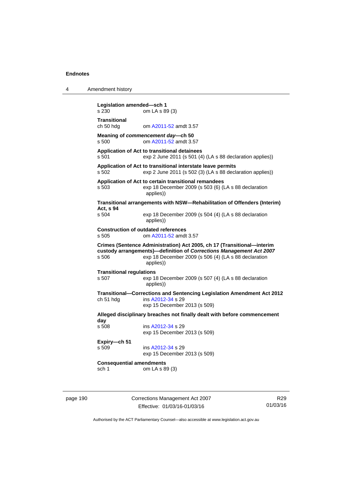4 Amendment history

**Legislation amended—sch 1**  s 230 om LA s 89 (3) **Transitional**  ch 50 hdg om [A2011-52](http://www.legislation.act.gov.au/a/2011-52) amdt 3.57 **Meaning of** *commencement day***—ch 50**  s 500 om [A2011-52](http://www.legislation.act.gov.au/a/2011-52) amdt 3.57 **Application of Act to transitional detainees**  s 501 exp 2 June 2011 (s 501 (4) (LA s 88 declaration applies)) **Application of Act to transitional interstate leave permits**  s 502 exp 2 June 2011 (s 502 (3) (LA s 88 declaration applies)) **Application of Act to certain transitional remandees**  s 503 exp 18 December 2009 (s 503 (6) (LA s 88 declaration applies)) **Transitional arrangements with NSW—Rehabilitation of Offenders (Interim) Act, s 94**  s 504 exp 18 December 2009 (s 504 (4) (LA s 88 declaration applies)) **Construction of outdated references**  s 505 om [A2011-52](http://www.legislation.act.gov.au/a/2011-52) amdt 3.57 **Crimes (Sentence Administration) Act 2005, ch 17 (Transitional—interim custody arrangements)—definition of** *Corrections Management Act 2007* s 506 exp 18 December 2009 (s 506 (4) (LA s 88 declaration applies)) **Transitional regulations**  exp 18 December 2009 (s 507 (4) (LA s 88 declaration applies)) **Transitional—Corrections and Sentencing Legislation Amendment Act 2012**  ch 51 hdg ins [A2012-34](http://www.legislation.act.gov.au/a/2012-34) s 29 exp 15 December 2013 (s 509) **Alleged disciplinary breaches not finally dealt with before commencement day**  s 508 ins [A2012-34](http://www.legislation.act.gov.au/a/2012-34) s 29 exp 15 December 2013 (s 509) **Expiry—ch 51**  ins [A2012-34](http://www.legislation.act.gov.au/a/2012-34) s 29

exp 15 December 2013 (s 509)

## **Consequential amendments**

sch 1 om LA s 89 (3)

page 190 Corrections Management Act 2007 Effective: 01/03/16-01/03/16

R29 01/03/16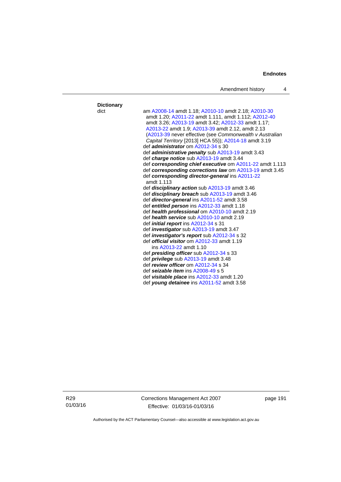Amendment history 4 dict am [A2008-14](http://www.legislation.act.gov.au/a/2008-14) amdt 1.18; [A2010-10](http://www.legislation.act.gov.au/a/2010-10) amdt 2.18; [A2010-30](http://www.legislation.act.gov.au/a/2010-30) amdt 1.20; [A2011-22](http://www.legislation.act.gov.au/a/2011-22) amdt 1.111, amdt 1.112; [A2012-40](http://www.legislation.act.gov.au/a/2012-40) amdt 3.26; [A2013-19](http://www.legislation.act.gov.au/a/2013-19) amdt 3.42; [A2012-33](http://www.legislation.act.gov.au/a/2012-33) amdt 1.17; [A2013-22](http://www.legislation.act.gov.au/a/2013-22) amdt 1.9; [A2013-39](http://www.legislation.act.gov.au/a/2013-39) amdt 2.12, amdt 2.13 ([A2013-39](http://www.legislation.act.gov.au/a/2013-39) never effective (see *Commonwealth v Australian Capital Territory* [2013] HCA 55)); [A2014-18](http://www.legislation.act.gov.au/a/2014-18) amdt 3.19 def *administrator* om [A2012-34](http://www.legislation.act.gov.au/a/2012-34) s 30 def *administrative penalty* sub [A2013-19](http://www.legislation.act.gov.au/a/2013-19) amdt 3.43 def *charge notice* sub [A2013-19](http://www.legislation.act.gov.au/a/2013-19) amdt 3.44 def *corresponding chief executive* om [A2011-22](http://www.legislation.act.gov.au/a/2011-22) amdt 1.113 def *corresponding corrections law* om [A2013-19](http://www.legislation.act.gov.au/a/2013-19) amdt 3.45 def *corresponding director-general* ins [A2011-22](http://www.legislation.act.gov.au/a/2011-22) amdt 1.113 def *disciplinary action* sub [A2013-19](http://www.legislation.act.gov.au/a/2013-19) amdt 3.46 def *disciplinary breach* sub [A2013-19](http://www.legislation.act.gov.au/a/2013-19) amdt 3.46 def *director-general* ins [A2011-52](http://www.legislation.act.gov.au/a/2011-52) amdt 3.58 def *entitled person* ins [A2012-33](http://www.legislation.act.gov.au/a/2012-33) amdt 1.18 def *health professional* om [A2010-10](http://www.legislation.act.gov.au/a/2010-10) amdt 2.19 def *health service* sub [A2010-10](http://www.legislation.act.gov.au/a/2010-10) amdt 2.19 def *initial report* ins [A2012-34](http://www.legislation.act.gov.au/a/2012-34) s 31 def *investigator* sub [A2013-19](http://www.legislation.act.gov.au/a/2013-19) amdt 3.47 def *investigator's report* sub [A2012-34](http://www.legislation.act.gov.au/a/2012-34) s 32 def *official visitor* om [A2012-33](http://www.legislation.act.gov.au/a/2012-33) amdt 1.19 ins [A2013-22](http://www.legislation.act.gov.au/a/2013-22) amdt 1.10 def *presiding officer* sub [A2012-34](http://www.legislation.act.gov.au/a/2012-34) s 33 def *privilege* sub [A2013-19](http://www.legislation.act.gov.au/a/2013-19) amdt 3.48 def *review officer* om [A2012-34](http://www.legislation.act.gov.au/a/2012-34) s 34 def *seizable item* ins [A2008-49](http://www.legislation.act.gov.au/a/2008-49) s 5 def *visitable place* ins [A2012-33](http://www.legislation.act.gov.au/a/2012-33) amdt 1.20 def *young detainee* ins [A2011-52](http://www.legislation.act.gov.au/a/2011-52) amdt 3.58

R29 01/03/16 **Dictionary** 

Corrections Management Act 2007 Effective: 01/03/16-01/03/16

page 191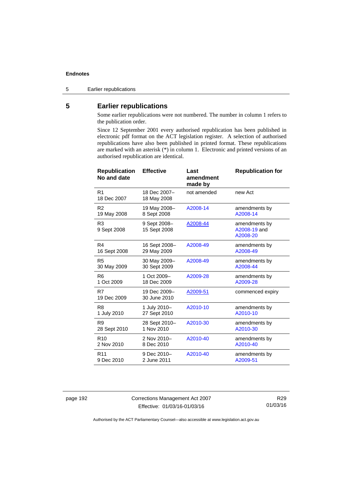5 Earlier republications

# **5 Earlier republications**

Some earlier republications were not numbered. The number in column 1 refers to the publication order.

Since 12 September 2001 every authorised republication has been published in electronic pdf format on the ACT legislation register. A selection of authorised republications have also been published in printed format. These republications are marked with an asterisk (\*) in column 1. Electronic and printed versions of an authorised republication are identical.

| <b>Republication</b><br>No and date | <b>Effective</b>             | Last<br>amendment<br>made by | <b>Republication for</b>                  |
|-------------------------------------|------------------------------|------------------------------|-------------------------------------------|
| R <sub>1</sub><br>18 Dec 2007       | 18 Dec 2007-<br>18 May 2008  | not amended                  | new Act                                   |
| R <sub>2</sub>                      | 19 May 2008-                 | A2008-14                     | amendments by                             |
| 19 May 2008                         | 8 Sept 2008                  |                              | A2008-14                                  |
| R <sub>3</sub><br>9 Sept 2008       | 9 Sept 2008-<br>15 Sept 2008 | A2008-44                     | amendments by<br>A2008-19 and<br>A2008-20 |
| R4                                  | 16 Sept 2008-                | A2008-49                     | amendments by                             |
| 16 Sept 2008                        | 29 May 2009                  |                              | A2008-49                                  |
| R <sub>5</sub>                      | 30 May 2009-                 | A2008-49                     | amendments by                             |
| 30 May 2009                         | 30 Sept 2009                 |                              | A2008-44                                  |
| R <sub>6</sub>                      | 1 Oct 2009-                  | A2009-28                     | amendments by                             |
| 1 Oct 2009                          | 18 Dec 2009                  |                              | A2009-28                                  |
| R7<br>19 Dec 2009                   | 19 Dec 2009-<br>30 June 2010 | A2009-51                     | commenced expiry                          |
| R <sub>8</sub>                      | 1 July 2010-                 | A2010-10                     | amendments by                             |
| 1 July 2010                         | 27 Sept 2010                 |                              | A2010-10                                  |
| R <sub>9</sub>                      | 28 Sept 2010-                | A2010-30                     | amendments by                             |
| 28 Sept 2010                        | 1 Nov 2010                   |                              | A2010-30                                  |
| R <sub>10</sub>                     | 2 Nov 2010-                  | A2010-40                     | amendments by                             |
| 2 Nov 2010                          | 8 Dec 2010                   |                              | A2010-40                                  |
| R <sub>11</sub>                     | 9 Dec 2010-                  | A2010-40                     | amendments by                             |
| 9 Dec 2010                          | 2 June 2011                  |                              | A2009-51                                  |

page 192 Corrections Management Act 2007 Effective: 01/03/16-01/03/16

R29 01/03/16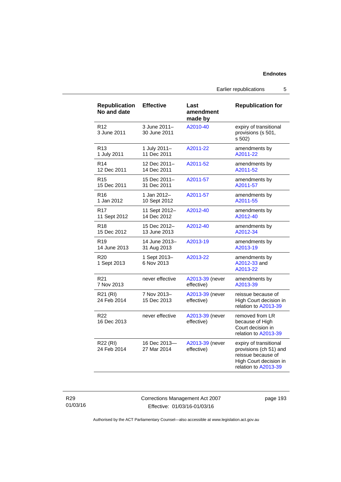Earlier republications 5

| <b>Republication</b><br>No and date | <b>Effective</b>             | Last<br>amendment<br>made by  | <b>Republication for</b>                                                                                                 |
|-------------------------------------|------------------------------|-------------------------------|--------------------------------------------------------------------------------------------------------------------------|
| R <sub>12</sub><br>3 June 2011      | 3 June 2011-<br>30 June 2011 | A2010-40                      | expiry of transitional<br>provisions (s 501,<br>s 502)                                                                   |
| R13                                 | 1 July 2011-                 | A2011-22                      | amendments by                                                                                                            |
| 1 July 2011                         | 11 Dec 2011                  |                               | A2011-22                                                                                                                 |
| R <sub>14</sub>                     | 12 Dec 2011-                 | A2011-52                      | amendments by                                                                                                            |
| 12 Dec 2011                         | 14 Dec 2011                  |                               | A2011-52                                                                                                                 |
| R <sub>15</sub>                     | 15 Dec 2011-                 | A2011-57                      | amendments by                                                                                                            |
| 15 Dec 2011                         | 31 Dec 2011                  |                               | A2011-57                                                                                                                 |
| R <sub>16</sub>                     | 1 Jan 2012-                  | A2011-57                      | amendments by                                                                                                            |
| 1 Jan 2012                          | 10 Sept 2012                 |                               | A2011-55                                                                                                                 |
| R17                                 | 11 Sept 2012-                | A2012-40                      | amendments by                                                                                                            |
| 11 Sept 2012                        | 14 Dec 2012                  |                               | A2012-40                                                                                                                 |
| R <sub>18</sub>                     | 15 Dec 2012-                 | A2012-40                      | amendments by                                                                                                            |
| 15 Dec 2012                         | 13 June 2013                 |                               | A2012-34                                                                                                                 |
| R <sub>19</sub>                     | 14 June 2013-                | A2013-19                      | amendments by                                                                                                            |
| 14 June 2013                        | 31 Aug 2013                  |                               | A2013-19                                                                                                                 |
| R <sub>20</sub><br>1 Sept 2013      | 1 Sept 2013-<br>6 Nov 2013   | A2013-22                      | amendments by<br>A2012-33 and<br>A2013-22                                                                                |
| R <sub>21</sub>                     | never effective              | A2013-39 (never               | amendments by                                                                                                            |
| 7 Nov 2013                          |                              | effective)                    | A2013-39                                                                                                                 |
| R21 (RI)<br>24 Feb 2014             | 7 Nov 2013-<br>15 Dec 2013   | A2013-39 (never<br>effective) | reissue because of<br>High Court decision in<br>relation to A2013-39                                                     |
| R <sub>22</sub><br>16 Dec 2013      | never effective              | A2013-39 (never<br>effective) | removed from LR<br>because of High<br>Court decision in<br>relation to A2013-39                                          |
| R22 (RI)<br>24 Feb 2014             | 16 Dec 2013-<br>27 Mar 2014  | A2013-39 (never<br>effective) | expiry of transitional<br>provisions (ch 51) and<br>reissue because of<br>High Court decision in<br>relation to A2013-39 |

R29 01/03/16 Corrections Management Act 2007 Effective: 01/03/16-01/03/16

page 193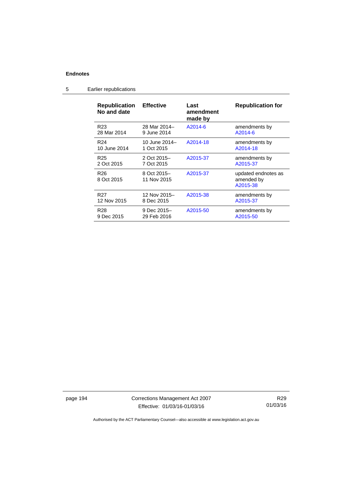| <b>Republication</b><br>No and date | <b>Effective</b>           | Last<br>amendment<br>made by | <b>Republication for</b>                      |
|-------------------------------------|----------------------------|------------------------------|-----------------------------------------------|
| R <sub>23</sub>                     | 28 Mar 2014-               | A2014-6                      | amendments by                                 |
| 28 Mar 2014                         | 9 June 2014                |                              | A2014-6                                       |
| R <sub>24</sub>                     | 10 June 2014-              | A2014-18                     | amendments by                                 |
| 10 June 2014                        | 1 Oct 2015                 |                              | A2014-18                                      |
| R <sub>25</sub>                     | 2 Oct 2015-                | A2015-37                     | amendments by                                 |
| 2 Oct 2015                          | 7 Oct 2015                 |                              | A2015-37                                      |
| R <sub>26</sub><br>8 Oct 2015       | 8 Oct 2015-<br>11 Nov 2015 | A2015-37                     | updated endnotes as<br>amended by<br>A2015-38 |
| R <sub>27</sub>                     | 12 Nov 2015-               | A2015-38                     | amendments by                                 |
| 12 Nov 2015                         | 8 Dec 2015                 |                              | A2015-37                                      |
| R <sub>28</sub>                     | 9 Dec 2015-                | A2015-50                     | amendments by                                 |
| 9 Dec 2015                          | 29 Feb 2016                |                              | A2015-50                                      |

5 Earlier republications

page 194 Corrections Management Act 2007 Effective: 01/03/16-01/03/16

R29 01/03/16